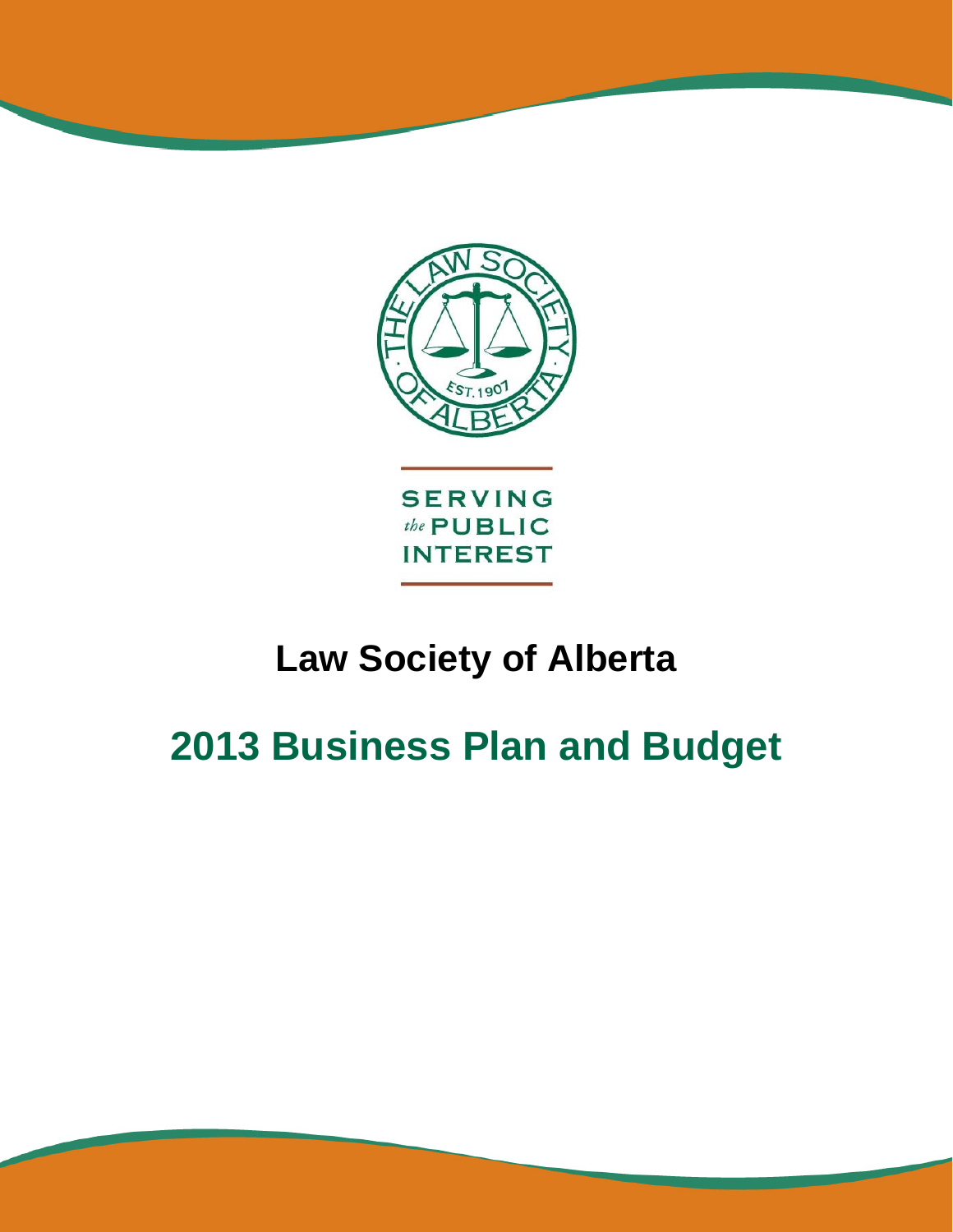

# **Law Society of Alberta**

# **2013 Business Plan and Budget**

Proposed 2013 Business Plan & Budget Page 1 of 47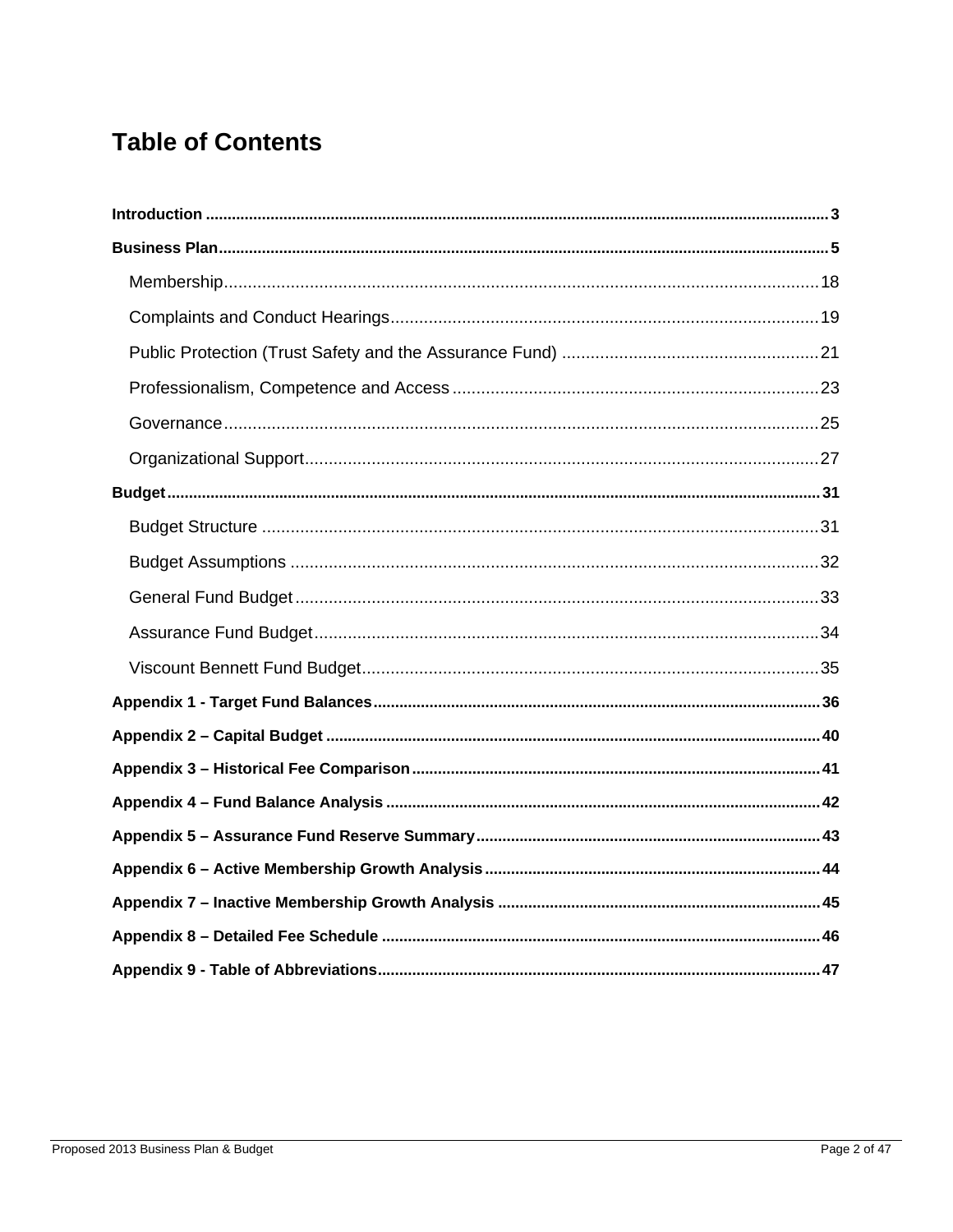## **Table of Contents**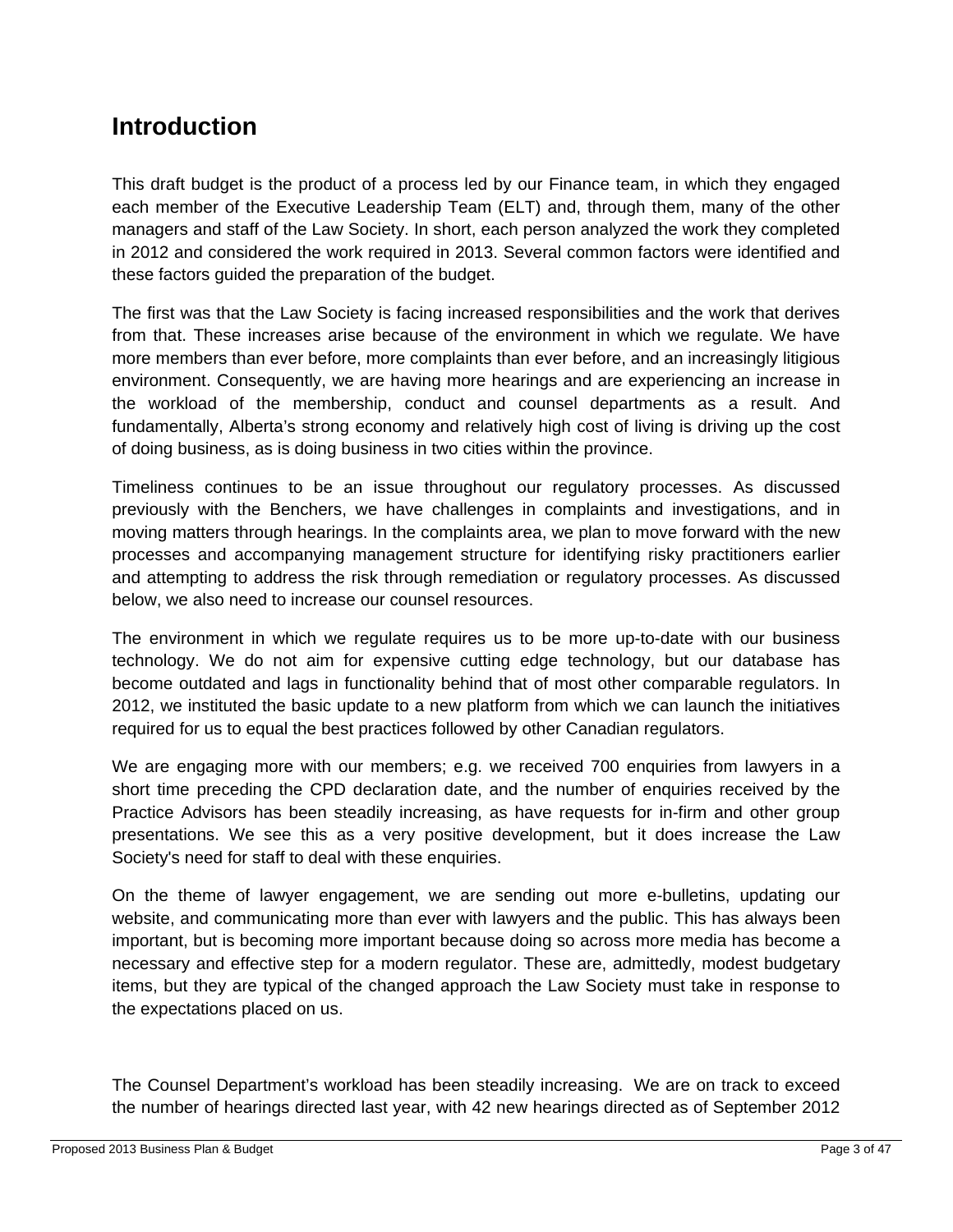## **Introduction**

This draft budget is the product of a process led by our Finance team, in which they engaged each member of the Executive Leadership Team (ELT) and, through them, many of the other managers and staff of the Law Society. In short, each person analyzed the work they completed in 2012 and considered the work required in 2013. Several common factors were identified and these factors guided the preparation of the budget.

The first was that the Law Society is facing increased responsibilities and the work that derives from that. These increases arise because of the environment in which we regulate. We have more members than ever before, more complaints than ever before, and an increasingly litigious environment. Consequently, we are having more hearings and are experiencing an increase in the workload of the membership, conduct and counsel departments as a result. And fundamentally, Alberta's strong economy and relatively high cost of living is driving up the cost of doing business, as is doing business in two cities within the province.

Timeliness continues to be an issue throughout our regulatory processes. As discussed previously with the Benchers, we have challenges in complaints and investigations, and in moving matters through hearings. In the complaints area, we plan to move forward with the new processes and accompanying management structure for identifying risky practitioners earlier and attempting to address the risk through remediation or regulatory processes. As discussed below, we also need to increase our counsel resources.

The environment in which we regulate requires us to be more up-to-date with our business technology. We do not aim for expensive cutting edge technology, but our database has become outdated and lags in functionality behind that of most other comparable regulators. In 2012, we instituted the basic update to a new platform from which we can launch the initiatives required for us to equal the best practices followed by other Canadian regulators.

We are engaging more with our members; e.g. we received 700 enquiries from lawyers in a short time preceding the CPD declaration date, and the number of enquiries received by the Practice Advisors has been steadily increasing, as have requests for in-firm and other group presentations. We see this as a very positive development, but it does increase the Law Society's need for staff to deal with these enquiries.

On the theme of lawyer engagement, we are sending out more e-bulletins, updating our website, and communicating more than ever with lawyers and the public. This has always been important, but is becoming more important because doing so across more media has become a necessary and effective step for a modern regulator. These are, admittedly, modest budgetary items, but they are typical of the changed approach the Law Society must take in response to the expectations placed on us.

The Counsel Department's workload has been steadily increasing. We are on track to exceed the number of hearings directed last year, with 42 new hearings directed as of September 2012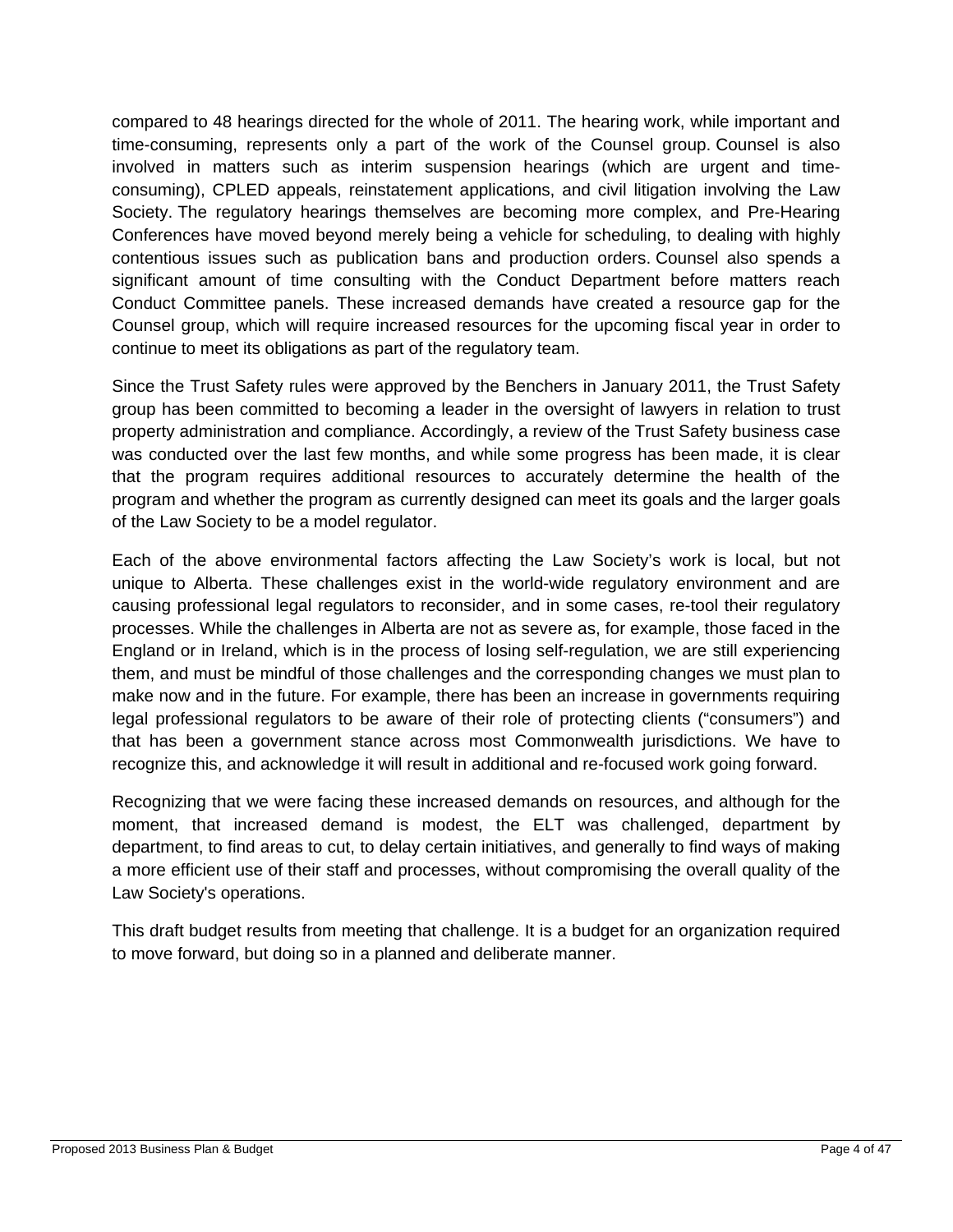compared to 48 hearings directed for the whole of 2011. The hearing work, while important and time-consuming, represents only a part of the work of the Counsel group. Counsel is also involved in matters such as interim suspension hearings (which are urgent and timeconsuming), CPLED appeals, reinstatement applications, and civil litigation involving the Law Society. The regulatory hearings themselves are becoming more complex, and Pre-Hearing Conferences have moved beyond merely being a vehicle for scheduling, to dealing with highly contentious issues such as publication bans and production orders. Counsel also spends a significant amount of time consulting with the Conduct Department before matters reach Conduct Committee panels. These increased demands have created a resource gap for the Counsel group, which will require increased resources for the upcoming fiscal year in order to continue to meet its obligations as part of the regulatory team.

Since the Trust Safety rules were approved by the Benchers in January 2011, the Trust Safety group has been committed to becoming a leader in the oversight of lawyers in relation to trust property administration and compliance. Accordingly, a review of the Trust Safety business case was conducted over the last few months, and while some progress has been made, it is clear that the program requires additional resources to accurately determine the health of the program and whether the program as currently designed can meet its goals and the larger goals of the Law Society to be a model regulator.

Each of the above environmental factors affecting the Law Society's work is local, but not unique to Alberta. These challenges exist in the world-wide regulatory environment and are causing professional legal regulators to reconsider, and in some cases, re-tool their regulatory processes. While the challenges in Alberta are not as severe as, for example, those faced in the England or in Ireland, which is in the process of losing self-regulation, we are still experiencing them, and must be mindful of those challenges and the corresponding changes we must plan to make now and in the future. For example, there has been an increase in governments requiring legal professional regulators to be aware of their role of protecting clients ("consumers") and that has been a government stance across most Commonwealth jurisdictions. We have to recognize this, and acknowledge it will result in additional and re-focused work going forward.

Recognizing that we were facing these increased demands on resources, and although for the moment, that increased demand is modest, the ELT was challenged, department by department, to find areas to cut, to delay certain initiatives, and generally to find ways of making a more efficient use of their staff and processes, without compromising the overall quality of the Law Society's operations.

This draft budget results from meeting that challenge. It is a budget for an organization required to move forward, but doing so in a planned and deliberate manner.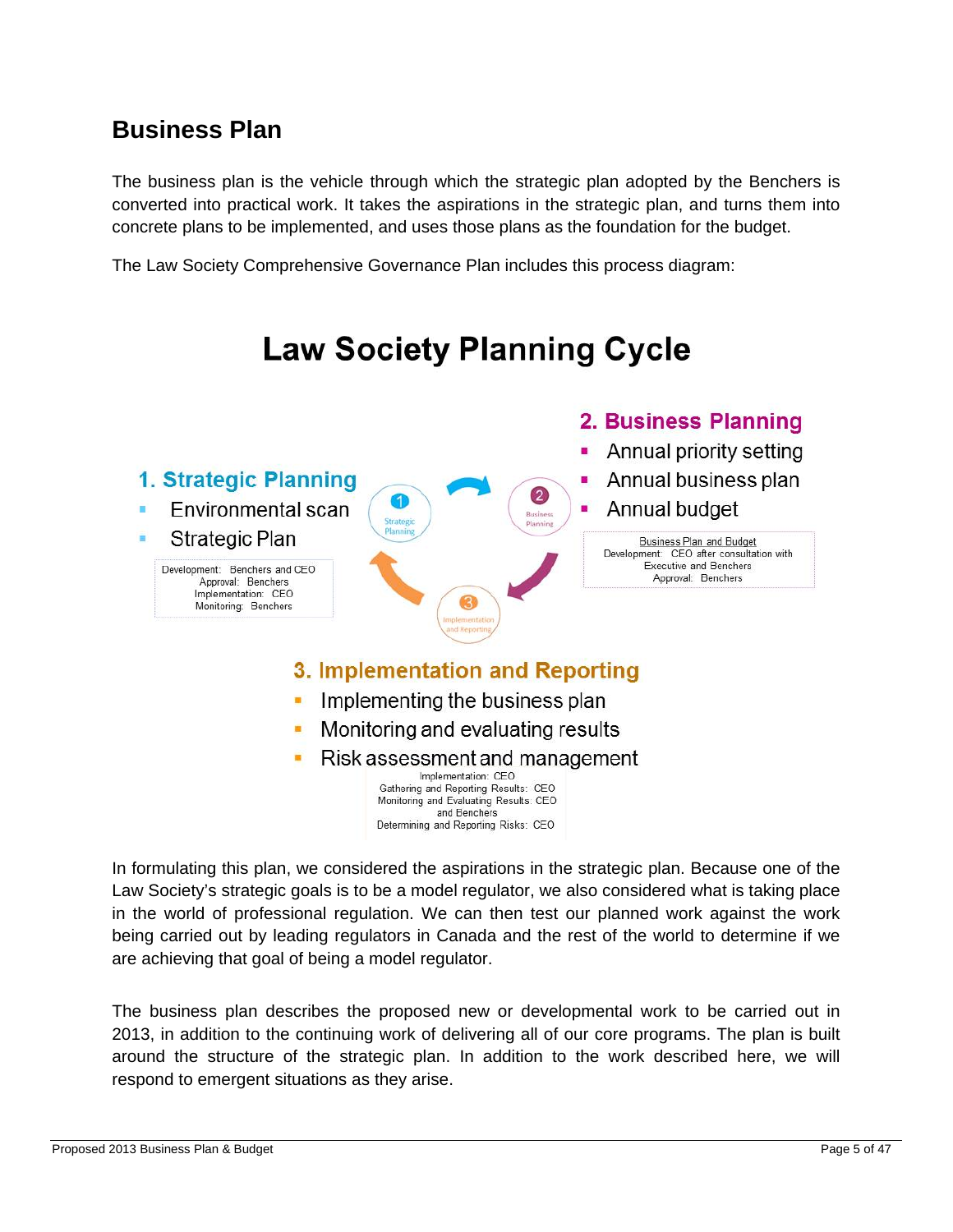## **Business Plan**

The business plan is the vehicle through which the strategic plan adopted by the Benchers is converted into practical work. It takes the aspirations in the strategic plan, and turns them into concrete plans to be implemented, and uses those plans as the foundation for the budget.

The Law Society Comprehensive Governance Plan includes this process diagram:



and Benchers Determining and Reporting Risks: CEO

In formulating this plan, we considered the aspirations in the strategic plan. Because one of the Law Society's strategic goals is to be a model regulator, we also considered what is taking place in the world of professional regulation. We can then test our planned work against the work being carried out by leading regulators in Canada and the rest of the world to determine if we are achieving that goal of being a model regulator.

The business plan describes the proposed new or developmental work to be carried out in 2013, in addition to the continuing work of delivering all of our core programs. The plan is built around the structure of the strategic plan. In addition to the work described here, we will respond to emergent situations as they arise.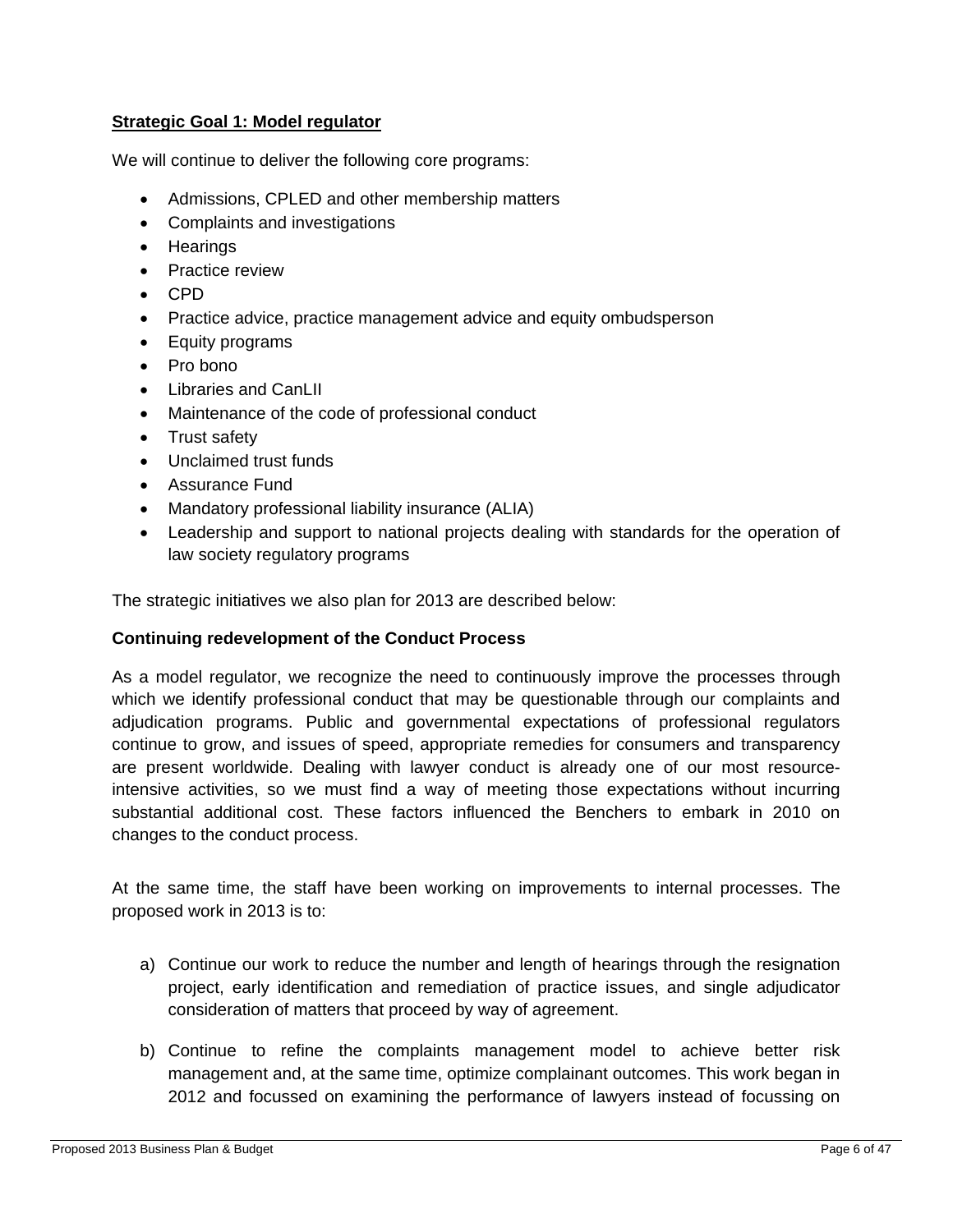#### **Strategic Goal 1: Model regulator**

We will continue to deliver the following core programs:

- Admissions, CPLED and other membership matters
- Complaints and investigations
- Hearings
- Practice review
- CPD
- Practice advice, practice management advice and equity ombudsperson
- Equity programs
- Pro bono
- Libraries and CanLII
- Maintenance of the code of professional conduct
- Trust safety
- Unclaimed trust funds
- Assurance Fund
- Mandatory professional liability insurance (ALIA)
- Leadership and support to national projects dealing with standards for the operation of law society regulatory programs

The strategic initiatives we also plan for 2013 are described below:

#### **Continuing redevelopment of the Conduct Process**

As a model regulator, we recognize the need to continuously improve the processes through which we identify professional conduct that may be questionable through our complaints and adjudication programs. Public and governmental expectations of professional regulators continue to grow, and issues of speed, appropriate remedies for consumers and transparency are present worldwide. Dealing with lawyer conduct is already one of our most resourceintensive activities, so we must find a way of meeting those expectations without incurring substantial additional cost. These factors influenced the Benchers to embark in 2010 on changes to the conduct process.

At the same time, the staff have been working on improvements to internal processes. The proposed work in 2013 is to:

- a) Continue our work to reduce the number and length of hearings through the resignation project, early identification and remediation of practice issues, and single adjudicator consideration of matters that proceed by way of agreement.
- b) Continue to refine the complaints management model to achieve better risk management and, at the same time, optimize complainant outcomes. This work began in 2012 and focussed on examining the performance of lawyers instead of focussing on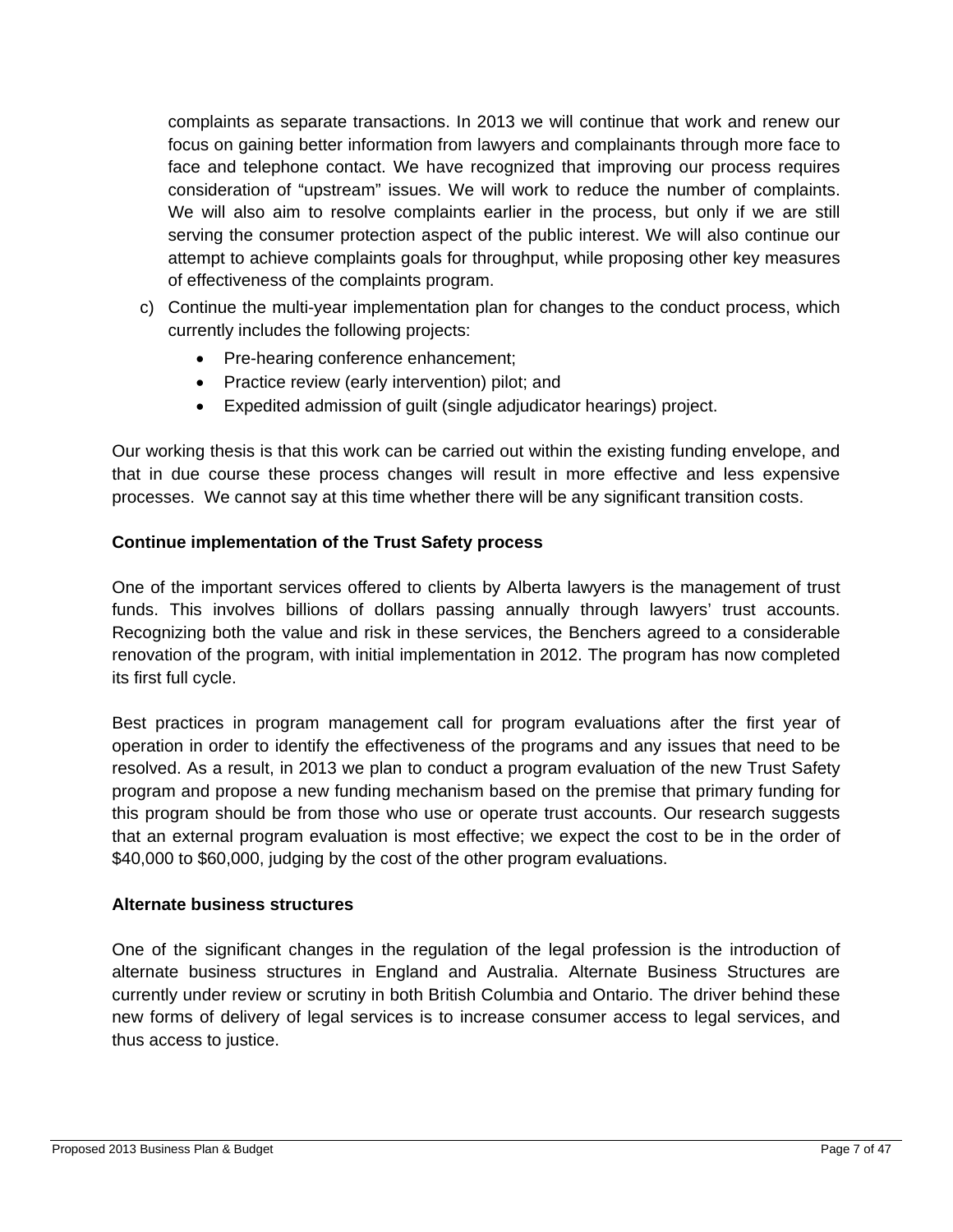complaints as separate transactions. In 2013 we will continue that work and renew our focus on gaining better information from lawyers and complainants through more face to face and telephone contact. We have recognized that improving our process requires consideration of "upstream" issues. We will work to reduce the number of complaints. We will also aim to resolve complaints earlier in the process, but only if we are still serving the consumer protection aspect of the public interest. We will also continue our attempt to achieve complaints goals for throughput, while proposing other key measures of effectiveness of the complaints program.

- c) Continue the multi-year implementation plan for changes to the conduct process, which currently includes the following projects:
	- Pre-hearing conference enhancement;
	- Practice review (early intervention) pilot; and
	- Expedited admission of guilt (single adjudicator hearings) project.

Our working thesis is that this work can be carried out within the existing funding envelope, and that in due course these process changes will result in more effective and less expensive processes. We cannot say at this time whether there will be any significant transition costs.

#### **Continue implementation of the Trust Safety process**

One of the important services offered to clients by Alberta lawyers is the management of trust funds. This involves billions of dollars passing annually through lawyers' trust accounts. Recognizing both the value and risk in these services, the Benchers agreed to a considerable renovation of the program, with initial implementation in 2012. The program has now completed its first full cycle.

Best practices in program management call for program evaluations after the first year of operation in order to identify the effectiveness of the programs and any issues that need to be resolved. As a result, in 2013 we plan to conduct a program evaluation of the new Trust Safety program and propose a new funding mechanism based on the premise that primary funding for this program should be from those who use or operate trust accounts. Our research suggests that an external program evaluation is most effective; we expect the cost to be in the order of \$40,000 to \$60,000, judging by the cost of the other program evaluations.

#### **Alternate business structures**

One of the significant changes in the regulation of the legal profession is the introduction of alternate business structures in England and Australia. Alternate Business Structures are currently under review or scrutiny in both British Columbia and Ontario. The driver behind these new forms of delivery of legal services is to increase consumer access to legal services, and thus access to justice.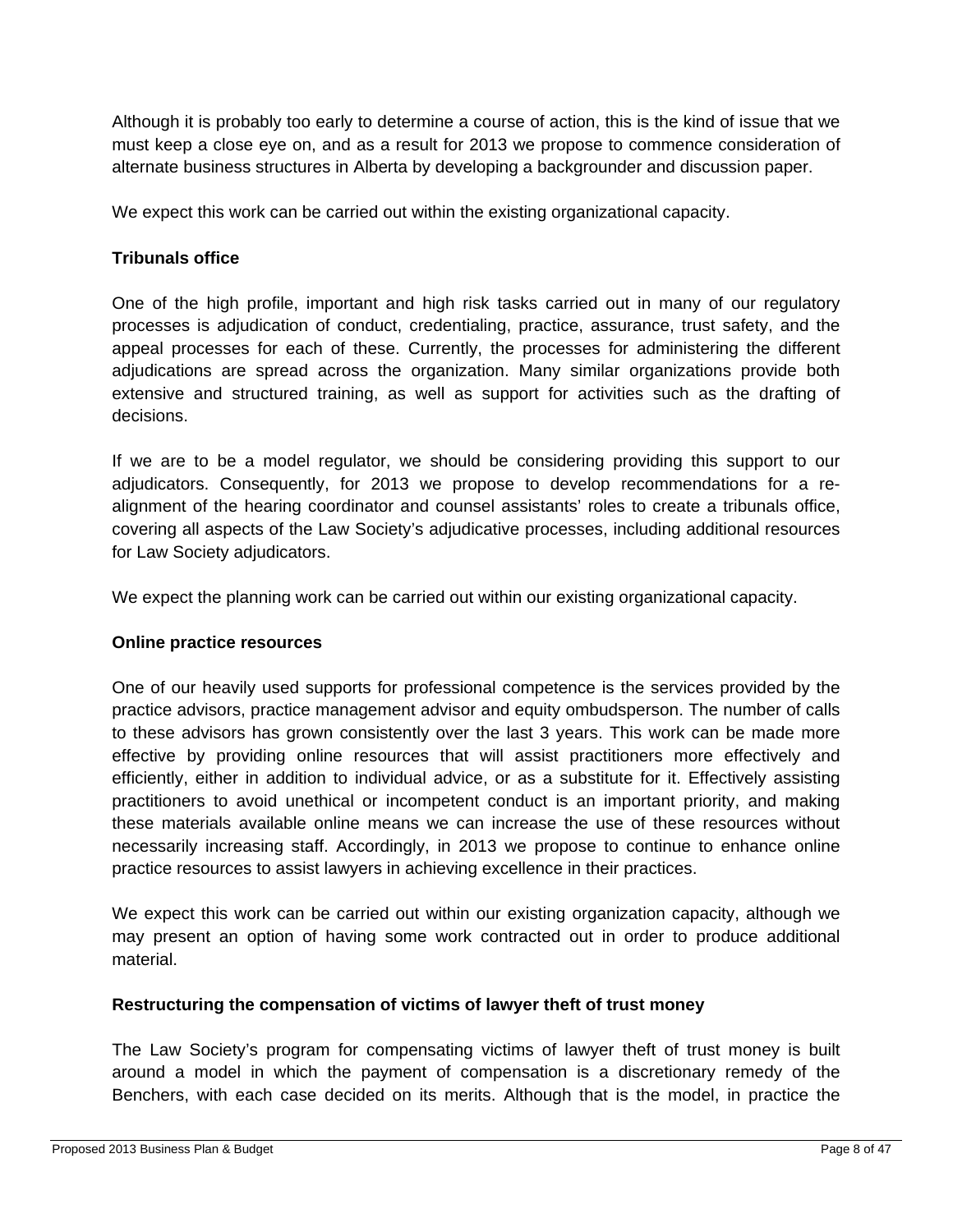Although it is probably too early to determine a course of action, this is the kind of issue that we must keep a close eye on, and as a result for 2013 we propose to commence consideration of alternate business structures in Alberta by developing a backgrounder and discussion paper.

We expect this work can be carried out within the existing organizational capacity.

#### **Tribunals office**

One of the high profile, important and high risk tasks carried out in many of our regulatory processes is adjudication of conduct, credentialing, practice, assurance, trust safety, and the appeal processes for each of these. Currently, the processes for administering the different adjudications are spread across the organization. Many similar organizations provide both extensive and structured training, as well as support for activities such as the drafting of decisions.

If we are to be a model regulator, we should be considering providing this support to our adjudicators. Consequently, for 2013 we propose to develop recommendations for a realignment of the hearing coordinator and counsel assistants' roles to create a tribunals office, covering all aspects of the Law Society's adjudicative processes, including additional resources for Law Society adjudicators.

We expect the planning work can be carried out within our existing organizational capacity.

#### **Online practice resources**

One of our heavily used supports for professional competence is the services provided by the practice advisors, practice management advisor and equity ombudsperson. The number of calls to these advisors has grown consistently over the last 3 years. This work can be made more effective by providing online resources that will assist practitioners more effectively and efficiently, either in addition to individual advice, or as a substitute for it. Effectively assisting practitioners to avoid unethical or incompetent conduct is an important priority, and making these materials available online means we can increase the use of these resources without necessarily increasing staff. Accordingly, in 2013 we propose to continue to enhance online practice resources to assist lawyers in achieving excellence in their practices.

We expect this work can be carried out within our existing organization capacity, although we may present an option of having some work contracted out in order to produce additional material.

#### **Restructuring the compensation of victims of lawyer theft of trust money**

The Law Society's program for compensating victims of lawyer theft of trust money is built around a model in which the payment of compensation is a discretionary remedy of the Benchers, with each case decided on its merits. Although that is the model, in practice the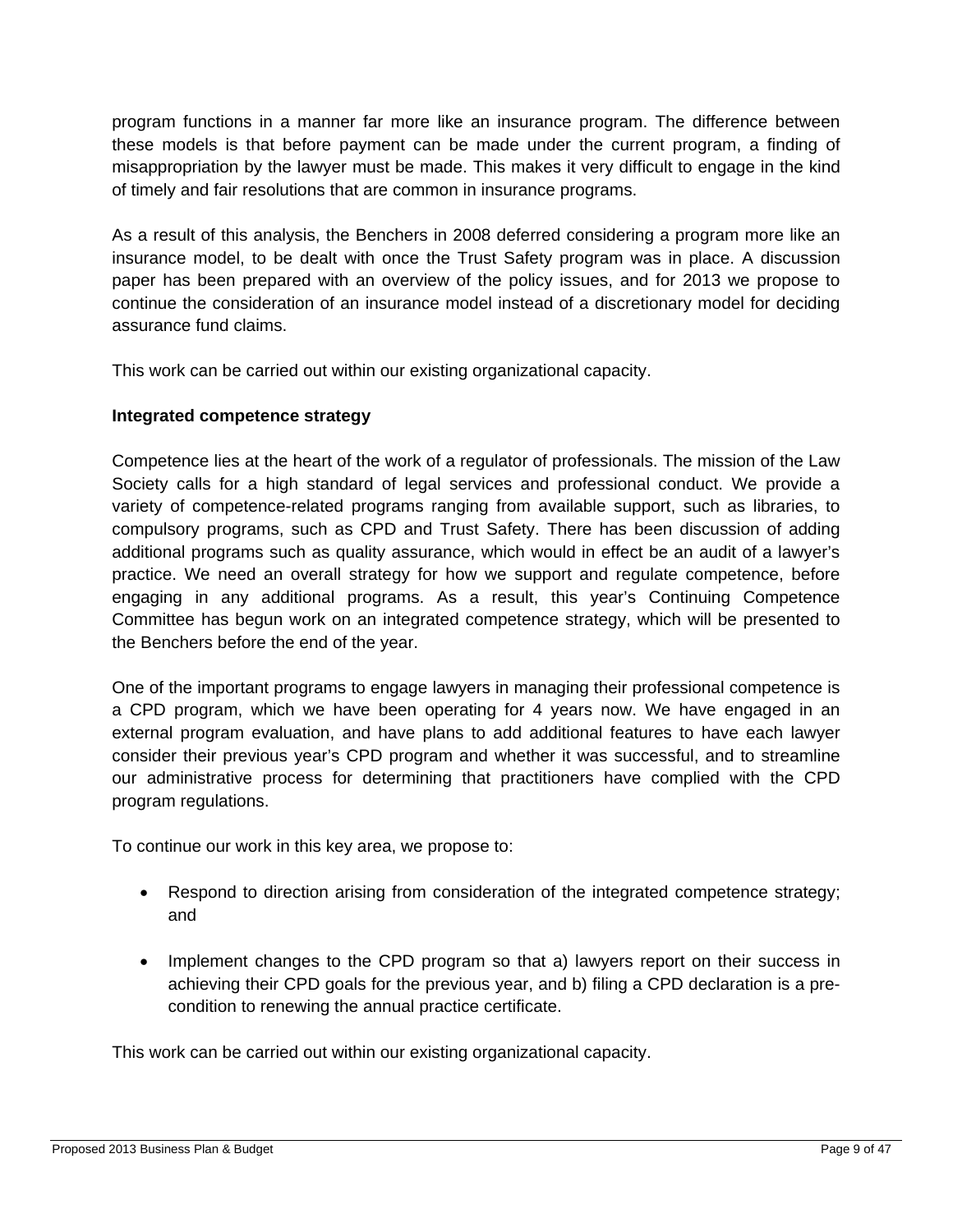program functions in a manner far more like an insurance program. The difference between these models is that before payment can be made under the current program, a finding of misappropriation by the lawyer must be made. This makes it very difficult to engage in the kind of timely and fair resolutions that are common in insurance programs.

As a result of this analysis, the Benchers in 2008 deferred considering a program more like an insurance model, to be dealt with once the Trust Safety program was in place. A discussion paper has been prepared with an overview of the policy issues, and for 2013 we propose to continue the consideration of an insurance model instead of a discretionary model for deciding assurance fund claims.

This work can be carried out within our existing organizational capacity.

#### **Integrated competence strategy**

Competence lies at the heart of the work of a regulator of professionals. The mission of the Law Society calls for a high standard of legal services and professional conduct. We provide a variety of competence-related programs ranging from available support, such as libraries, to compulsory programs, such as CPD and Trust Safety. There has been discussion of adding additional programs such as quality assurance, which would in effect be an audit of a lawyer's practice. We need an overall strategy for how we support and regulate competence, before engaging in any additional programs. As a result, this year's Continuing Competence Committee has begun work on an integrated competence strategy, which will be presented to the Benchers before the end of the year.

One of the important programs to engage lawyers in managing their professional competence is a CPD program, which we have been operating for 4 years now. We have engaged in an external program evaluation, and have plans to add additional features to have each lawyer consider their previous year's CPD program and whether it was successful, and to streamline our administrative process for determining that practitioners have complied with the CPD program regulations.

To continue our work in this key area, we propose to:

- Respond to direction arising from consideration of the integrated competence strategy; and
- Implement changes to the CPD program so that a) lawyers report on their success in achieving their CPD goals for the previous year, and b) filing a CPD declaration is a precondition to renewing the annual practice certificate.

This work can be carried out within our existing organizational capacity.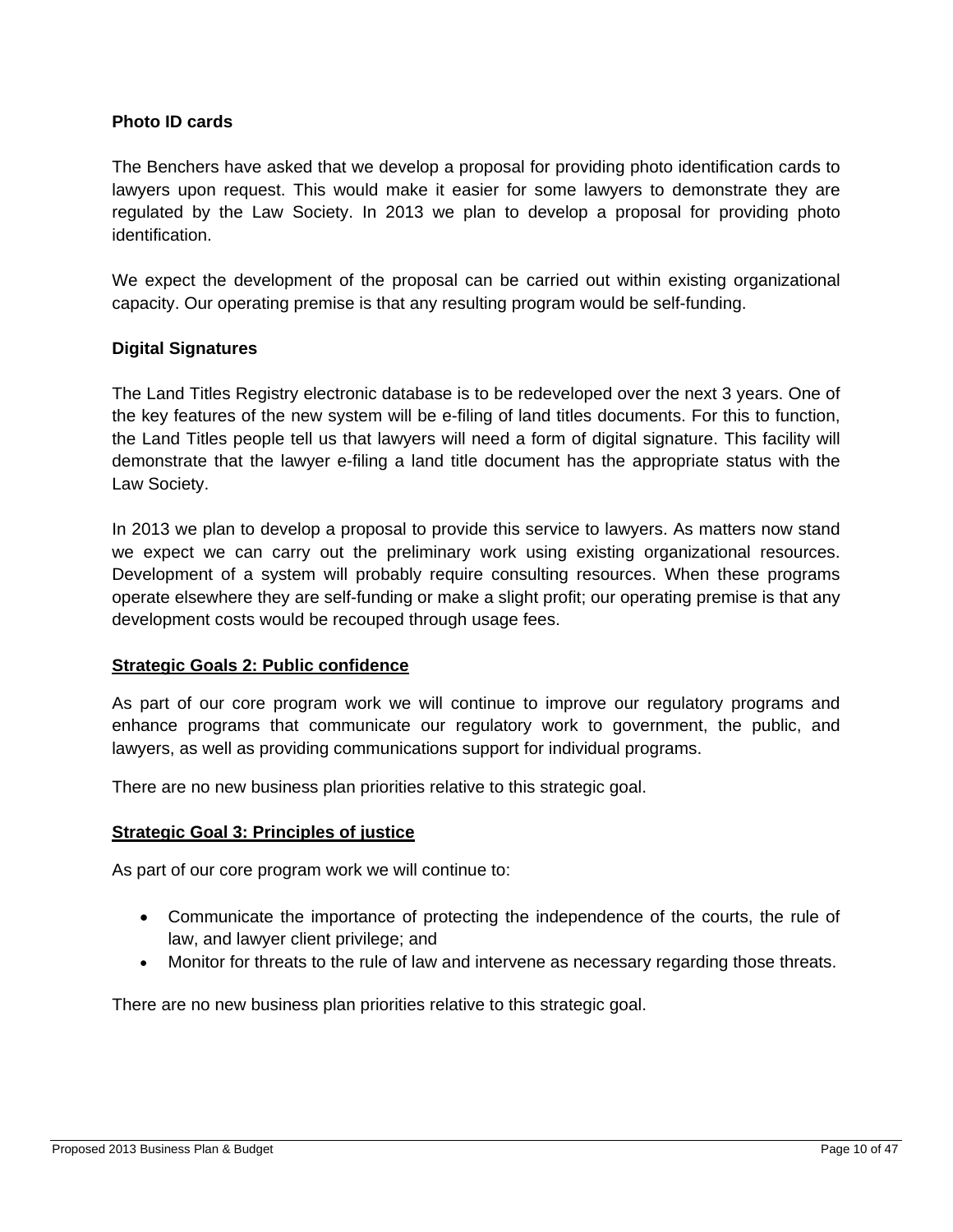#### **Photo ID cards**

The Benchers have asked that we develop a proposal for providing photo identification cards to lawyers upon request. This would make it easier for some lawyers to demonstrate they are regulated by the Law Society. In 2013 we plan to develop a proposal for providing photo identification.

We expect the development of the proposal can be carried out within existing organizational capacity. Our operating premise is that any resulting program would be self-funding.

#### **Digital Signatures**

The Land Titles Registry electronic database is to be redeveloped over the next 3 years. One of the key features of the new system will be e-filing of land titles documents. For this to function, the Land Titles people tell us that lawyers will need a form of digital signature. This facility will demonstrate that the lawyer e-filing a land title document has the appropriate status with the Law Society.

In 2013 we plan to develop a proposal to provide this service to lawyers. As matters now stand we expect we can carry out the preliminary work using existing organizational resources. Development of a system will probably require consulting resources. When these programs operate elsewhere they are self-funding or make a slight profit; our operating premise is that any development costs would be recouped through usage fees.

#### **Strategic Goals 2: Public confidence**

As part of our core program work we will continue to improve our regulatory programs and enhance programs that communicate our regulatory work to government, the public, and lawyers, as well as providing communications support for individual programs.

There are no new business plan priorities relative to this strategic goal.

#### **Strategic Goal 3: Principles of justice**

As part of our core program work we will continue to:

- Communicate the importance of protecting the independence of the courts, the rule of law, and lawyer client privilege; and
- Monitor for threats to the rule of law and intervene as necessary regarding those threats.

There are no new business plan priorities relative to this strategic goal.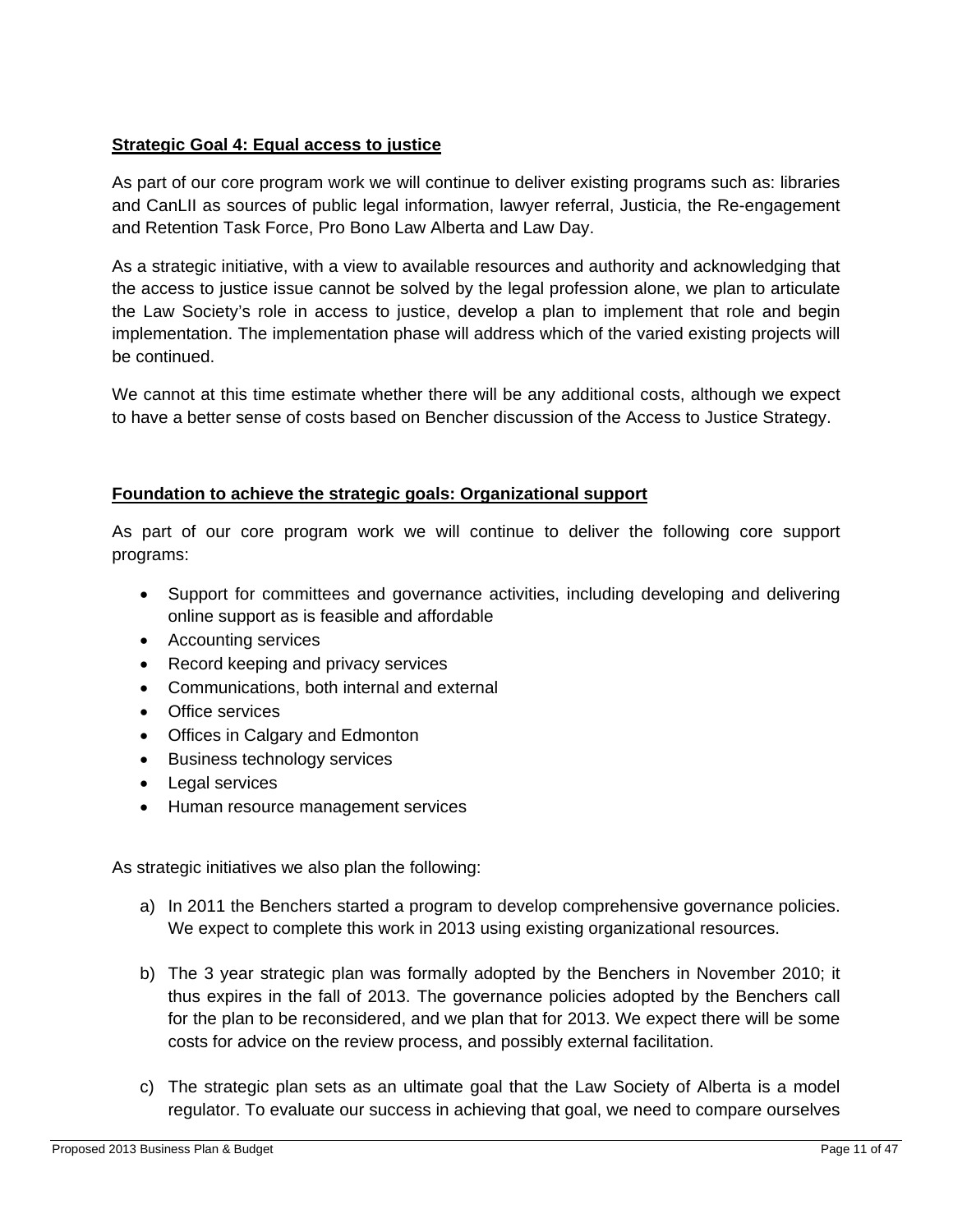#### **Strategic Goal 4: Equal access to justice**

As part of our core program work we will continue to deliver existing programs such as: libraries and CanLII as sources of public legal information, lawyer referral, Justicia, the Re-engagement and Retention Task Force, Pro Bono Law Alberta and Law Day.

As a strategic initiative, with a view to available resources and authority and acknowledging that the access to justice issue cannot be solved by the legal profession alone, we plan to articulate the Law Society's role in access to justice, develop a plan to implement that role and begin implementation. The implementation phase will address which of the varied existing projects will be continued.

We cannot at this time estimate whether there will be any additional costs, although we expect to have a better sense of costs based on Bencher discussion of the Access to Justice Strategy.

#### **Foundation to achieve the strategic goals: Organizational support**

As part of our core program work we will continue to deliver the following core support programs:

- Support for committees and governance activities, including developing and delivering online support as is feasible and affordable
- Accounting services
- Record keeping and privacy services
- Communications, both internal and external
- Office services
- Offices in Calgary and Edmonton
- Business technology services
- Legal services
- Human resource management services

As strategic initiatives we also plan the following:

- a) In 2011 the Benchers started a program to develop comprehensive governance policies. We expect to complete this work in 2013 using existing organizational resources.
- b) The 3 year strategic plan was formally adopted by the Benchers in November 2010; it thus expires in the fall of 2013. The governance policies adopted by the Benchers call for the plan to be reconsidered, and we plan that for 2013. We expect there will be some costs for advice on the review process, and possibly external facilitation.
- c) The strategic plan sets as an ultimate goal that the Law Society of Alberta is a model regulator. To evaluate our success in achieving that goal, we need to compare ourselves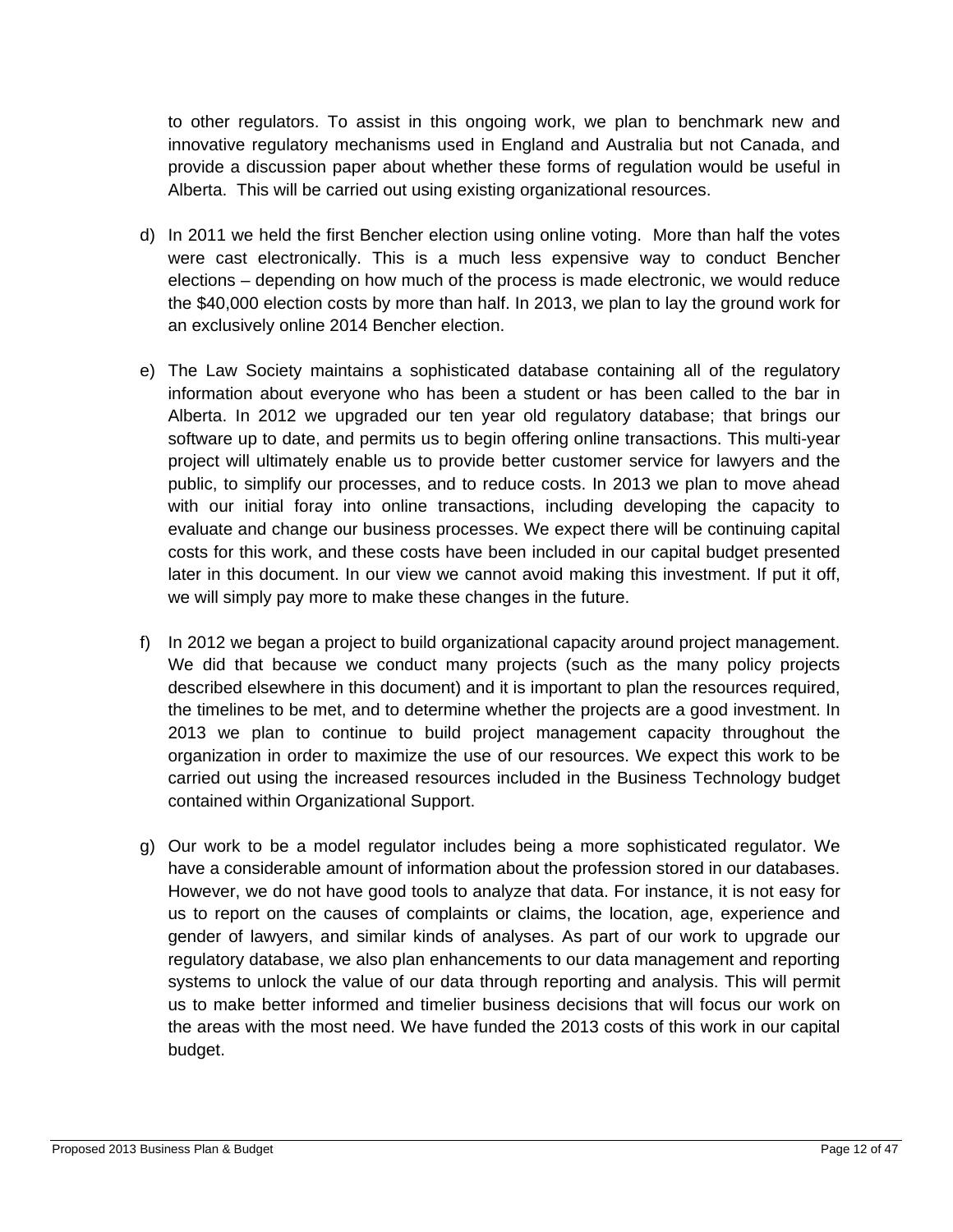to other regulators. To assist in this ongoing work, we plan to benchmark new and innovative regulatory mechanisms used in England and Australia but not Canada, and provide a discussion paper about whether these forms of regulation would be useful in Alberta. This will be carried out using existing organizational resources.

- d) In 2011 we held the first Bencher election using online voting. More than half the votes were cast electronically. This is a much less expensive way to conduct Bencher elections – depending on how much of the process is made electronic, we would reduce the \$40,000 election costs by more than half. In 2013, we plan to lay the ground work for an exclusively online 2014 Bencher election.
- e) The Law Society maintains a sophisticated database containing all of the regulatory information about everyone who has been a student or has been called to the bar in Alberta. In 2012 we upgraded our ten year old regulatory database; that brings our software up to date, and permits us to begin offering online transactions. This multi-year project will ultimately enable us to provide better customer service for lawyers and the public, to simplify our processes, and to reduce costs. In 2013 we plan to move ahead with our initial foray into online transactions, including developing the capacity to evaluate and change our business processes. We expect there will be continuing capital costs for this work, and these costs have been included in our capital budget presented later in this document. In our view we cannot avoid making this investment. If put it off, we will simply pay more to make these changes in the future.
- f) In 2012 we began a project to build organizational capacity around project management. We did that because we conduct many projects (such as the many policy projects described elsewhere in this document) and it is important to plan the resources required, the timelines to be met, and to determine whether the projects are a good investment. In 2013 we plan to continue to build project management capacity throughout the organization in order to maximize the use of our resources. We expect this work to be carried out using the increased resources included in the Business Technology budget contained within Organizational Support.
- g) Our work to be a model regulator includes being a more sophisticated regulator. We have a considerable amount of information about the profession stored in our databases. However, we do not have good tools to analyze that data. For instance, it is not easy for us to report on the causes of complaints or claims, the location, age, experience and gender of lawyers, and similar kinds of analyses. As part of our work to upgrade our regulatory database, we also plan enhancements to our data management and reporting systems to unlock the value of our data through reporting and analysis. This will permit us to make better informed and timelier business decisions that will focus our work on the areas with the most need. We have funded the 2013 costs of this work in our capital budget.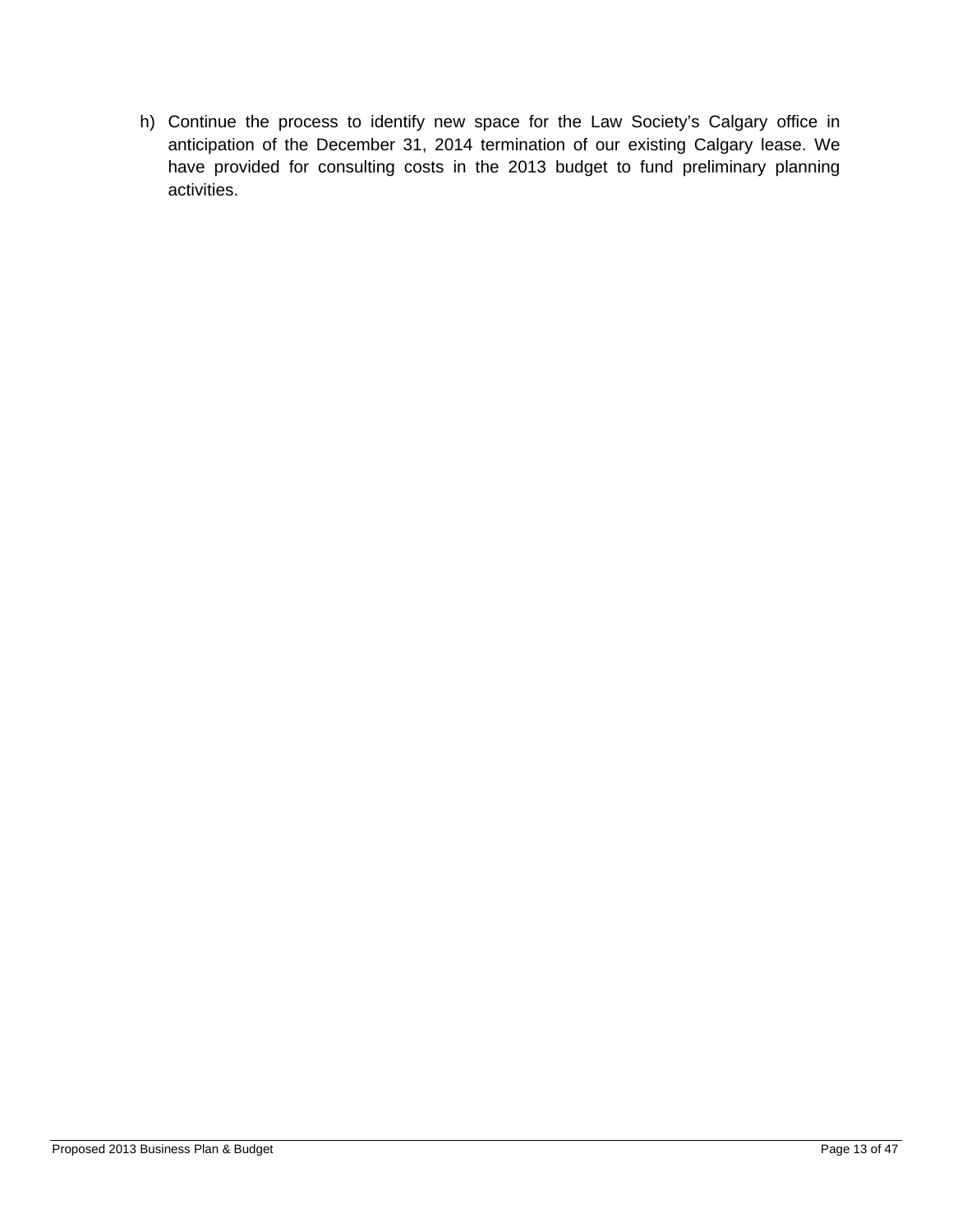h) Continue the process to identify new space for the Law Society's Calgary office in anticipation of the December 31, 2014 termination of our existing Calgary lease. We have provided for consulting costs in the 2013 budget to fund preliminary planning activities.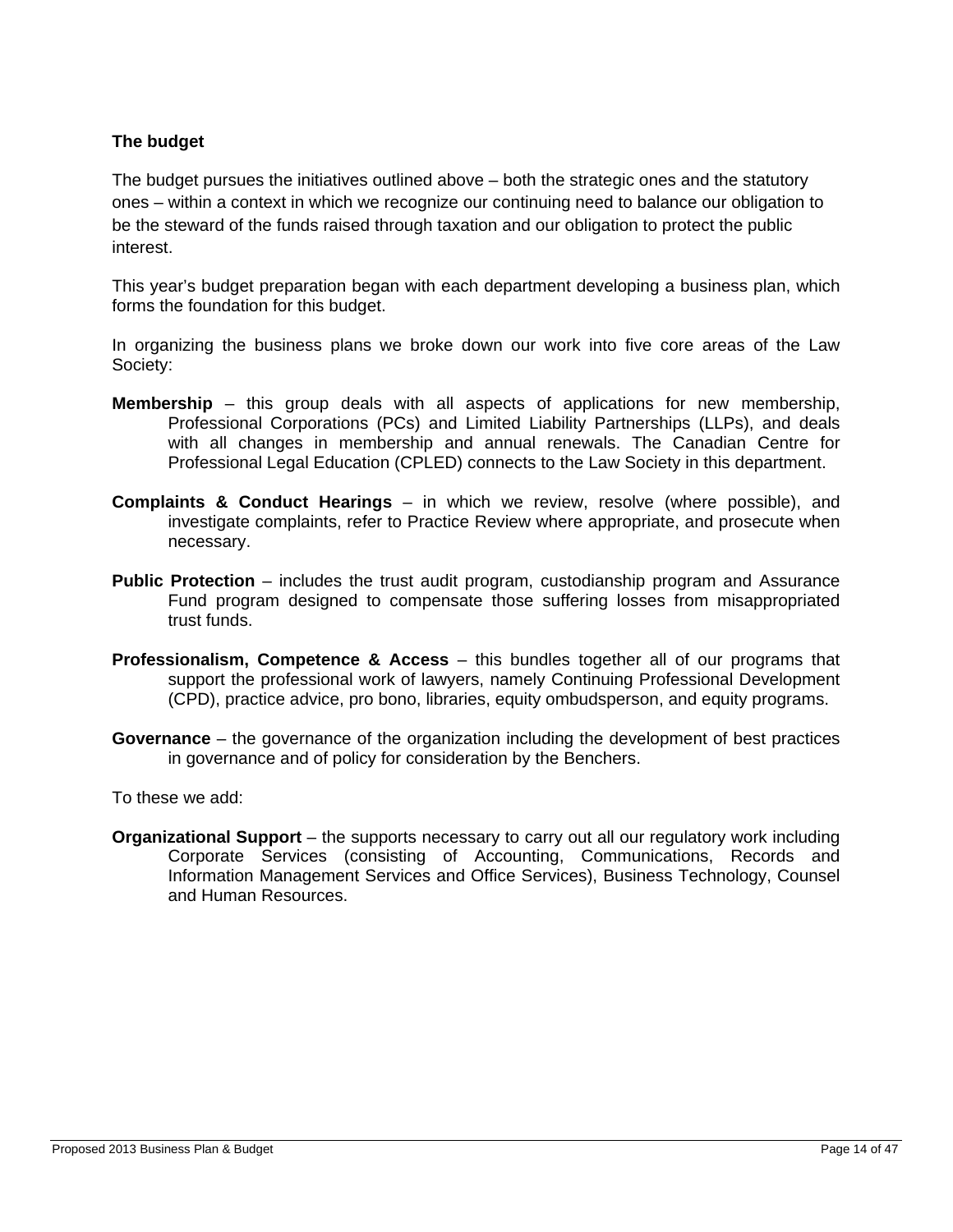#### **The budget**

The budget pursues the initiatives outlined above – both the strategic ones and the statutory ones – within a context in which we recognize our continuing need to balance our obligation to be the steward of the funds raised through taxation and our obligation to protect the public interest.

This year's budget preparation began with each department developing a business plan, which forms the foundation for this budget.

In organizing the business plans we broke down our work into five core areas of the Law Society:

- **Membership** this group deals with all aspects of applications for new membership, Professional Corporations (PCs) and Limited Liability Partnerships (LLPs), and deals with all changes in membership and annual renewals. The Canadian Centre for Professional Legal Education (CPLED) connects to the Law Society in this department.
- **Complaints & Conduct Hearings** in which we review, resolve (where possible), and investigate complaints, refer to Practice Review where appropriate, and prosecute when necessary.
- **Public Protection** includes the trust audit program, custodianship program and Assurance Fund program designed to compensate those suffering losses from misappropriated trust funds.
- **Professionalism, Competence & Access** this bundles together all of our programs that support the professional work of lawyers, namely Continuing Professional Development (CPD), practice advice, pro bono, libraries, equity ombudsperson, and equity programs.
- **Governance** the governance of the organization including the development of best practices in governance and of policy for consideration by the Benchers.

To these we add:

**Organizational Support** – the supports necessary to carry out all our regulatory work including Corporate Services (consisting of Accounting, Communications, Records and Information Management Services and Office Services), Business Technology, Counsel and Human Resources.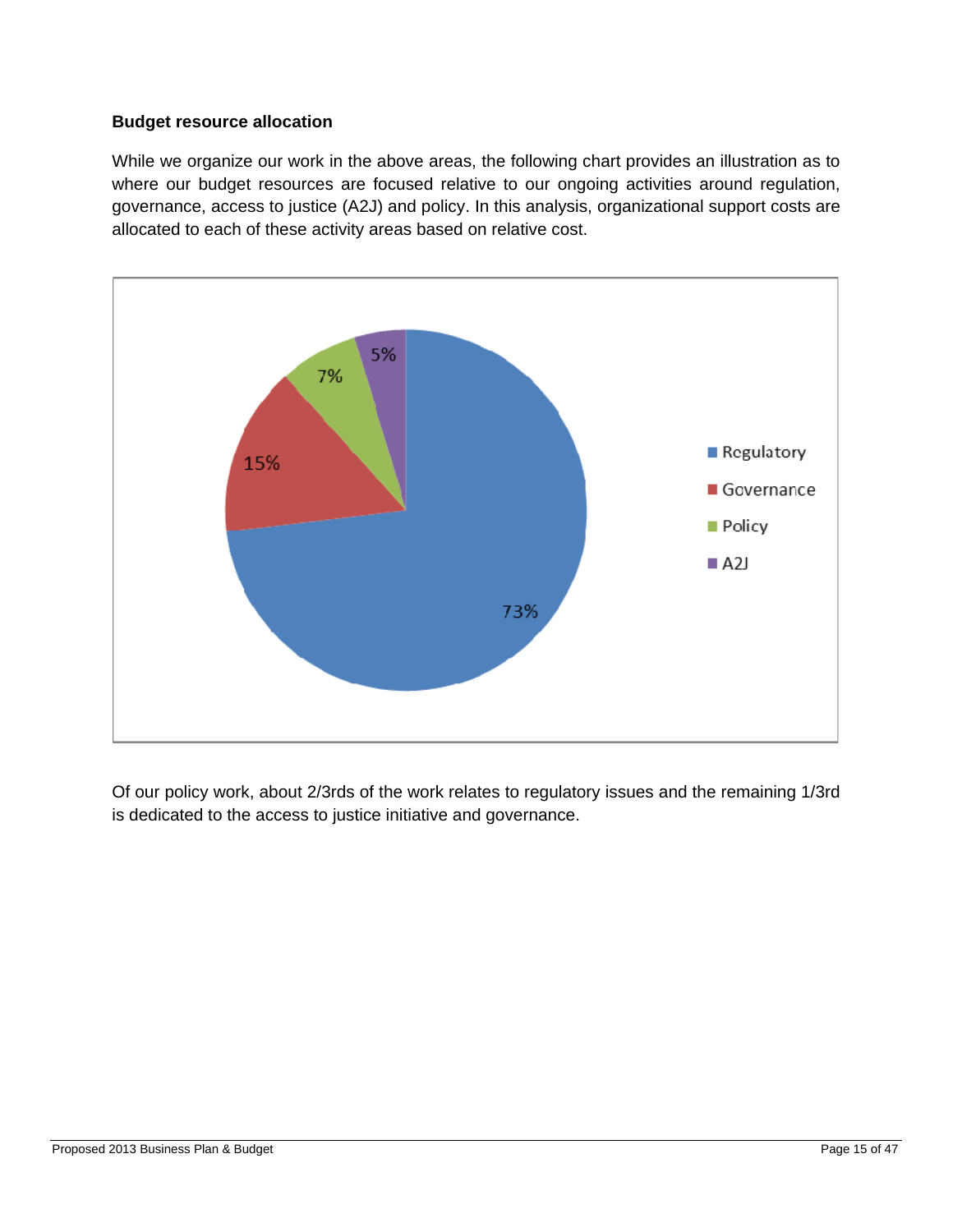#### **Budget resource allocation**

While we organize our work in the above areas, the following chart provides an illustration as to where our budget resources are focused relative to our ongoing activities around regulation, governance, access to justice (A2J) and policy. In this analysis, organizational support costs are allocated to each of these activity areas based on relative cost.



Of our policy work, about 2/3rds of the work relates to regulatory issues and the remaining 1/3rd is dedicated to the access to justice initiative and governance.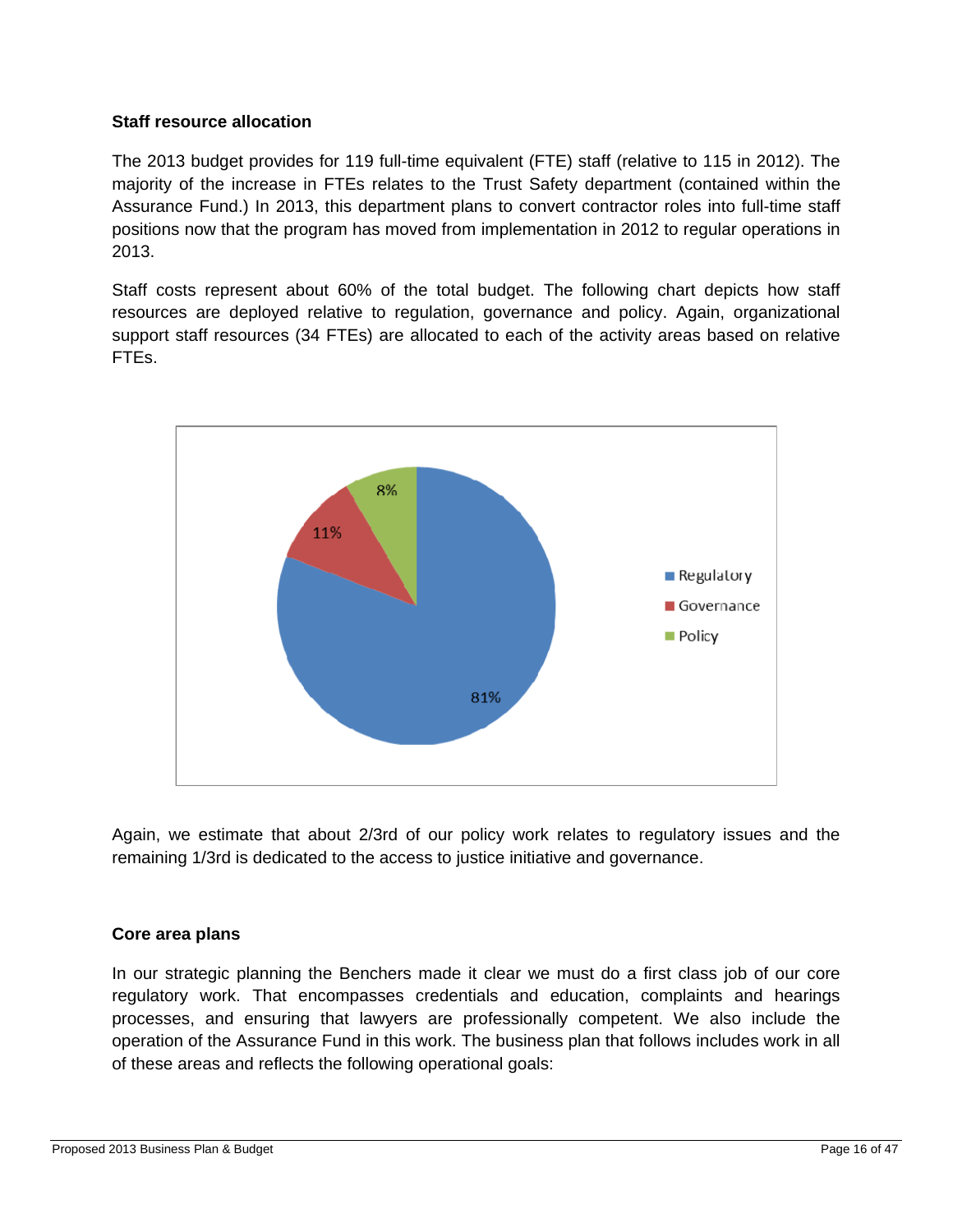#### **Staff resource allocation**

The 2013 budget provides for 119 full-time equivalent (FTE) staff (relative to 115 in 2012). The majority of the increase in FTEs relates to the Trust Safety department (contained within the Assurance Fund.) In 2013, this department plans to convert contractor roles into full-time staff positions now that the program has moved from implementation in 2012 to regular operations in 2013.

Staff costs represent about 60% of the total budget. The following chart depicts how staff resources are deployed relative to regulation, governance and policy. Again, organizational support staff resources (34 FTEs) are allocated to each of the activity areas based on relative FTEs.



Again, we estimate that about 2/3rd of our policy work relates to regulatory issues and the remaining 1/3rd is dedicated to the access to justice initiative and governance.

#### **Core area plans**

In our strategic planning the Benchers made it clear we must do a first class job of our core regulatory work. That encompasses credentials and education, complaints and hearings processes, and ensuring that lawyers are professionally competent. We also include the operation of the Assurance Fund in this work. The business plan that follows includes work in all of these areas and reflects the following operational goals: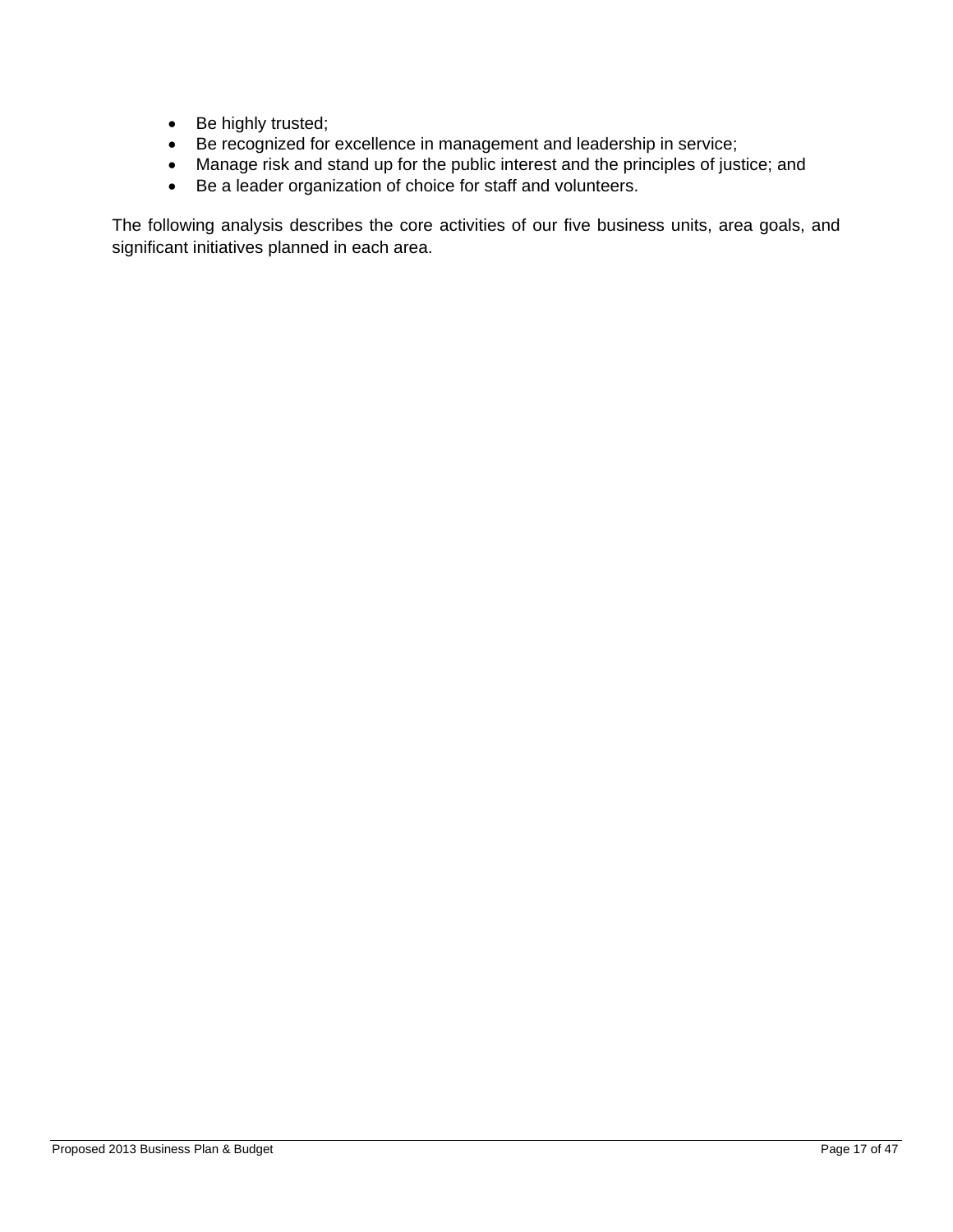- Be highly trusted;
- Be recognized for excellence in management and leadership in service;
- Manage risk and stand up for the public interest and the principles of justice; and
- Be a leader organization of choice for staff and volunteers.

The following analysis describes the core activities of our five business units, area goals, and significant initiatives planned in each area.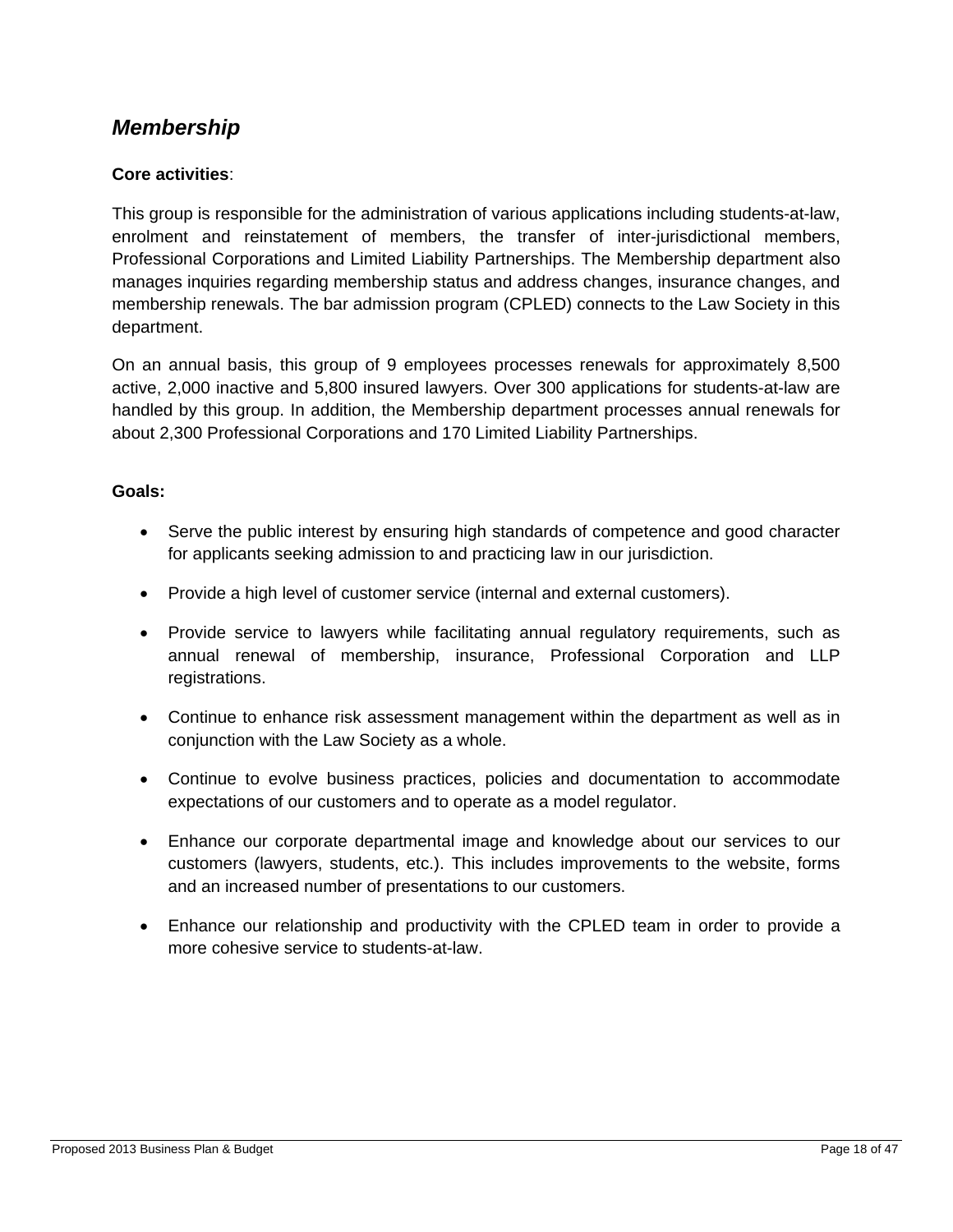### *Membership*

#### **Core activities**:

This group is responsible for the administration of various applications including students-at-law, enrolment and reinstatement of members, the transfer of inter-jurisdictional members, Professional Corporations and Limited Liability Partnerships. The Membership department also manages inquiries regarding membership status and address changes, insurance changes, and membership renewals. The bar admission program (CPLED) connects to the Law Society in this department.

On an annual basis, this group of 9 employees processes renewals for approximately 8,500 active, 2,000 inactive and 5,800 insured lawyers. Over 300 applications for students-at-law are handled by this group. In addition, the Membership department processes annual renewals for about 2,300 Professional Corporations and 170 Limited Liability Partnerships.

#### **Goals:**

- Serve the public interest by ensuring high standards of competence and good character for applicants seeking admission to and practicing law in our jurisdiction.
- Provide a high level of customer service (internal and external customers).
- Provide service to lawyers while facilitating annual regulatory requirements, such as annual renewal of membership, insurance, Professional Corporation and LLP registrations.
- Continue to enhance risk assessment management within the department as well as in conjunction with the Law Society as a whole.
- Continue to evolve business practices, policies and documentation to accommodate expectations of our customers and to operate as a model regulator.
- Enhance our corporate departmental image and knowledge about our services to our customers (lawyers, students, etc.). This includes improvements to the website, forms and an increased number of presentations to our customers.
- Enhance our relationship and productivity with the CPLED team in order to provide a more cohesive service to students-at-law.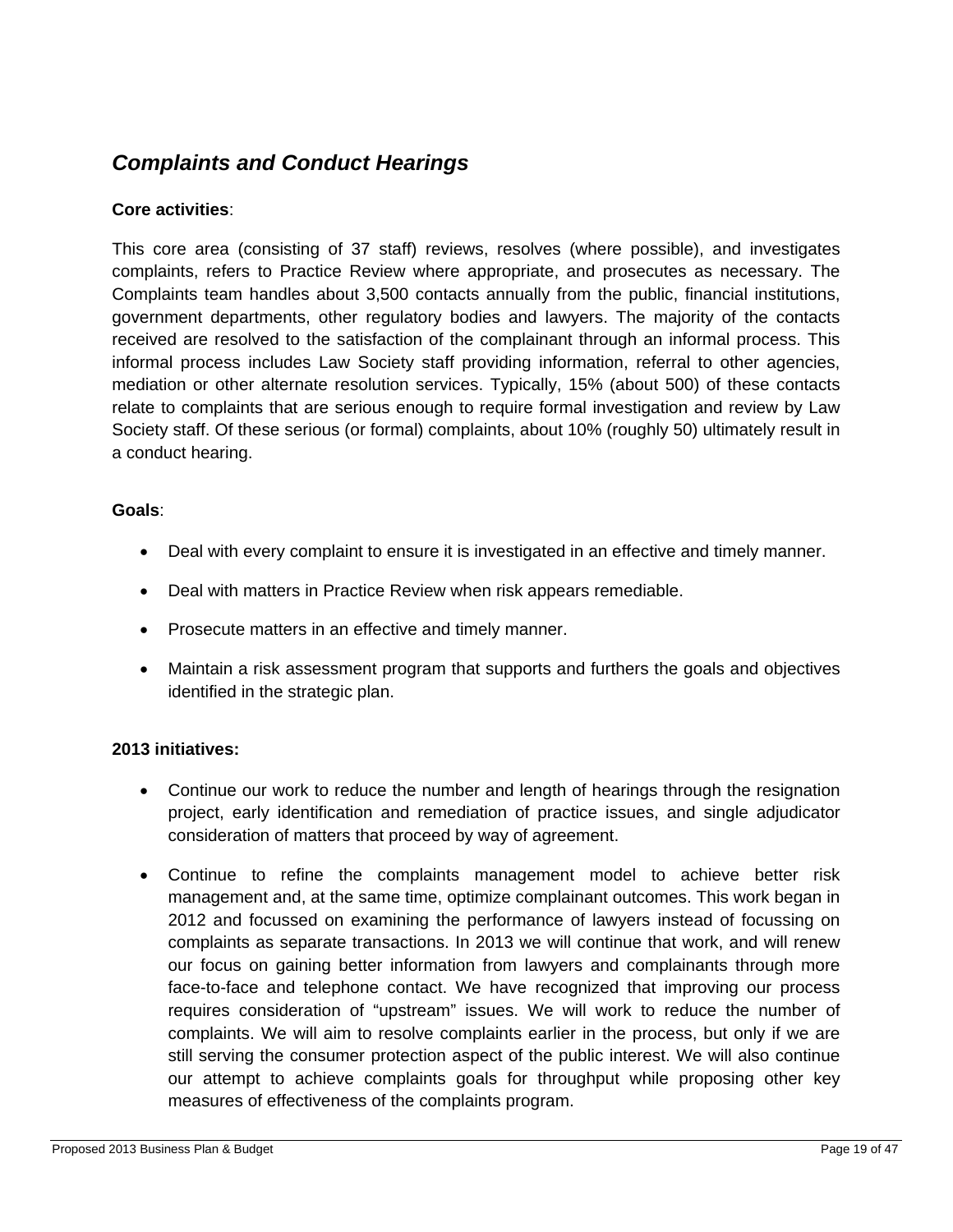### *Complaints and Conduct Hearings*

#### **Core activities**:

This core area (consisting of 37 staff) reviews, resolves (where possible), and investigates complaints, refers to Practice Review where appropriate, and prosecutes as necessary. The Complaints team handles about 3,500 contacts annually from the public, financial institutions, government departments, other regulatory bodies and lawyers. The majority of the contacts received are resolved to the satisfaction of the complainant through an informal process. This informal process includes Law Society staff providing information, referral to other agencies, mediation or other alternate resolution services. Typically, 15% (about 500) of these contacts relate to complaints that are serious enough to require formal investigation and review by Law Society staff. Of these serious (or formal) complaints, about 10% (roughly 50) ultimately result in a conduct hearing.

#### **Goals**:

- Deal with every complaint to ensure it is investigated in an effective and timely manner.
- Deal with matters in Practice Review when risk appears remediable.
- Prosecute matters in an effective and timely manner.
- Maintain a risk assessment program that supports and furthers the goals and objectives identified in the strategic plan.

#### **2013 initiatives:**

- Continue our work to reduce the number and length of hearings through the resignation project, early identification and remediation of practice issues, and single adjudicator consideration of matters that proceed by way of agreement.
- Continue to refine the complaints management model to achieve better risk management and, at the same time, optimize complainant outcomes. This work began in 2012 and focussed on examining the performance of lawyers instead of focussing on complaints as separate transactions. In 2013 we will continue that work, and will renew our focus on gaining better information from lawyers and complainants through more face-to-face and telephone contact. We have recognized that improving our process requires consideration of "upstream" issues. We will work to reduce the number of complaints. We will aim to resolve complaints earlier in the process, but only if we are still serving the consumer protection aspect of the public interest. We will also continue our attempt to achieve complaints goals for throughput while proposing other key measures of effectiveness of the complaints program.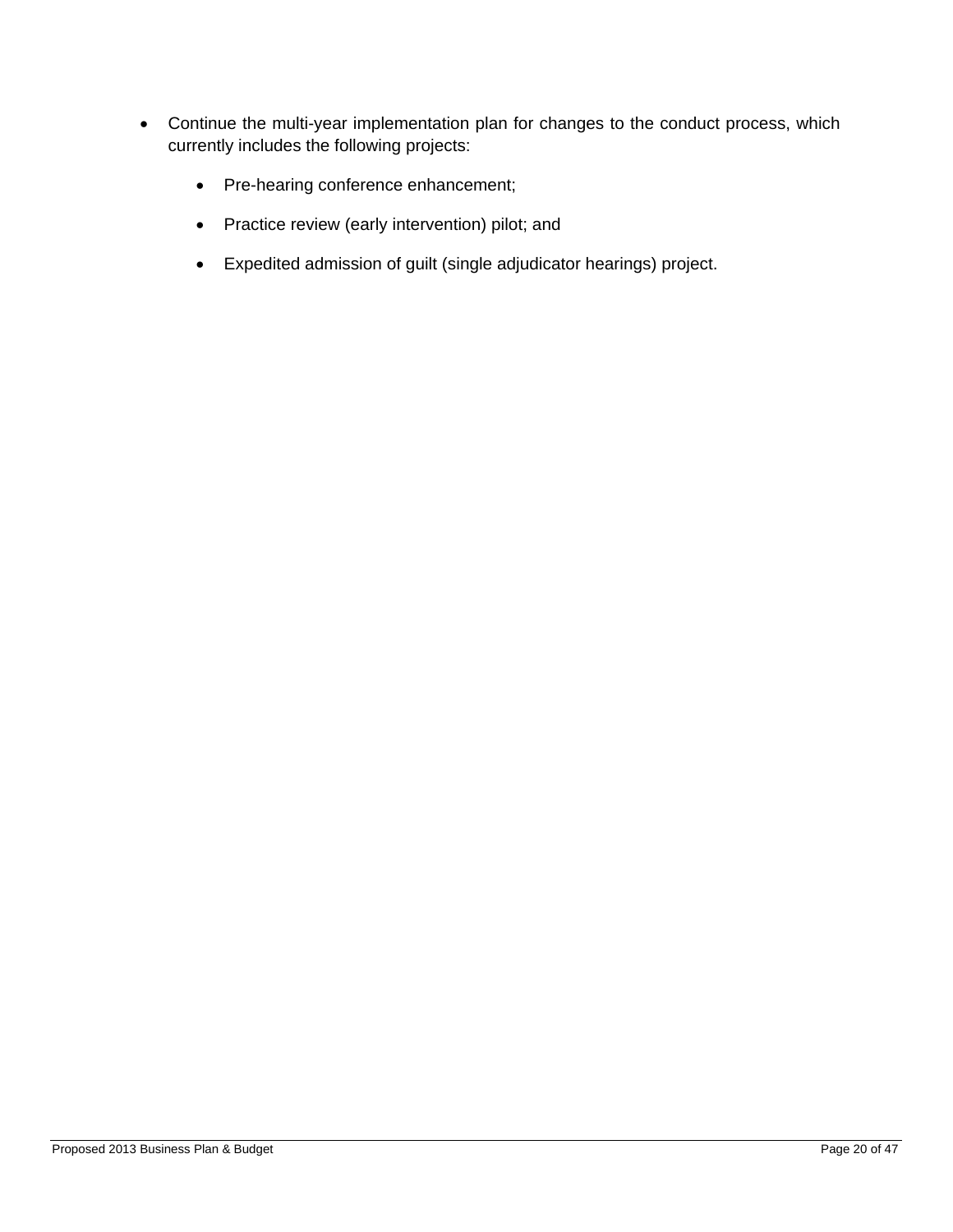- Continue the multi-year implementation plan for changes to the conduct process, which currently includes the following projects:
	- Pre-hearing conference enhancement;
	- Practice review (early intervention) pilot; and
	- Expedited admission of guilt (single adjudicator hearings) project.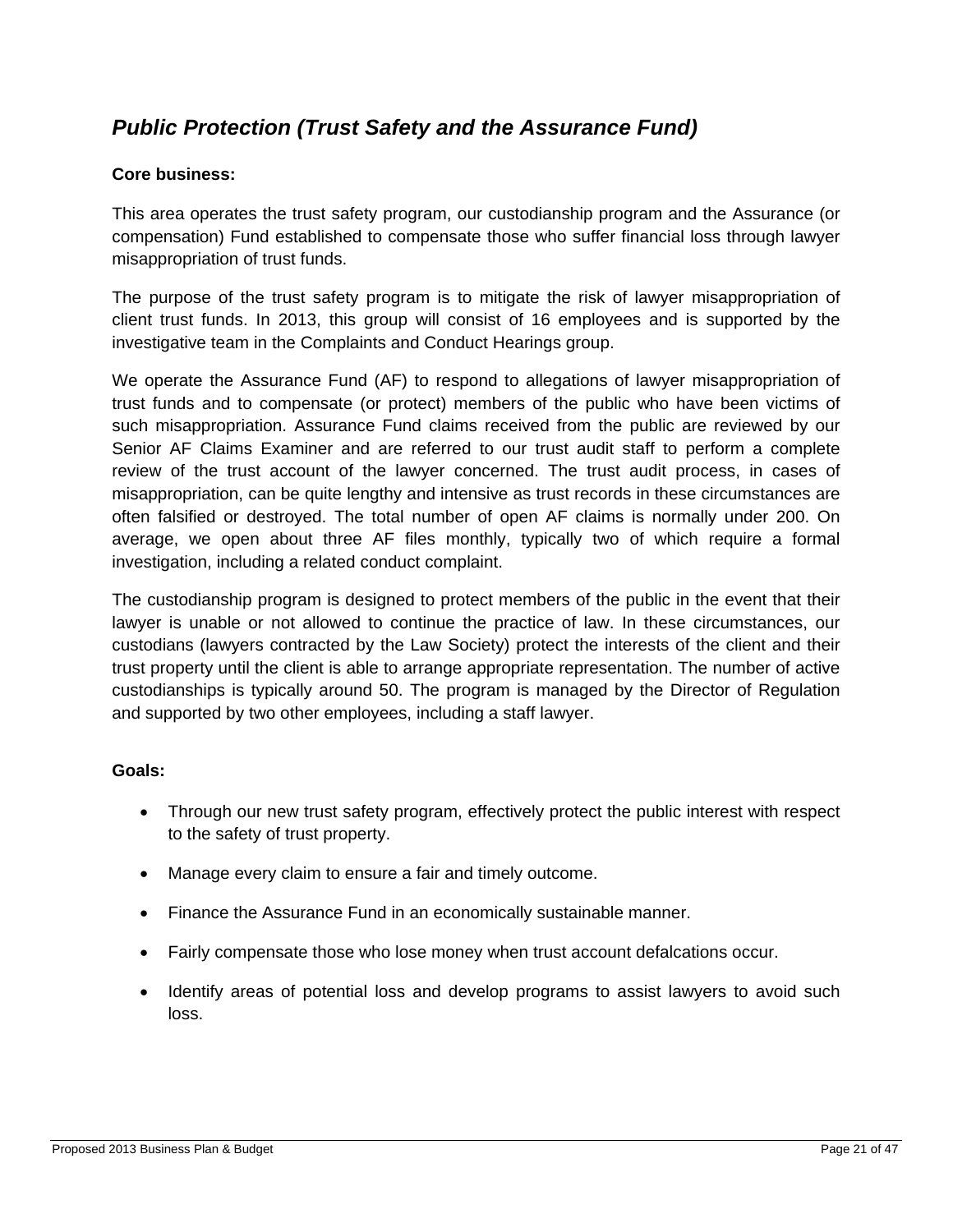## *Public Protection (Trust Safety and the Assurance Fund)*

#### **Core business:**

This area operates the trust safety program, our custodianship program and the Assurance (or compensation) Fund established to compensate those who suffer financial loss through lawyer misappropriation of trust funds.

The purpose of the trust safety program is to mitigate the risk of lawyer misappropriation of client trust funds. In 2013, this group will consist of 16 employees and is supported by the investigative team in the Complaints and Conduct Hearings group.

We operate the Assurance Fund (AF) to respond to allegations of lawyer misappropriation of trust funds and to compensate (or protect) members of the public who have been victims of such misappropriation. Assurance Fund claims received from the public are reviewed by our Senior AF Claims Examiner and are referred to our trust audit staff to perform a complete review of the trust account of the lawyer concerned. The trust audit process, in cases of misappropriation, can be quite lengthy and intensive as trust records in these circumstances are often falsified or destroyed. The total number of open AF claims is normally under 200. On average, we open about three AF files monthly, typically two of which require a formal investigation, including a related conduct complaint.

The custodianship program is designed to protect members of the public in the event that their lawyer is unable or not allowed to continue the practice of law. In these circumstances, our custodians (lawyers contracted by the Law Society) protect the interests of the client and their trust property until the client is able to arrange appropriate representation. The number of active custodianships is typically around 50. The program is managed by the Director of Regulation and supported by two other employees, including a staff lawyer.

#### **Goals:**

- Through our new trust safety program, effectively protect the public interest with respect to the safety of trust property.
- Manage every claim to ensure a fair and timely outcome.
- Finance the Assurance Fund in an economically sustainable manner.
- Fairly compensate those who lose money when trust account defalcations occur.
- Identify areas of potential loss and develop programs to assist lawyers to avoid such loss.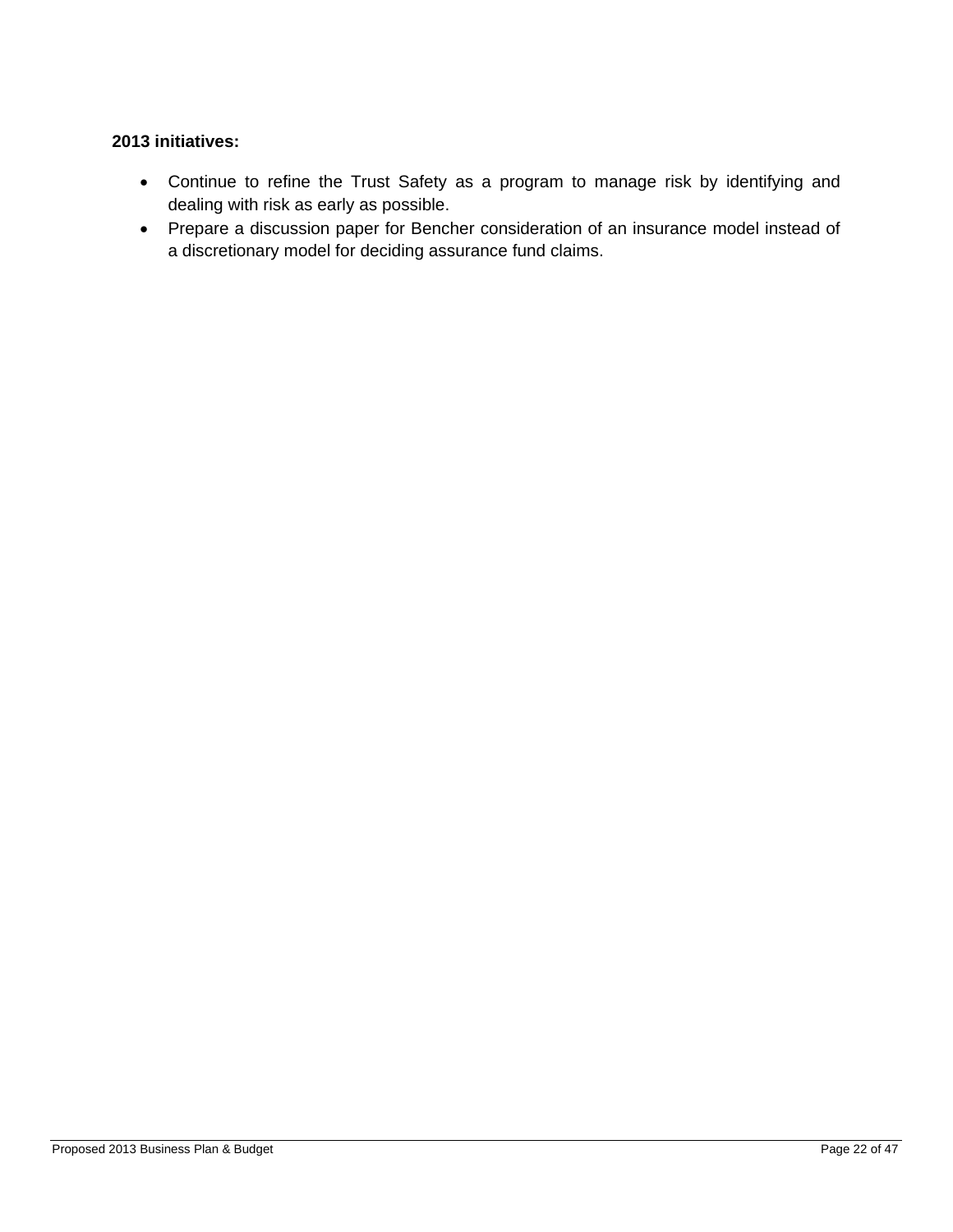#### **2013 initiatives:**

- Continue to refine the Trust Safety as a program to manage risk by identifying and dealing with risk as early as possible.
- Prepare a discussion paper for Bencher consideration of an insurance model instead of a discretionary model for deciding assurance fund claims.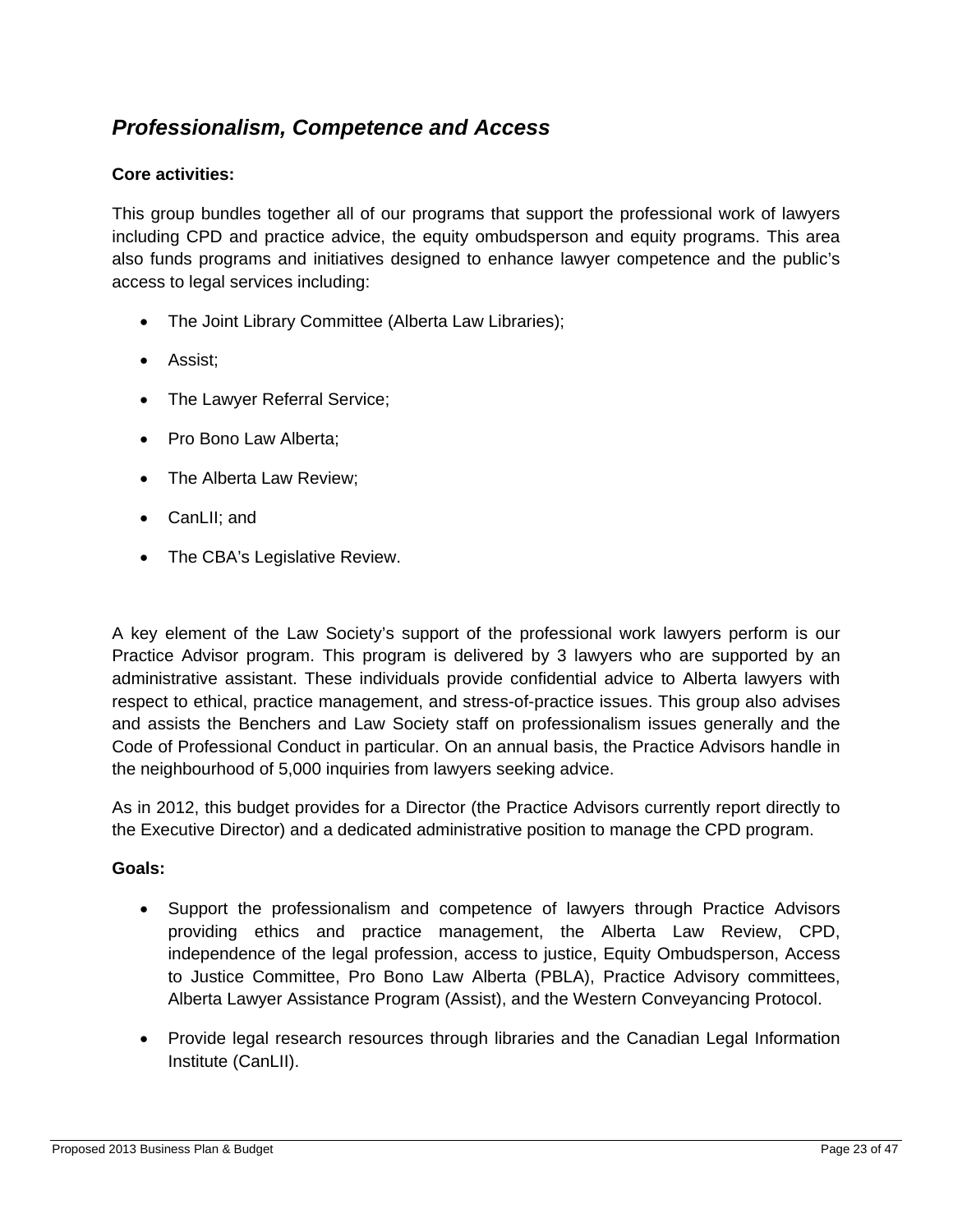### *Professionalism, Competence and Access*

#### **Core activities:**

This group bundles together all of our programs that support the professional work of lawyers including CPD and practice advice, the equity ombudsperson and equity programs. This area also funds programs and initiatives designed to enhance lawyer competence and the public's access to legal services including:

- The Joint Library Committee (Alberta Law Libraries);
- Assist;
- The Lawyer Referral Service;
- Pro Bono Law Alberta:
- The Alberta Law Review;
- CanLII; and
- The CBA's Legislative Review.

A key element of the Law Society's support of the professional work lawyers perform is our Practice Advisor program. This program is delivered by 3 lawyers who are supported by an administrative assistant. These individuals provide confidential advice to Alberta lawyers with respect to ethical, practice management, and stress-of-practice issues. This group also advises and assists the Benchers and Law Society staff on professionalism issues generally and the Code of Professional Conduct in particular. On an annual basis, the Practice Advisors handle in the neighbourhood of 5,000 inquiries from lawyers seeking advice.

As in 2012, this budget provides for a Director (the Practice Advisors currently report directly to the Executive Director) and a dedicated administrative position to manage the CPD program.

#### **Goals:**

- Support the professionalism and competence of lawyers through Practice Advisors providing ethics and practice management, the Alberta Law Review, CPD, independence of the legal profession, access to justice, Equity Ombudsperson, Access to Justice Committee, Pro Bono Law Alberta (PBLA), Practice Advisory committees, Alberta Lawyer Assistance Program (Assist), and the Western Conveyancing Protocol.
- Provide legal research resources through libraries and the Canadian Legal Information Institute (CanLII).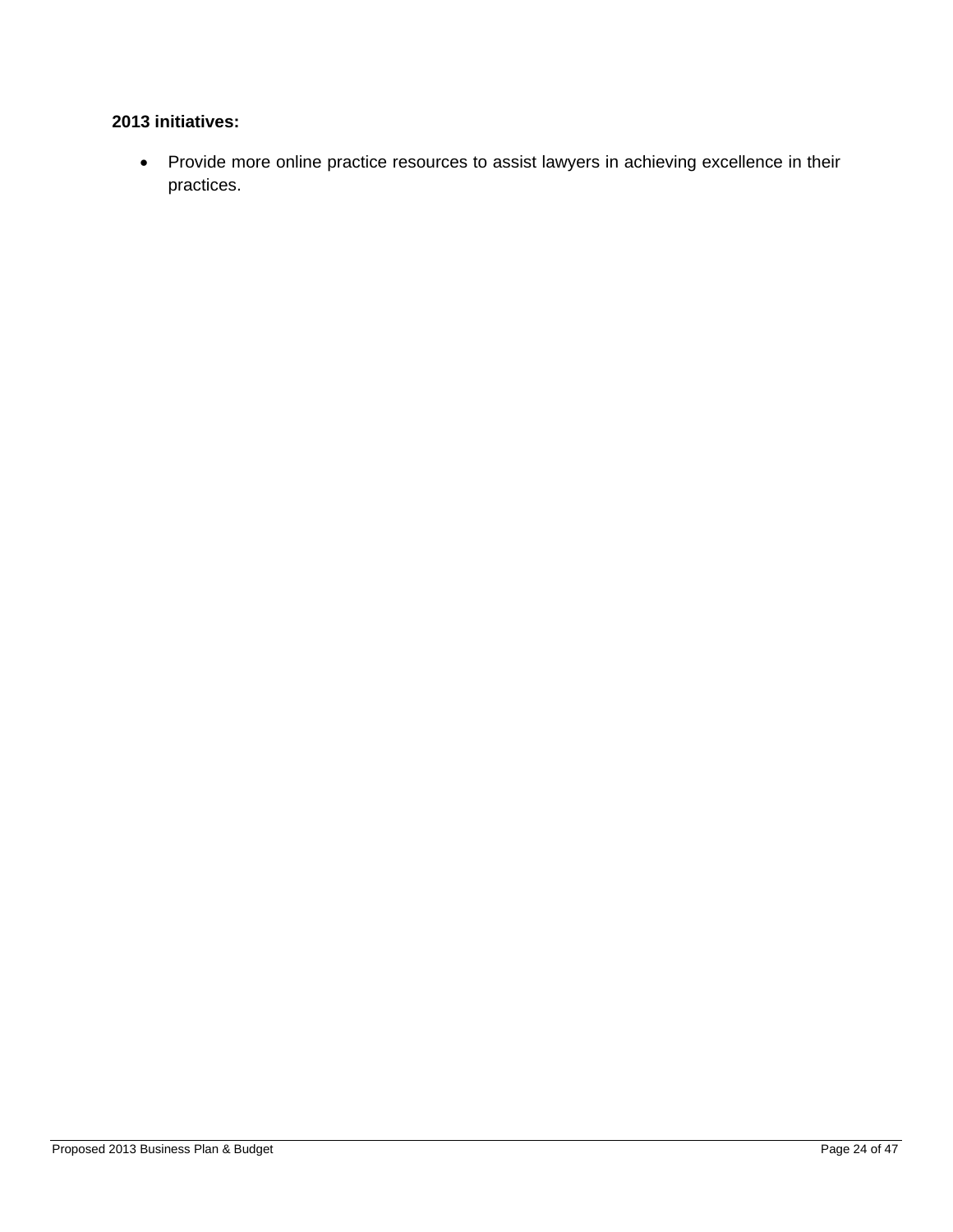#### **2013 initiatives:**

 Provide more online practice resources to assist lawyers in achieving excellence in their practices.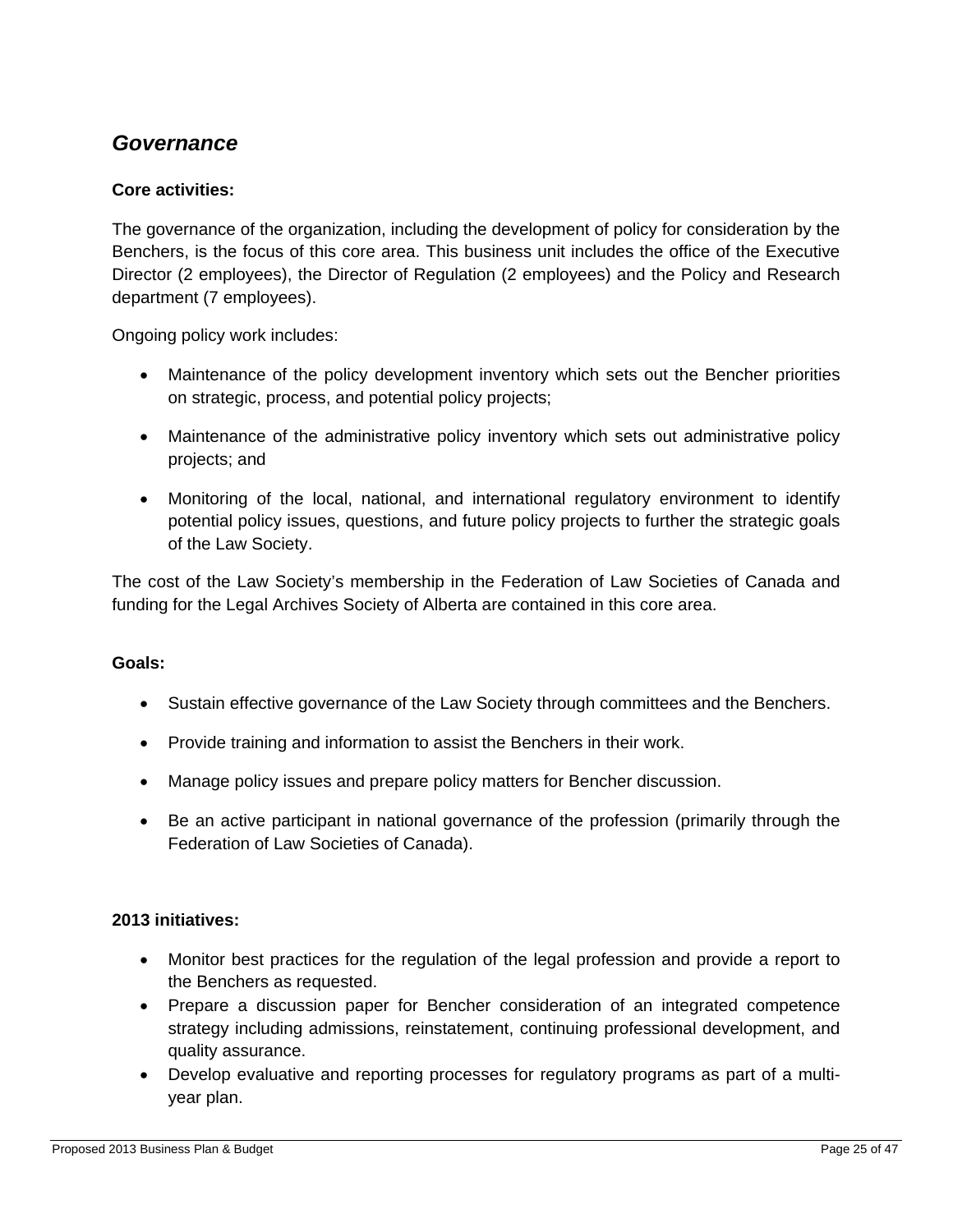### *Governance*

#### **Core activities:**

The governance of the organization, including the development of policy for consideration by the Benchers, is the focus of this core area. This business unit includes the office of the Executive Director (2 employees), the Director of Regulation (2 employees) and the Policy and Research department (7 employees).

Ongoing policy work includes:

- Maintenance of the policy development inventory which sets out the Bencher priorities on strategic, process, and potential policy projects;
- Maintenance of the administrative policy inventory which sets out administrative policy projects; and
- Monitoring of the local, national, and international regulatory environment to identify potential policy issues, questions, and future policy projects to further the strategic goals of the Law Society.

The cost of the Law Society's membership in the Federation of Law Societies of Canada and funding for the Legal Archives Society of Alberta are contained in this core area.

#### **Goals:**

- Sustain effective governance of the Law Society through committees and the Benchers.
- Provide training and information to assist the Benchers in their work.
- Manage policy issues and prepare policy matters for Bencher discussion.
- Be an active participant in national governance of the profession (primarily through the Federation of Law Societies of Canada).

#### **2013 initiatives:**

- Monitor best practices for the regulation of the legal profession and provide a report to the Benchers as requested.
- Prepare a discussion paper for Bencher consideration of an integrated competence strategy including admissions, reinstatement, continuing professional development, and quality assurance.
- Develop evaluative and reporting processes for regulatory programs as part of a multiyear plan.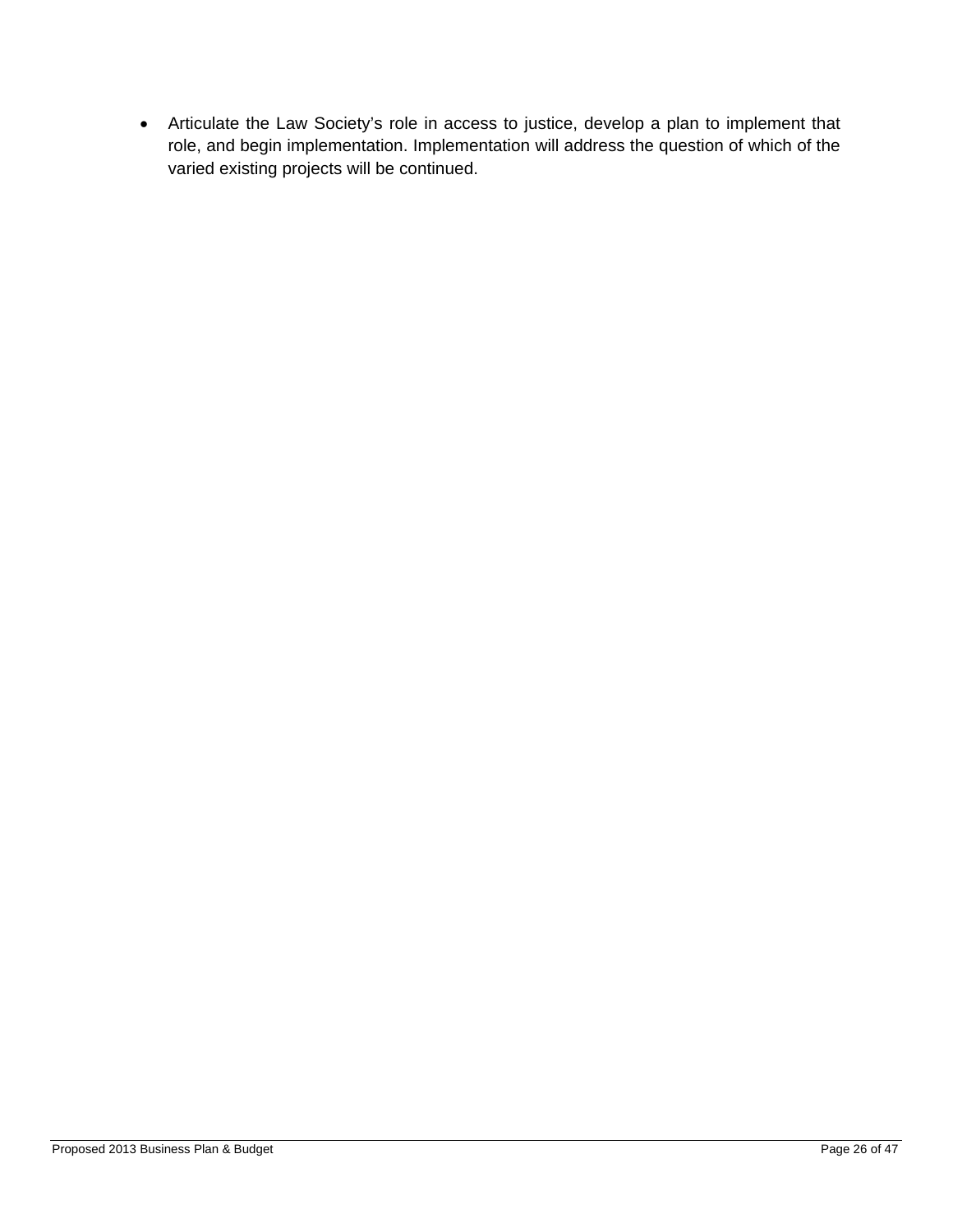Articulate the Law Society's role in access to justice, develop a plan to implement that role, and begin implementation. Implementation will address the question of which of the varied existing projects will be continued.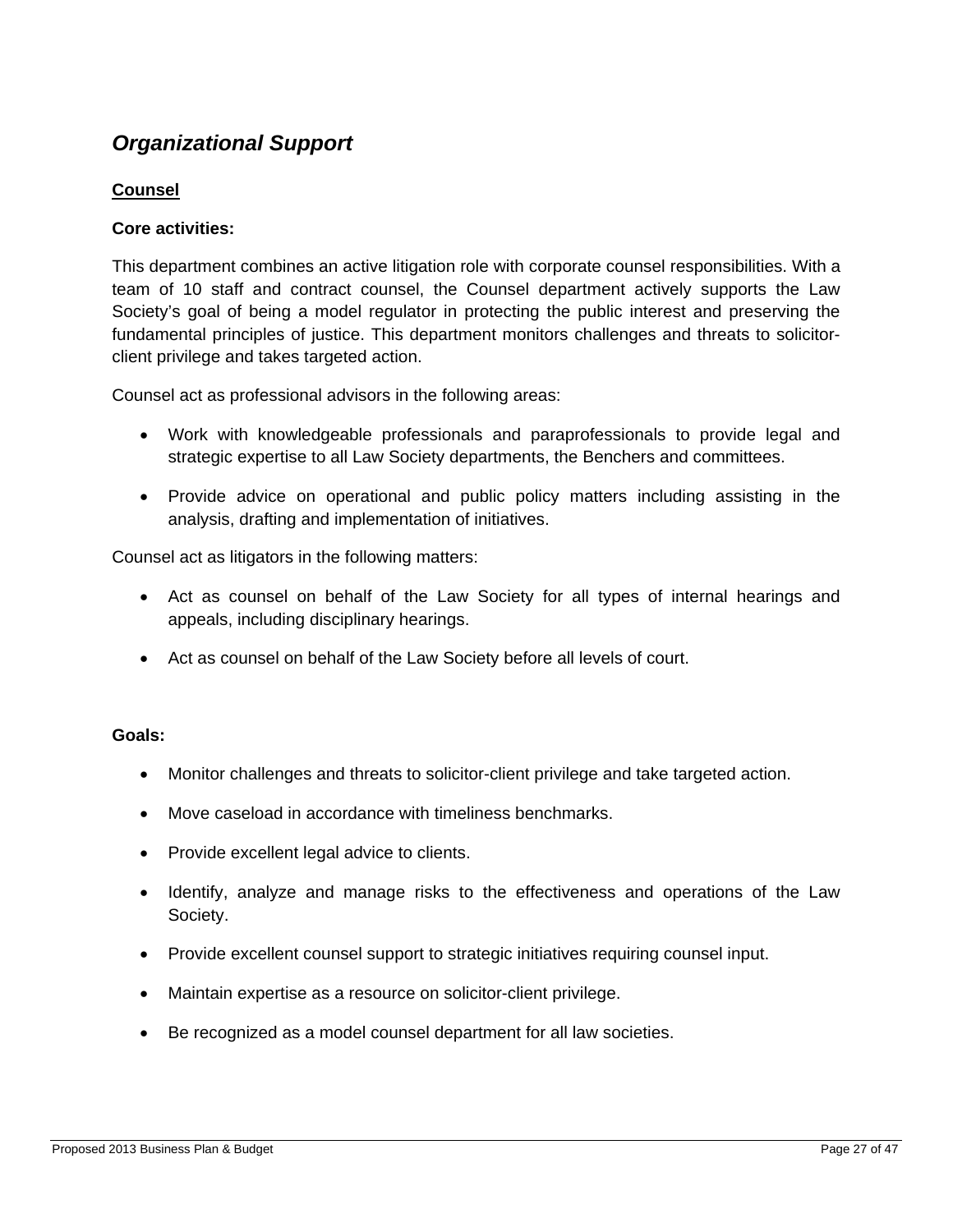## *Organizational Support*

#### **Counsel**

#### **Core activities:**

This department combines an active litigation role with corporate counsel responsibilities. With a team of 10 staff and contract counsel, the Counsel department actively supports the Law Society's goal of being a model regulator in protecting the public interest and preserving the fundamental principles of justice. This department monitors challenges and threats to solicitorclient privilege and takes targeted action.

Counsel act as professional advisors in the following areas:

- Work with knowledgeable professionals and paraprofessionals to provide legal and strategic expertise to all Law Society departments, the Benchers and committees.
- Provide advice on operational and public policy matters including assisting in the analysis, drafting and implementation of initiatives.

Counsel act as litigators in the following matters:

- Act as counsel on behalf of the Law Society for all types of internal hearings and appeals, including disciplinary hearings.
- Act as counsel on behalf of the Law Society before all levels of court.

#### **Goals:**

- Monitor challenges and threats to solicitor-client privilege and take targeted action.
- Move caseload in accordance with timeliness benchmarks.
- Provide excellent legal advice to clients.
- Identify, analyze and manage risks to the effectiveness and operations of the Law Society.
- Provide excellent counsel support to strategic initiatives requiring counsel input.
- Maintain expertise as a resource on solicitor-client privilege.
- Be recognized as a model counsel department for all law societies.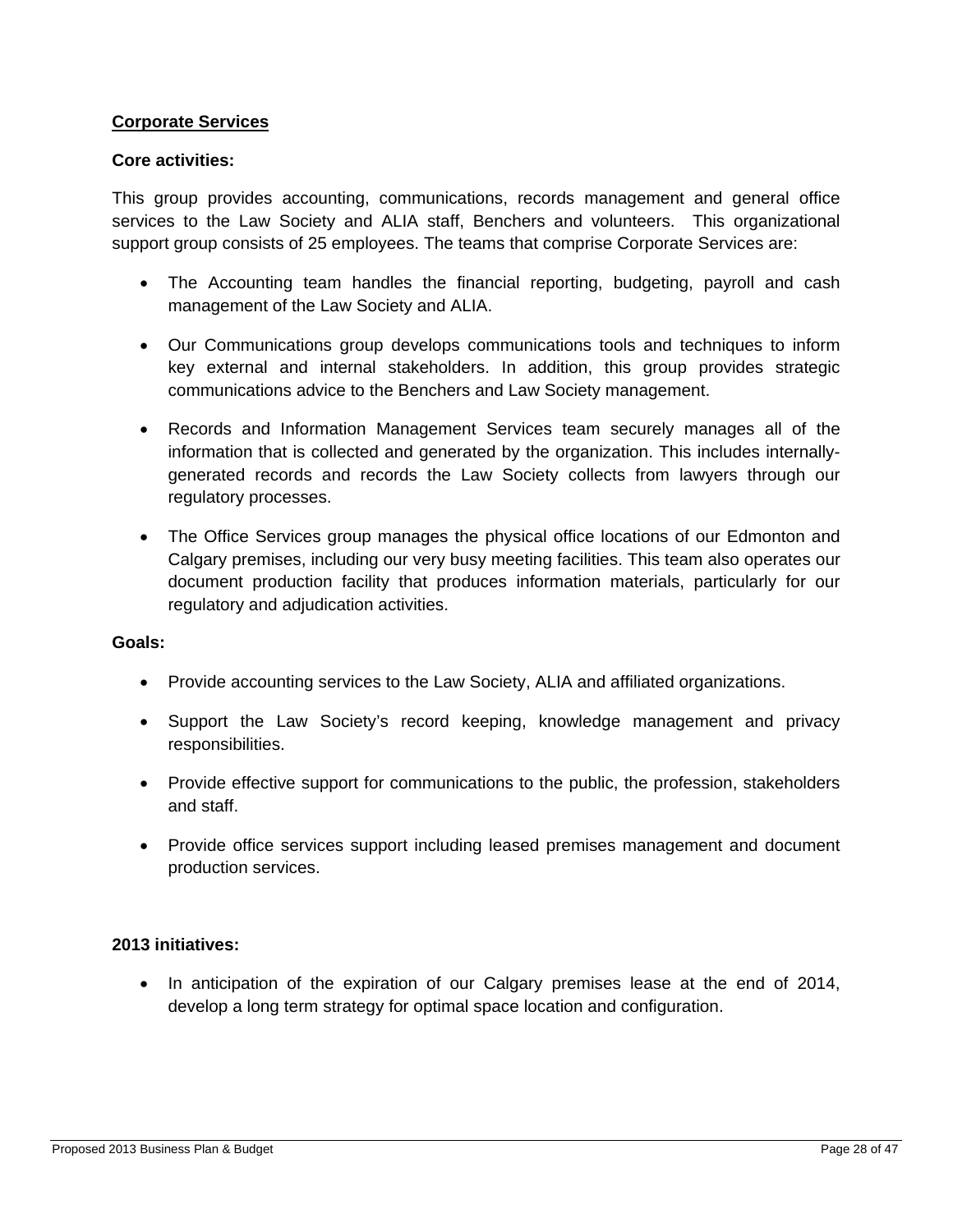#### **Corporate Services**

#### **Core activities:**

This group provides accounting, communications, records management and general office services to the Law Society and ALIA staff, Benchers and volunteers. This organizational support group consists of 25 employees. The teams that comprise Corporate Services are:

- The Accounting team handles the financial reporting, budgeting, payroll and cash management of the Law Society and ALIA.
- Our Communications group develops communications tools and techniques to inform key external and internal stakeholders. In addition, this group provides strategic communications advice to the Benchers and Law Society management.
- Records and Information Management Services team securely manages all of the information that is collected and generated by the organization. This includes internallygenerated records and records the Law Society collects from lawyers through our regulatory processes.
- The Office Services group manages the physical office locations of our Edmonton and Calgary premises, including our very busy meeting facilities. This team also operates our document production facility that produces information materials, particularly for our regulatory and adjudication activities.

#### **Goals:**

- Provide accounting services to the Law Society, ALIA and affiliated organizations.
- Support the Law Society's record keeping, knowledge management and privacy responsibilities.
- Provide effective support for communications to the public, the profession, stakeholders and staff.
- Provide office services support including leased premises management and document production services.

#### **2013 initiatives:**

• In anticipation of the expiration of our Calgary premises lease at the end of 2014, develop a long term strategy for optimal space location and configuration.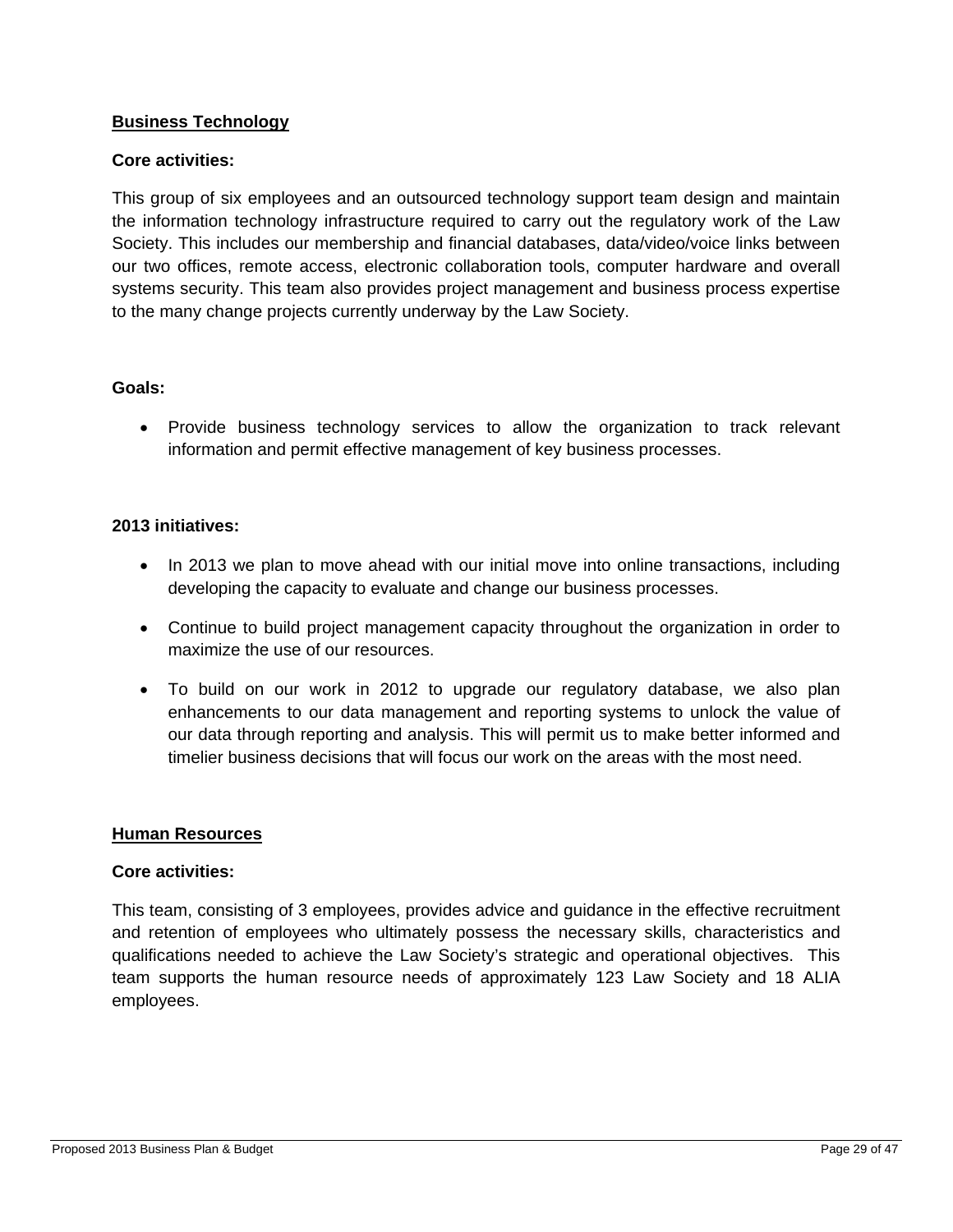#### **Business Technology**

#### **Core activities:**

This group of six employees and an outsourced technology support team design and maintain the information technology infrastructure required to carry out the regulatory work of the Law Society. This includes our membership and financial databases, data/video/voice links between our two offices, remote access, electronic collaboration tools, computer hardware and overall systems security. This team also provides project management and business process expertise to the many change projects currently underway by the Law Society.

#### **Goals:**

 Provide business technology services to allow the organization to track relevant information and permit effective management of key business processes.

#### **2013 initiatives:**

- In 2013 we plan to move ahead with our initial move into online transactions, including developing the capacity to evaluate and change our business processes.
- Continue to build project management capacity throughout the organization in order to maximize the use of our resources.
- To build on our work in 2012 to upgrade our regulatory database, we also plan enhancements to our data management and reporting systems to unlock the value of our data through reporting and analysis. This will permit us to make better informed and timelier business decisions that will focus our work on the areas with the most need.

#### **Human Resources**

#### **Core activities:**

This team, consisting of 3 employees, provides advice and guidance in the effective recruitment and retention of employees who ultimately possess the necessary skills, characteristics and qualifications needed to achieve the Law Society's strategic and operational objectives. This team supports the human resource needs of approximately 123 Law Society and 18 ALIA employees.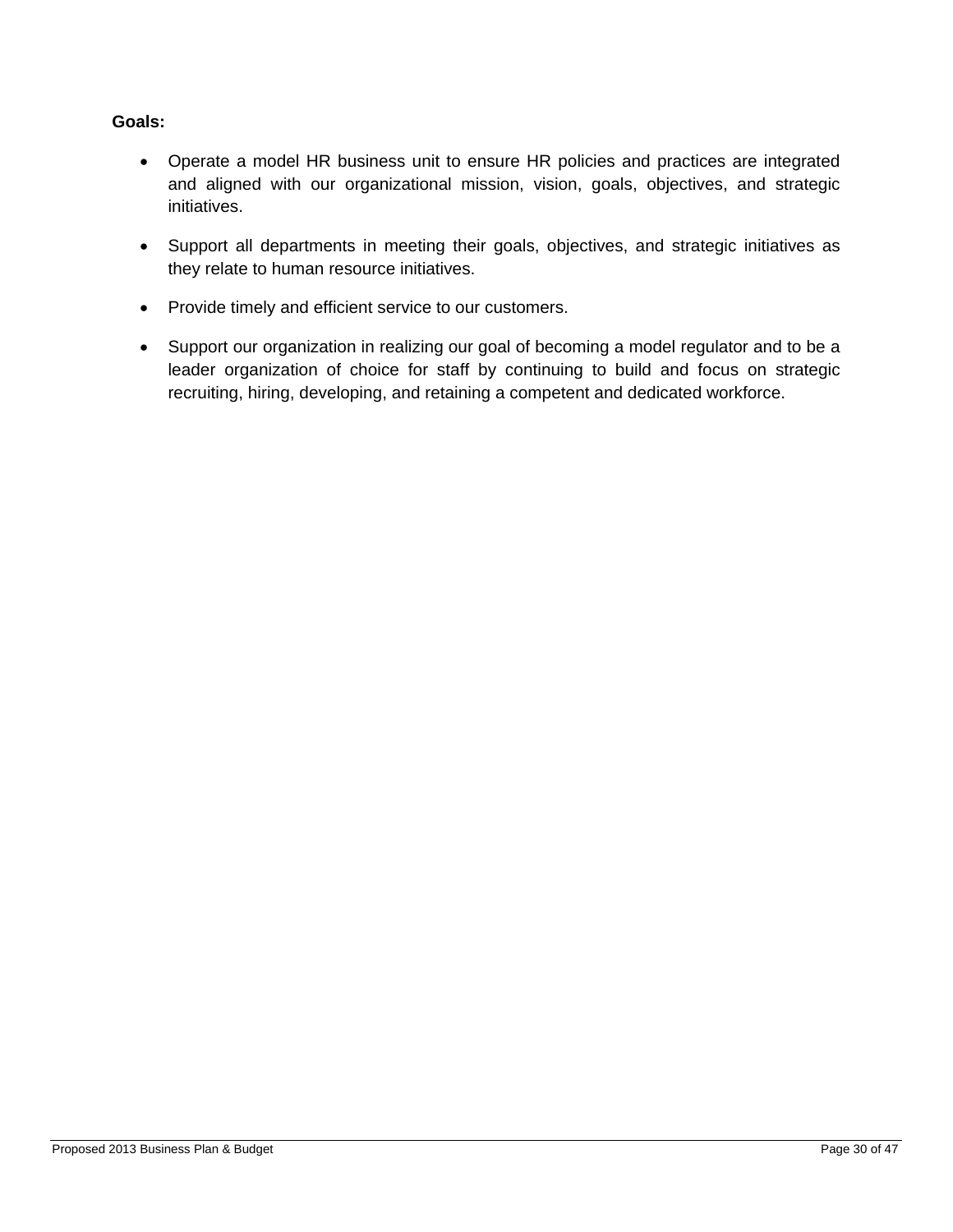#### **Goals:**

- Operate a model HR business unit to ensure HR policies and practices are integrated and aligned with our organizational mission, vision, goals, objectives, and strategic initiatives.
- Support all departments in meeting their goals, objectives, and strategic initiatives as they relate to human resource initiatives.
- Provide timely and efficient service to our customers.
- Support our organization in realizing our goal of becoming a model regulator and to be a leader organization of choice for staff by continuing to build and focus on strategic recruiting, hiring, developing, and retaining a competent and dedicated workforce.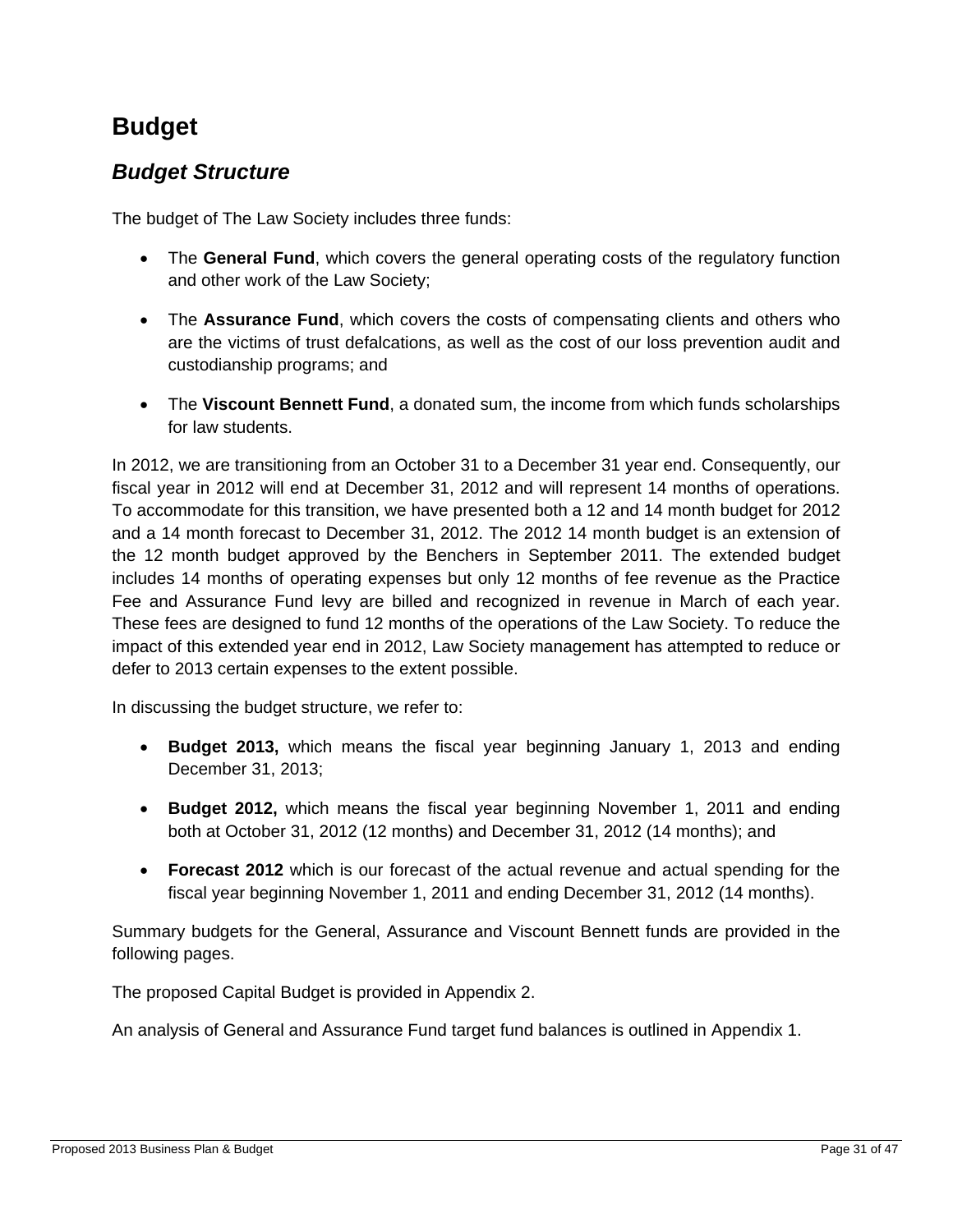## **Budget**

### *Budget Structure*

The budget of The Law Society includes three funds:

- The **General Fund**, which covers the general operating costs of the regulatory function and other work of the Law Society;
- The **Assurance Fund**, which covers the costs of compensating clients and others who are the victims of trust defalcations, as well as the cost of our loss prevention audit and custodianship programs; and
- The **Viscount Bennett Fund**, a donated sum, the income from which funds scholarships for law students.

In 2012, we are transitioning from an October 31 to a December 31 year end. Consequently, our fiscal year in 2012 will end at December 31, 2012 and will represent 14 months of operations. To accommodate for this transition, we have presented both a 12 and 14 month budget for 2012 and a 14 month forecast to December 31, 2012. The 2012 14 month budget is an extension of the 12 month budget approved by the Benchers in September 2011. The extended budget includes 14 months of operating expenses but only 12 months of fee revenue as the Practice Fee and Assurance Fund levy are billed and recognized in revenue in March of each year. These fees are designed to fund 12 months of the operations of the Law Society. To reduce the impact of this extended year end in 2012, Law Society management has attempted to reduce or defer to 2013 certain expenses to the extent possible.

In discussing the budget structure, we refer to:

- **Budget 2013,** which means the fiscal year beginning January 1, 2013 and ending December 31, 2013;
- **Budget 2012,** which means the fiscal year beginning November 1, 2011 and ending both at October 31, 2012 (12 months) and December 31, 2012 (14 months); and
- **Forecast 2012** which is our forecast of the actual revenue and actual spending for the fiscal year beginning November 1, 2011 and ending December 31, 2012 (14 months).

Summary budgets for the General, Assurance and Viscount Bennett funds are provided in the following pages.

The proposed Capital Budget is provided in Appendix 2.

An analysis of General and Assurance Fund target fund balances is outlined in Appendix 1.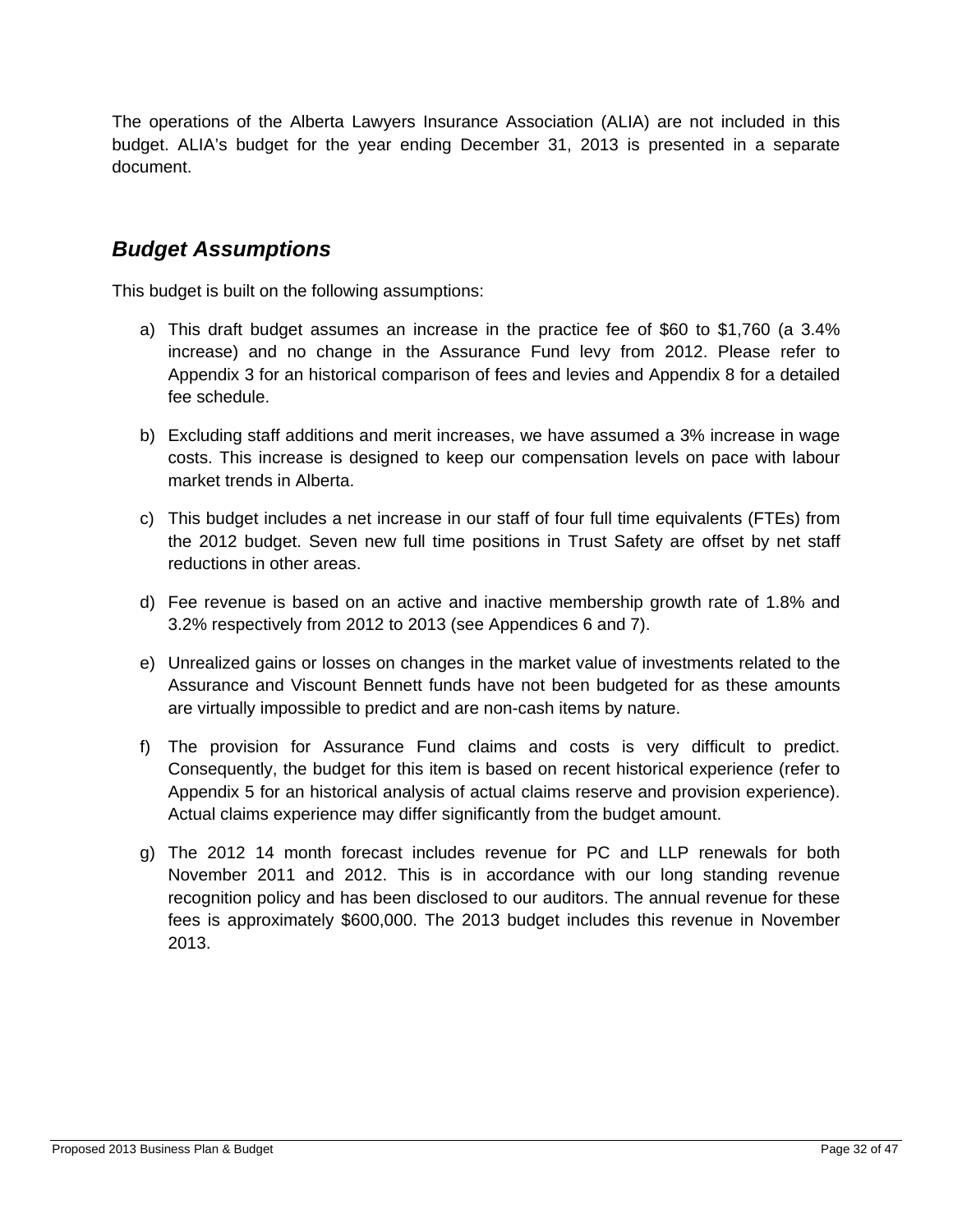The operations of the Alberta Lawyers Insurance Association (ALIA) are not included in this budget. ALIA's budget for the year ending December 31, 2013 is presented in a separate document.

### *Budget Assumptions*

This budget is built on the following assumptions:

- a) This draft budget assumes an increase in the practice fee of \$60 to \$1,760 (a 3.4% increase) and no change in the Assurance Fund levy from 2012. Please refer to Appendix 3 for an historical comparison of fees and levies and Appendix 8 for a detailed fee schedule.
- b) Excluding staff additions and merit increases, we have assumed a 3% increase in wage costs. This increase is designed to keep our compensation levels on pace with labour market trends in Alberta.
- c) This budget includes a net increase in our staff of four full time equivalents (FTEs) from the 2012 budget. Seven new full time positions in Trust Safety are offset by net staff reductions in other areas.
- d) Fee revenue is based on an active and inactive membership growth rate of 1.8% and 3.2% respectively from 2012 to 2013 (see Appendices 6 and 7).
- e) Unrealized gains or losses on changes in the market value of investments related to the Assurance and Viscount Bennett funds have not been budgeted for as these amounts are virtually impossible to predict and are non-cash items by nature.
- f) The provision for Assurance Fund claims and costs is very difficult to predict. Consequently, the budget for this item is based on recent historical experience (refer to Appendix 5 for an historical analysis of actual claims reserve and provision experience). Actual claims experience may differ significantly from the budget amount.
- g) The 2012 14 month forecast includes revenue for PC and LLP renewals for both November 2011 and 2012. This is in accordance with our long standing revenue recognition policy and has been disclosed to our auditors. The annual revenue for these fees is approximately \$600,000. The 2013 budget includes this revenue in November 2013.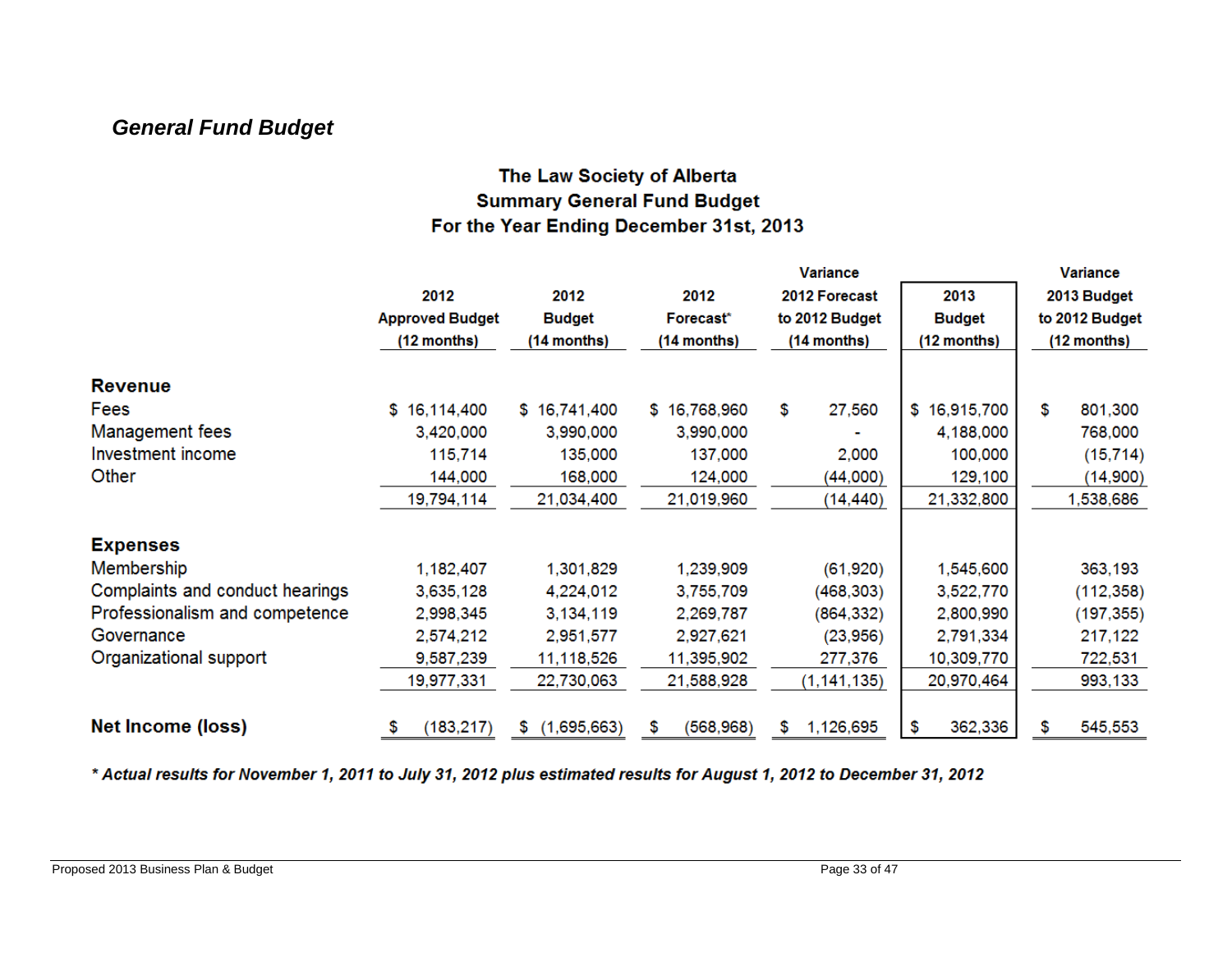### *General Fund Budget*

### The Law Society of Alberta **Summary General Fund Budget** For the Year Ending December 31st, 2013

|                                 |                        |               |                 | <b>Variance</b> |                  |                |
|---------------------------------|------------------------|---------------|-----------------|-----------------|------------------|----------------|
|                                 | 2012                   | 2012          | 2012            | 2012 Forecast   | 2013             | 2013 Budget    |
|                                 | <b>Approved Budget</b> | <b>Budget</b> | Forecast*       | to 2012 Budget  | <b>Budget</b>    | to 2012 Budget |
|                                 | (12 months)            | (14 months)   | (14 months)     | (14 months)     | (12 months)      | (12 months)    |
| <b>Revenue</b>                  |                        |               |                 |                 |                  |                |
| Fees                            | \$16,114,400           | \$16,741,400  | \$16,768,960    | \$<br>27,560    | \$<br>16,915,700 | \$<br>801,300  |
| <b>Management fees</b>          | 3,420,000              | 3,990,000     | 3,990,000       |                 | 4,188,000        | 768,000        |
| Investment income               | 115,714                | 135,000       | 137,000         | 2,000           | 100,000          | (15, 714)      |
| Other                           | 144,000                | 168,000       | 124,000         | (44,000)        | 129,100          | (14,900)       |
|                                 | 19,794,114             | 21,034,400    | 21,019,960      | (14, 440)       | 21,332,800       | 1,538,686      |
| <b>Expenses</b>                 |                        |               |                 |                 |                  |                |
| Membership                      | 1,182,407              | 1,301,829     | 1,239,909       | (61, 920)       | 1,545,600        | 363,193        |
| Complaints and conduct hearings | 3,635,128              | 4,224,012     | 3,755,709       | (468, 303)      | 3,522,770        | (112, 358)     |
| Professionalism and competence  | 2,998,345              | 3,134,119     | 2,269,787       | (864, 332)      | 2,800,990        | (197, 355)     |
| Governance                      | 2,574,212              | 2,951,577     | 2,927,621       | (23,956)        | 2,791,334        | 217,122        |
| Organizational support          | 9,587,239              | 11,118,526    | 11,395,902      | 277,376         | 10,309,770       | 722,531        |
|                                 | 19,977,331             | 22,730,063    | 21,588,928      | (1, 141, 135)   | 20,970,464       | 993,133        |
| Net Income (loss)               | (183, 217)<br>\$       | \$(1,695,663) | (568, 968)<br>S | 1,126,695<br>\$ | \$<br>362,336    | 545,553<br>\$  |

\* Actual results for November 1, 2011 to July 31, 2012 plus estimated results for August 1, 2012 to December 31, 2012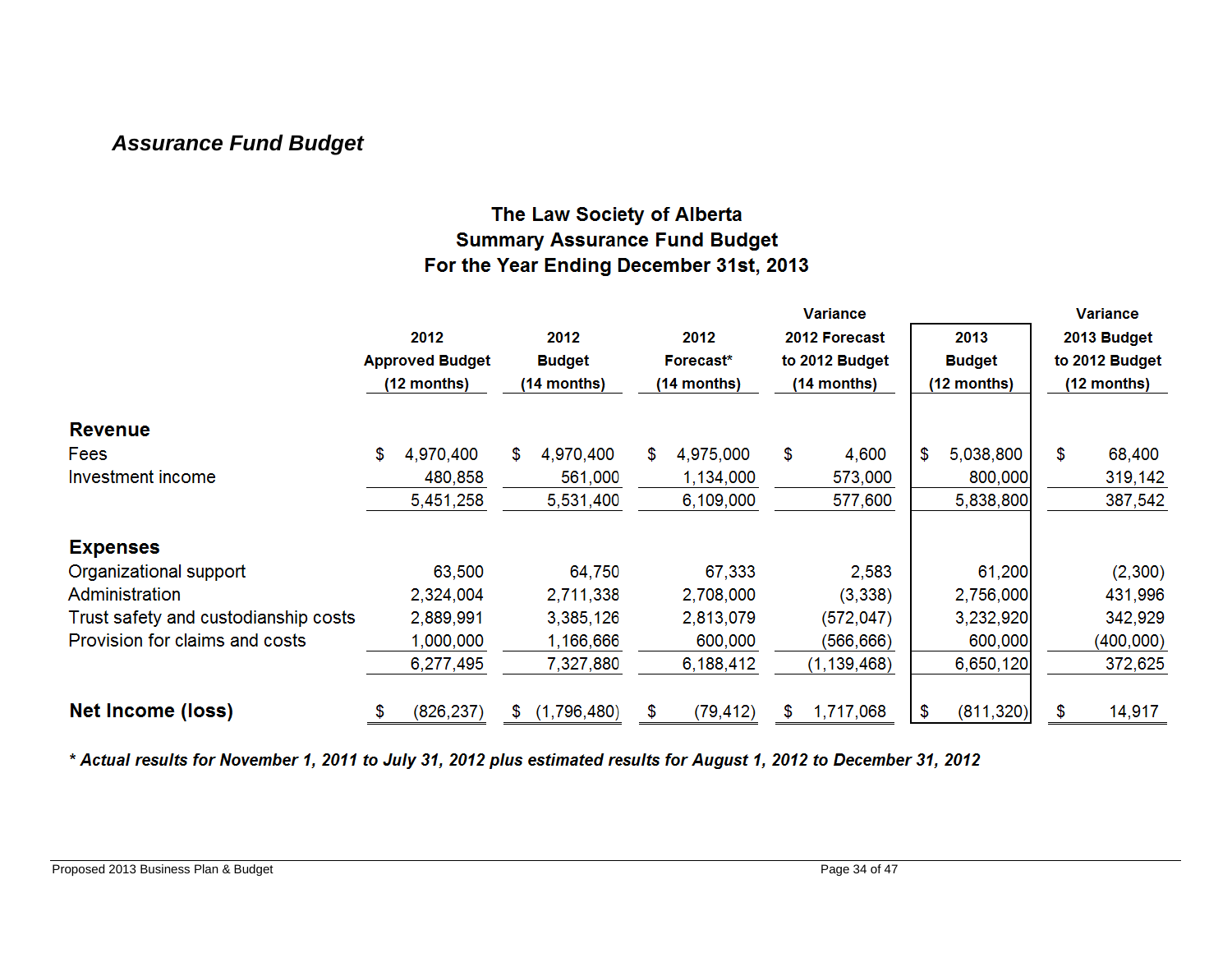### *Assurance Fund Budget*

### The Law Society of Alberta **Summary Assurance Fund Budget** For the Year Ending December 31st, 2013

|                                      |    |                        |    |               |      |             |    | <b>Variance</b> |                  |                | <b>Variance</b> |  |
|--------------------------------------|----|------------------------|----|---------------|------|-------------|----|-----------------|------------------|----------------|-----------------|--|
|                                      |    | 2012                   |    | 2012          | 2012 |             |    | 2012 Forecast   | 2013             | 2013 Budget    |                 |  |
|                                      |    | <b>Approved Budget</b> |    | <b>Budget</b> |      | Forecast*   |    | to 2012 Budget  | <b>Budget</b>    | to 2012 Budget |                 |  |
|                                      |    | (12 months)            |    | (14 months)   |      | (14 months) |    | (14 months)     | (12 months)      |                | $(12$ months)   |  |
| <b>Revenue</b>                       |    |                        |    |               |      |             |    |                 |                  |                |                 |  |
| Fees                                 | \$ | 4,970,400              | \$ | 4,970,400     | \$.  | 4,975,000   | \$ | 4,600           | \$<br>5,038,800  | \$             | 68,400          |  |
| Investment income                    |    | 480,858                |    | 561,000       |      | 1,134,000   |    | 573,000         | 800,000          |                | 319,142         |  |
|                                      |    | 5,451,258              |    | 5,531,400     |      | 6,109,000   |    | 577,600         | 5,838,800        |                | 387,542         |  |
| <b>Expenses</b>                      |    |                        |    |               |      |             |    |                 |                  |                |                 |  |
| Organizational support               |    | 63,500                 |    | 64,750        |      | 67,333      |    | 2,583           | 61,200           |                | (2,300)         |  |
| Administration                       |    | 2,324,004              |    | 2,711,338     |      | 2,708,000   |    | (3, 338)        | 2,756,000        |                | 431,996         |  |
| Trust safety and custodianship costs |    | 2,889,991              |    | 3,385,126     |      | 2,813,079   |    | (572, 047)      | 3,232,920        |                | 342,929         |  |
| Provision for claims and costs       |    | 1,000,000              |    | 1,166,666     |      | 600,000     |    | (566,666)       | 600,000          |                | (400,000)       |  |
|                                      |    | 6,277,495              |    | 7,327,880     |      | 6,188,412   |    | (1, 139, 468)   | 6,650,120        |                | 372,625         |  |
| <b>Net Income (loss)</b>             | S  | (826, 237)             | \$ | (1,796,480)   | \$   | (79, 412)   | S  | 1,717,068       | \$<br>(811, 320) | \$             | 14,917          |  |

\* Actual results for November 1, 2011 to July 31, 2012 plus estimated results for August 1, 2012 to December 31, 2012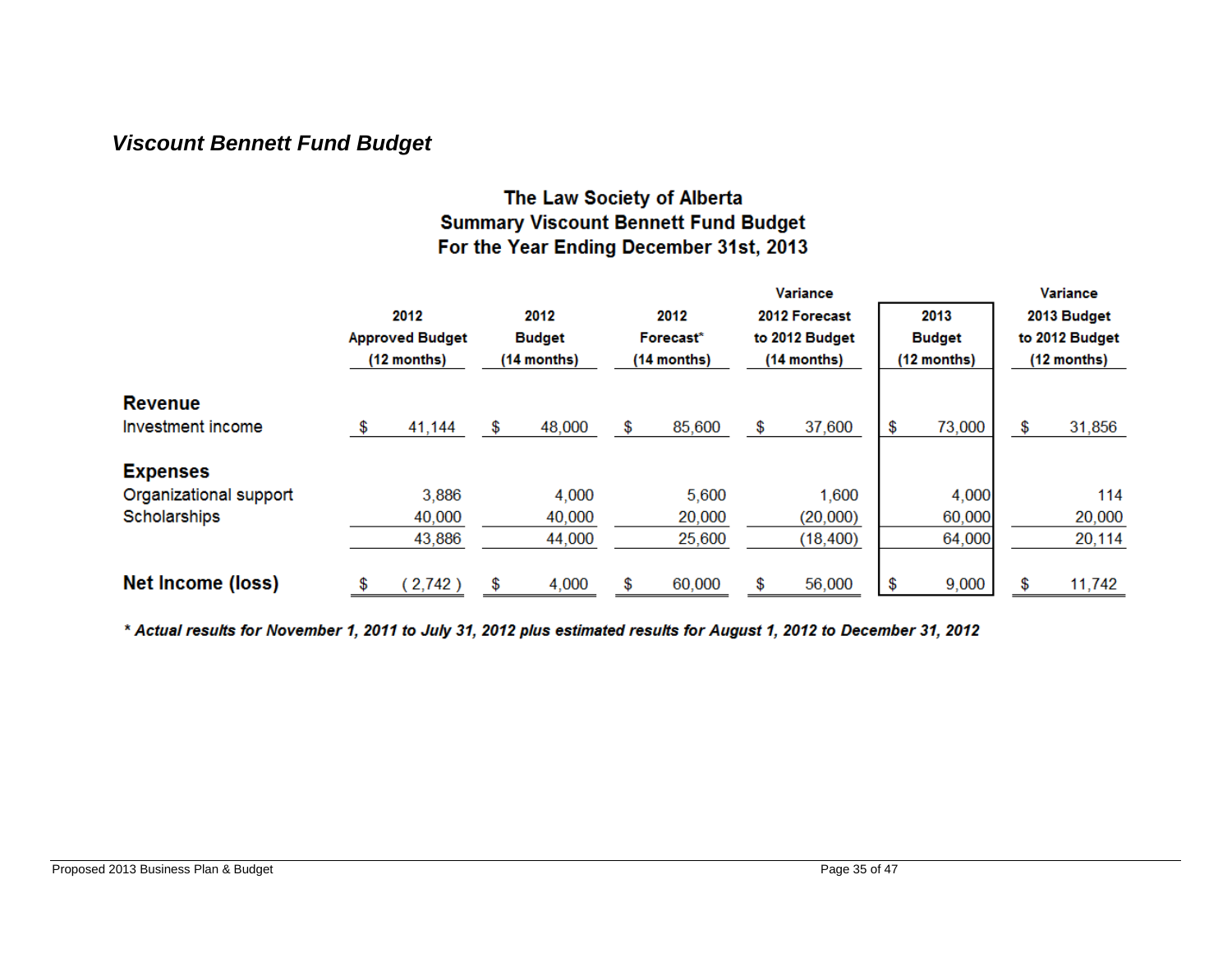### *Viscount Bennett Fund Budget*

### The Law Society of Alberta **Summary Viscount Bennett Fund Budget** For the Year Ending December 31st, 2013

|                        |                        |               | <b>Variance</b> |               |                |               |             |                |
|------------------------|------------------------|---------------|-----------------|---------------|----------------|---------------|-------------|----------------|
|                        | 2012                   | 2012          | 2012            | 2012 Forecast | 2013           |               | 2013 Budget |                |
|                        | <b>Approved Budget</b> | <b>Budget</b> |                 | Forecast*     | to 2012 Budget | <b>Budget</b> |             | to 2012 Budget |
|                        | $(12$ months)          | (14 months)   |                 | $(14$ months) | $(14$ months)  | (12 months)   |             | $(12$ months)  |
| <b>Revenue</b>         |                        |               |                 |               |                |               |             |                |
| Investment income      | \$<br>41,144           | \$<br>48,000  | \$              | 85,600        | \$<br>37,600   | \$<br>73,000  | \$          | 31,856         |
| <b>Expenses</b>        |                        |               |                 |               |                |               |             |                |
| Organizational support | 3,886                  | 4,000         |                 | 5,600         | 1,600          | 4,000         |             | 114            |
| Scholarships           | 40,000                 | 40,000        |                 | 20,000        | (20,000)       | 60,000        |             | 20,000         |
|                        | 43,886                 | 44,000        |                 | 25,600        | (18, 400)      | 64,000        |             | 20,114         |
| Net Income (loss)      | \$<br>2,742)           | \$<br>4,000   | \$              | 60,000        | \$<br>56,000   | \$<br>9,000   |             | 11,742         |

\* Actual results for November 1, 2011 to July 31, 2012 plus estimated results for August 1, 2012 to December 31, 2012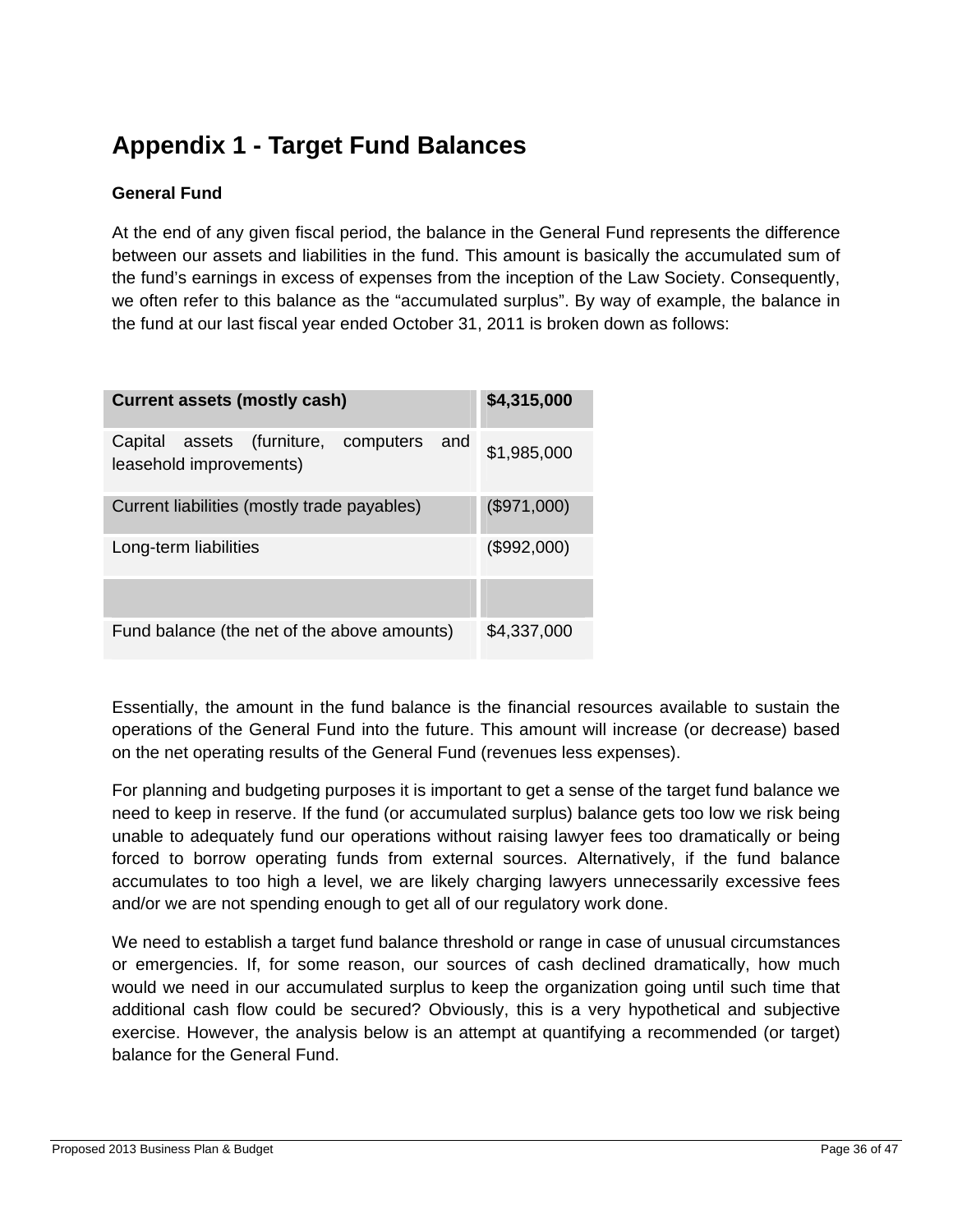## **Appendix 1 - Target Fund Balances**

#### **General Fund**

At the end of any given fiscal period, the balance in the General Fund represents the difference between our assets and liabilities in the fund. This amount is basically the accumulated sum of the fund's earnings in excess of expenses from the inception of the Law Society. Consequently, we often refer to this balance as the "accumulated surplus". By way of example, the balance in the fund at our last fiscal year ended October 31, 2011 is broken down as follows:

| <b>Current assets (mostly cash)</b><br>\$4,315,000                     |             |  |  |  |  |  |  |  |  |  |  |  |  |
|------------------------------------------------------------------------|-------------|--|--|--|--|--|--|--|--|--|--|--|--|
| Capital assets (furniture, computers<br>and<br>leasehold improvements) | \$1,985,000 |  |  |  |  |  |  |  |  |  |  |  |  |
| (\$971,000)<br>Current liabilities (mostly trade payables)             |             |  |  |  |  |  |  |  |  |  |  |  |  |
| Long-term liabilities                                                  | (\$992,000) |  |  |  |  |  |  |  |  |  |  |  |  |
|                                                                        |             |  |  |  |  |  |  |  |  |  |  |  |  |
| Fund balance (the net of the above amounts)                            | \$4,337,000 |  |  |  |  |  |  |  |  |  |  |  |  |

Essentially, the amount in the fund balance is the financial resources available to sustain the operations of the General Fund into the future. This amount will increase (or decrease) based on the net operating results of the General Fund (revenues less expenses).

For planning and budgeting purposes it is important to get a sense of the target fund balance we need to keep in reserve. If the fund (or accumulated surplus) balance gets too low we risk being unable to adequately fund our operations without raising lawyer fees too dramatically or being forced to borrow operating funds from external sources. Alternatively, if the fund balance accumulates to too high a level, we are likely charging lawyers unnecessarily excessive fees and/or we are not spending enough to get all of our regulatory work done.

We need to establish a target fund balance threshold or range in case of unusual circumstances or emergencies. If, for some reason, our sources of cash declined dramatically, how much would we need in our accumulated surplus to keep the organization going until such time that additional cash flow could be secured? Obviously, this is a very hypothetical and subjective exercise. However, the analysis below is an attempt at quantifying a recommended (or target) balance for the General Fund.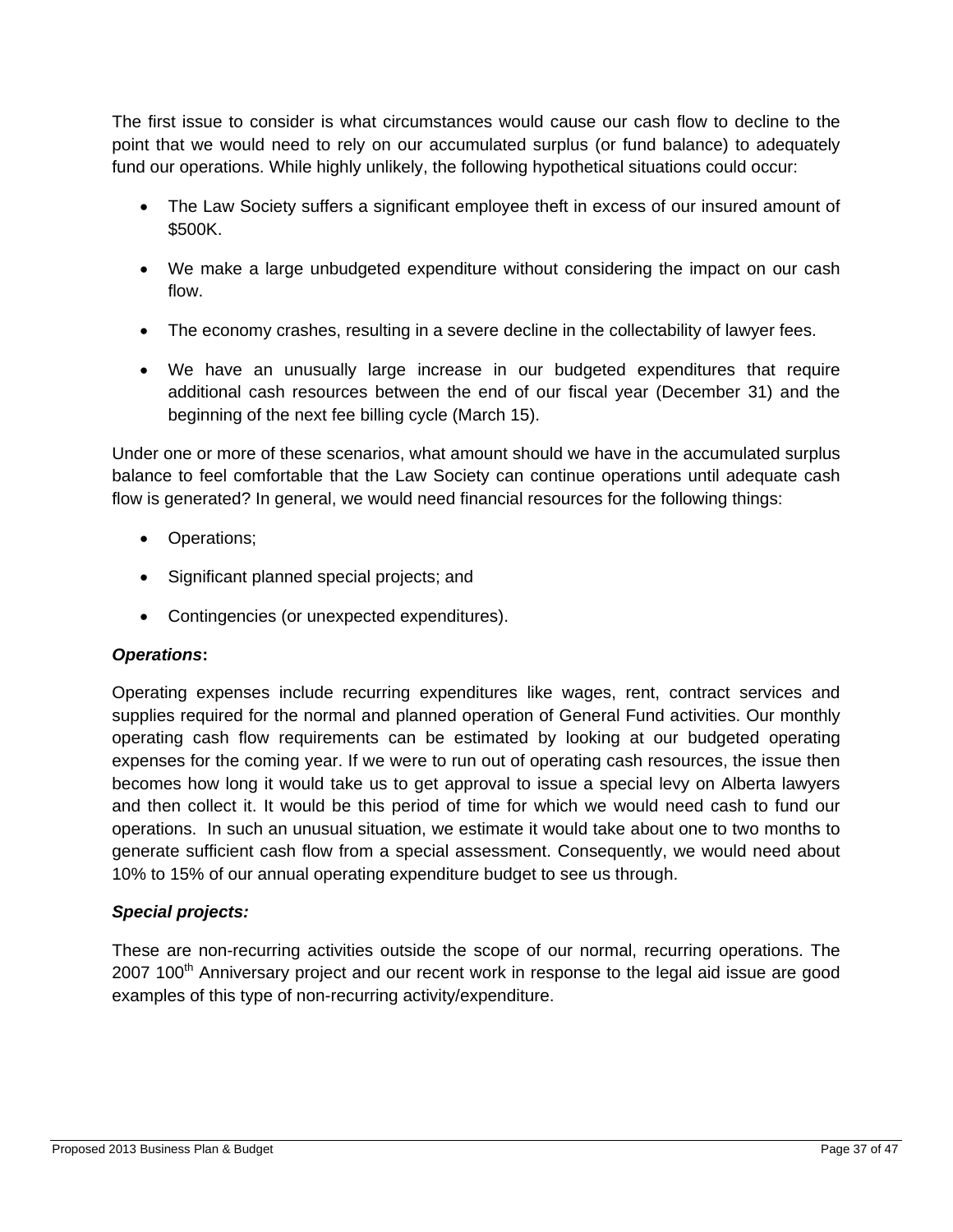The first issue to consider is what circumstances would cause our cash flow to decline to the point that we would need to rely on our accumulated surplus (or fund balance) to adequately fund our operations. While highly unlikely, the following hypothetical situations could occur:

- The Law Society suffers a significant employee theft in excess of our insured amount of \$500K.
- We make a large unbudgeted expenditure without considering the impact on our cash flow.
- The economy crashes, resulting in a severe decline in the collectability of lawyer fees.
- We have an unusually large increase in our budgeted expenditures that require additional cash resources between the end of our fiscal year (December 31) and the beginning of the next fee billing cycle (March 15).

Under one or more of these scenarios, what amount should we have in the accumulated surplus balance to feel comfortable that the Law Society can continue operations until adequate cash flow is generated? In general, we would need financial resources for the following things:

- Operations;
- Significant planned special projects; and
- Contingencies (or unexpected expenditures).

#### *Operations***:**

Operating expenses include recurring expenditures like wages, rent, contract services and supplies required for the normal and planned operation of General Fund activities. Our monthly operating cash flow requirements can be estimated by looking at our budgeted operating expenses for the coming year. If we were to run out of operating cash resources, the issue then becomes how long it would take us to get approval to issue a special levy on Alberta lawyers and then collect it. It would be this period of time for which we would need cash to fund our operations. In such an unusual situation, we estimate it would take about one to two months to generate sufficient cash flow from a special assessment. Consequently, we would need about 10% to 15% of our annual operating expenditure budget to see us through.

#### *Special projects:*

These are non-recurring activities outside the scope of our normal, recurring operations. The  $2007$  100<sup>th</sup> Anniversary project and our recent work in response to the legal aid issue are good examples of this type of non-recurring activity/expenditure.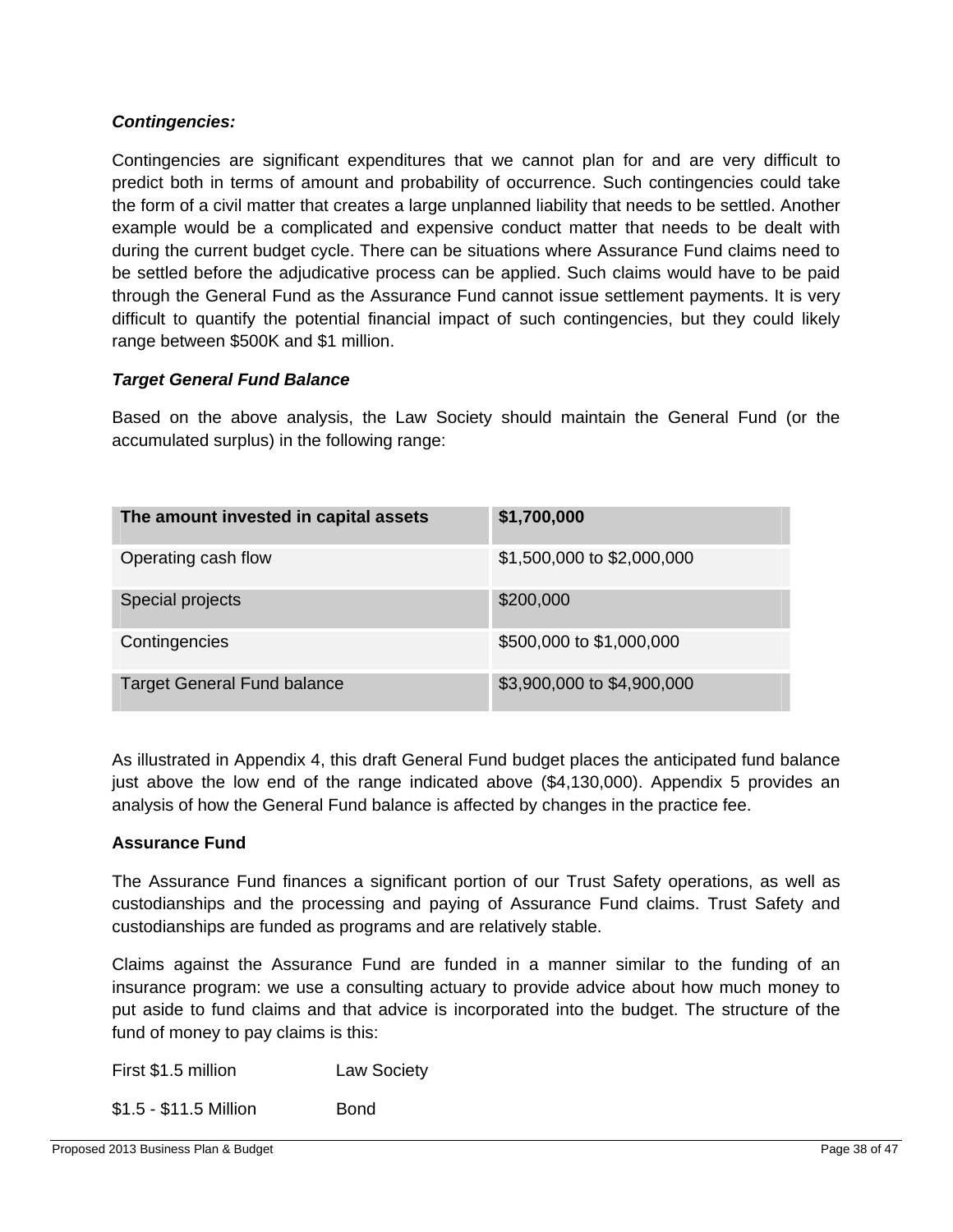#### *Contingencies:*

Contingencies are significant expenditures that we cannot plan for and are very difficult to predict both in terms of amount and probability of occurrence. Such contingencies could take the form of a civil matter that creates a large unplanned liability that needs to be settled. Another example would be a complicated and expensive conduct matter that needs to be dealt with during the current budget cycle. There can be situations where Assurance Fund claims need to be settled before the adjudicative process can be applied. Such claims would have to be paid through the General Fund as the Assurance Fund cannot issue settlement payments. It is very difficult to quantify the potential financial impact of such contingencies, but they could likely range between \$500K and \$1 million.

#### *Target General Fund Balance*

Based on the above analysis, the Law Society should maintain the General Fund (or the accumulated surplus) in the following range:

| The amount invested in capital assets | \$1,700,000                |
|---------------------------------------|----------------------------|
| Operating cash flow                   | \$1,500,000 to \$2,000,000 |
| Special projects                      | \$200,000                  |
| Contingencies                         | \$500,000 to \$1,000,000   |
| <b>Target General Fund balance</b>    | \$3,900,000 to \$4,900,000 |

As illustrated in Appendix 4, this draft General Fund budget places the anticipated fund balance just above the low end of the range indicated above (\$4,130,000). Appendix 5 provides an analysis of how the General Fund balance is affected by changes in the practice fee.

#### **Assurance Fund**

The Assurance Fund finances a significant portion of our Trust Safety operations, as well as custodianships and the processing and paying of Assurance Fund claims. Trust Safety and custodianships are funded as programs and are relatively stable.

Claims against the Assurance Fund are funded in a manner similar to the funding of an insurance program: we use a consulting actuary to provide advice about how much money to put aside to fund claims and that advice is incorporated into the budget. The structure of the fund of money to pay claims is this:

| First \$1.5 million    | <b>Law Society</b> |
|------------------------|--------------------|
| \$1.5 - \$11.5 Million | Bond               |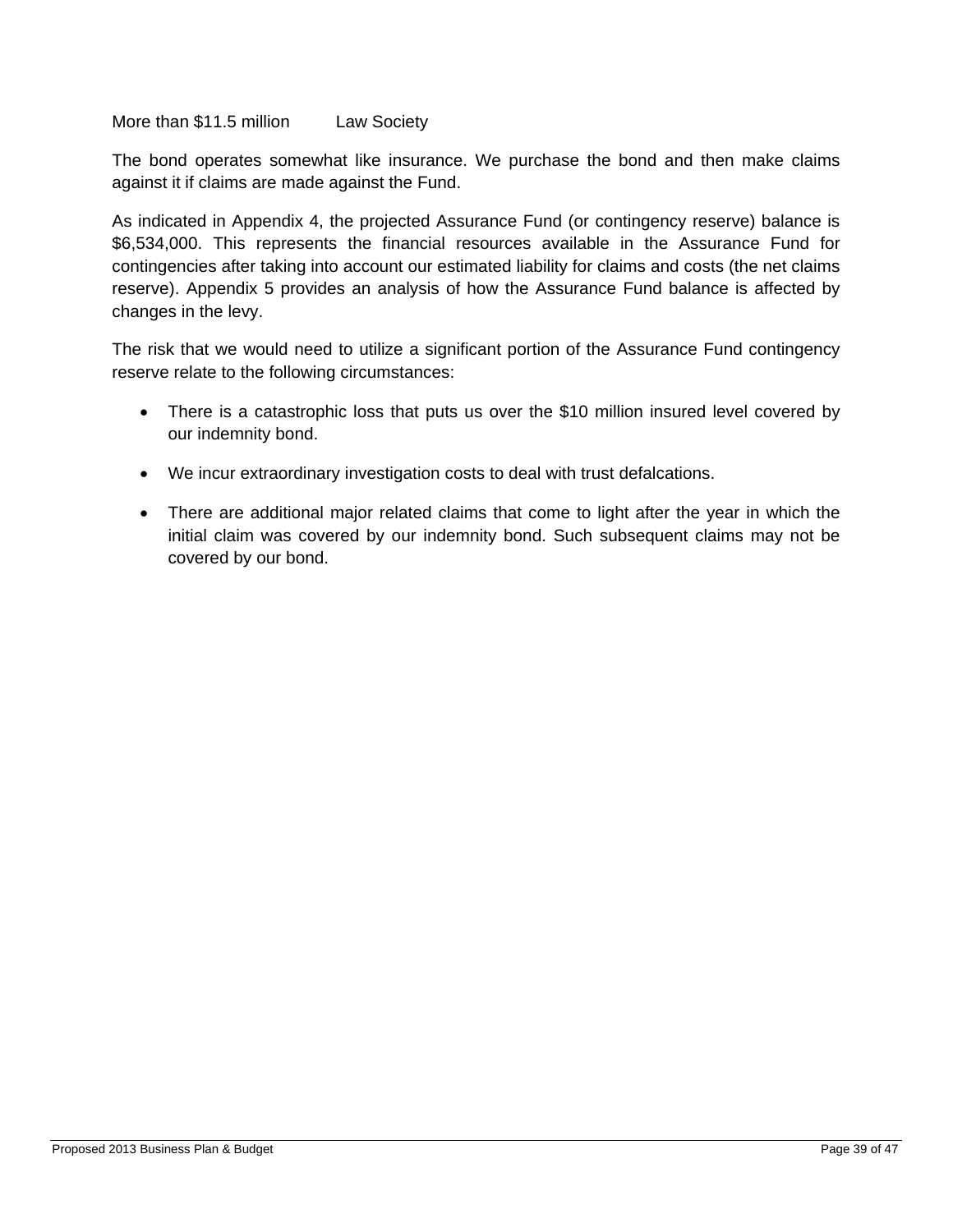More than \$11.5 million Law Society

The bond operates somewhat like insurance. We purchase the bond and then make claims against it if claims are made against the Fund.

As indicated in Appendix 4, the projected Assurance Fund (or contingency reserve) balance is \$6,534,000. This represents the financial resources available in the Assurance Fund for contingencies after taking into account our estimated liability for claims and costs (the net claims reserve). Appendix 5 provides an analysis of how the Assurance Fund balance is affected by changes in the levy.

The risk that we would need to utilize a significant portion of the Assurance Fund contingency reserve relate to the following circumstances:

- There is a catastrophic loss that puts us over the \$10 million insured level covered by our indemnity bond.
- We incur extraordinary investigation costs to deal with trust defalcations.
- There are additional major related claims that come to light after the year in which the initial claim was covered by our indemnity bond. Such subsequent claims may not be covered by our bond.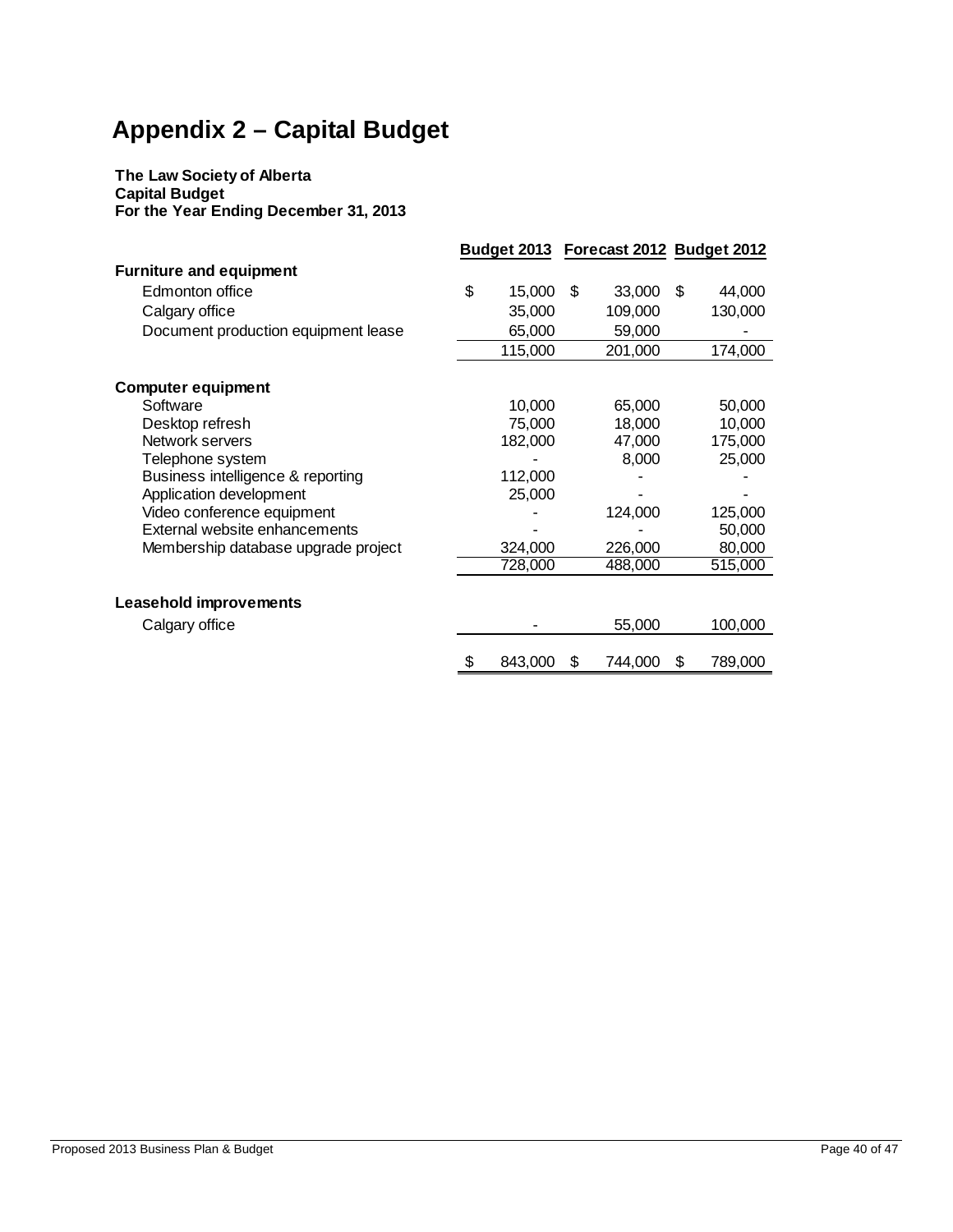## **Appendix 2 – Capital Budget**

#### **The Law Society of Alberta Capital Budget For the Year Ending December 31, 2013**

|                                     |               |     | Budget 2013 Forecast 2012 Budget 2012 |     |         |
|-------------------------------------|---------------|-----|---------------------------------------|-----|---------|
| <b>Furniture and equipment</b>      |               |     |                                       |     |         |
| Edmonton office                     | \$<br>15,000  | -\$ | 33,000                                | -\$ | 44,000  |
| Calgary office                      | 35,000        |     | 109,000                               |     | 130,000 |
| Document production equipment lease | 65,000        |     | 59,000                                |     |         |
|                                     | 115,000       |     | 201,000                               |     | 174,000 |
|                                     |               |     |                                       |     |         |
| <b>Computer equipment</b>           |               |     |                                       |     |         |
| Software                            | 10,000        |     | 65,000                                |     | 50,000  |
| Desktop refresh                     | 75,000        |     | 18,000                                |     | 10,000  |
| Network servers                     | 182,000       |     | 47,000                                |     | 175,000 |
| Telephone system                    |               |     | 8,000                                 |     | 25,000  |
| Business intelligence & reporting   | 112,000       |     |                                       |     |         |
| Application development             | 25,000        |     |                                       |     |         |
| Video conference equipment          |               |     | 124,000                               |     | 125,000 |
| External website enhancements       |               |     |                                       |     | 50,000  |
| Membership database upgrade project | 324,000       |     | 226,000                               |     | 80,000  |
|                                     | 728,000       |     | 488,000                               |     | 515,000 |
|                                     |               |     |                                       |     |         |
| <b>Leasehold improvements</b>       |               |     |                                       |     |         |
| Calgary office                      |               |     | 55,000                                |     | 100,000 |
|                                     | \$<br>843,000 | \$  | 744,000                               | S   | 789,000 |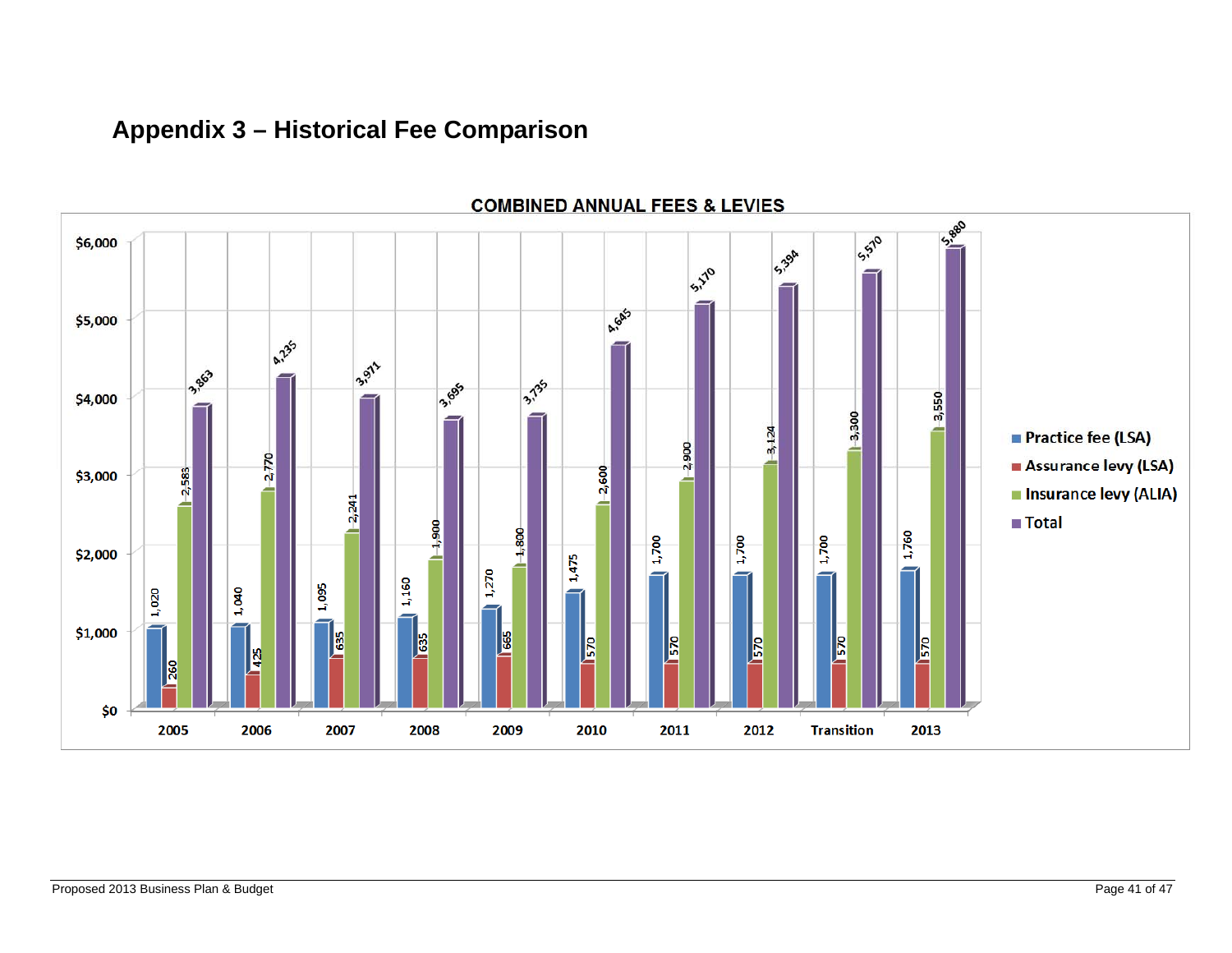## **Appendix 3 – Historical Fee Comparison**



#### Proposed 2013 Business Plan & Budget Page 41 of 47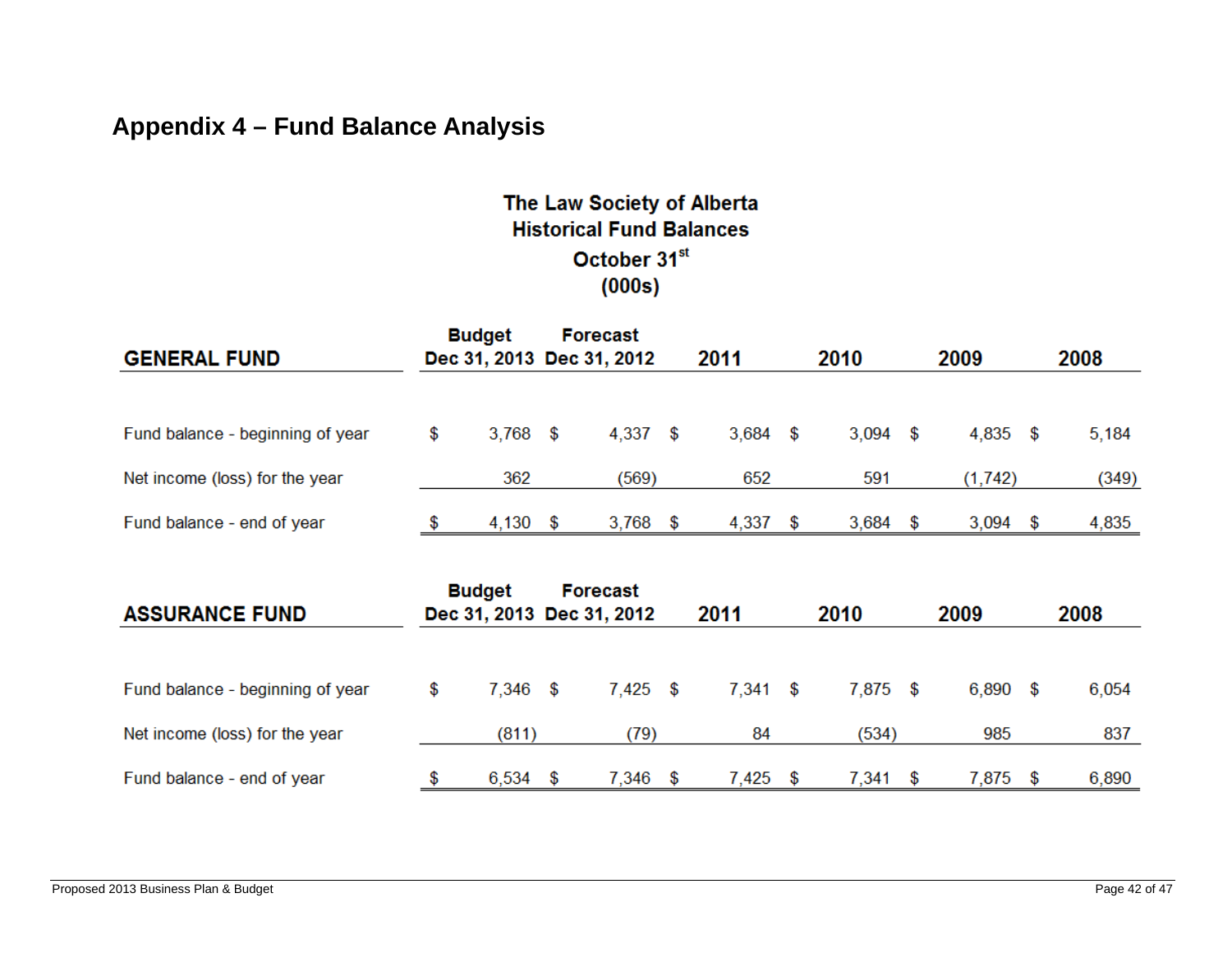## **Appendix 4 – Fund Balance Analysis**

## The Law Society of Alberta **Historical Fund Balances** October 31st  $(000s)$

| <b>GENERAL FUND</b>              | <b>Budget</b>    |      | <b>Forecast</b><br>Dec 31, 2013 Dec 31, 2012 |      | 2011  | 2010             | 2009        | 2008  |  |  |
|----------------------------------|------------------|------|----------------------------------------------|------|-------|------------------|-------------|-------|--|--|
| Fund balance - beginning of year | \$<br>$3,768$ \$ |      | 4,337                                        | - \$ | 3,684 | \$<br>$3,094$ \$ | $4,835$ \$  | 5,184 |  |  |
| Net income (loss) for the year   | 362              |      | (569)                                        |      | 652   | 591              | (1, 742)    | (349) |  |  |
| Fund balance - end of year       | 4,130            | - \$ | 3,768                                        | S    | 4,337 | 3,684            | \$<br>3,094 | 4,835 |  |  |

| <b>ASSURANCE FUND</b>            | <b>Budget</b> |      | <b>Forecast</b><br>Dec 31, 2013 Dec 31, 2012 |      | 2011       |   | 2010       | 2009       | 2008  |
|----------------------------------|---------------|------|----------------------------------------------|------|------------|---|------------|------------|-------|
|                                  |               |      |                                              |      |            |   |            |            |       |
| Fund balance - beginning of year | \$<br>7.346   | - \$ | 7,425                                        | - \$ | $7,341$ \$ |   | $7,875$ \$ | $6,890$ \$ | 6,054 |
| Net income (loss) for the year   | (811)         |      | (79)                                         |      | 84         |   | (534)      | 985        | 837   |
| Fund balance - end of year       | 6,534         |      | 7.346                                        |      | 7,425      | S | 7.341      | 7,875      | 6,890 |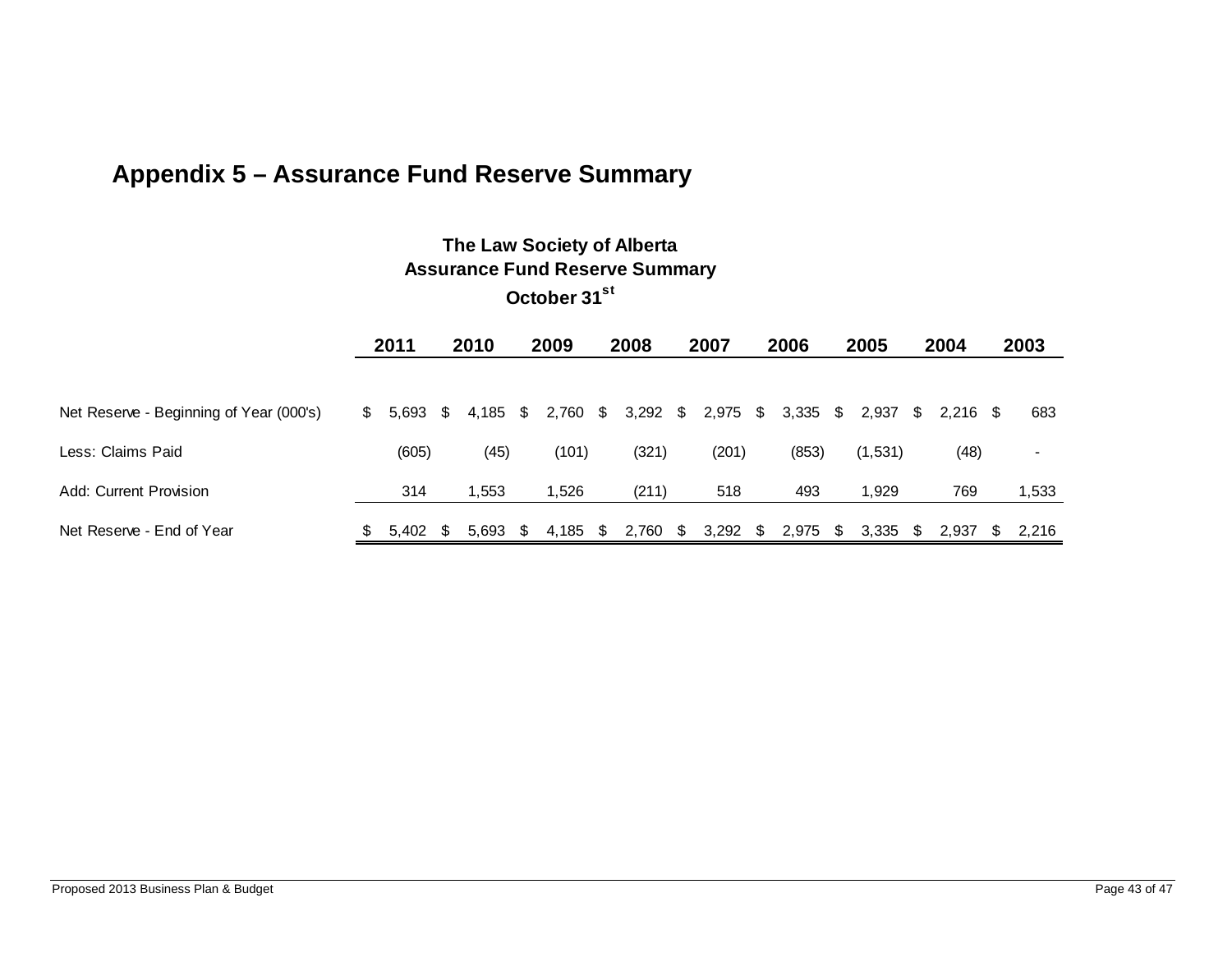## **Appendix 5 – Assurance Fund Reserve Summary**

## **The Law Society of Alberta Assurance Fund Reserve Summary**

**October 31st**

|                                         |    | 2011            | 2010       |  | 2009              |  | 2008       |      | 2007  | 2006             | 2005 |         | 2004     |            | 2003 |       |
|-----------------------------------------|----|-----------------|------------|--|-------------------|--|------------|------|-------|------------------|------|---------|----------|------------|------|-------|
|                                         |    |                 |            |  |                   |  |            |      |       |                  |      |         |          |            |      |       |
| Net Reserve - Beginning of Year (000's) | S. | $5.693$ \$      |            |  | 4,185 \$ 2,760 \$ |  | $3,292$ \$ |      | 2,975 | \$<br>$3,335$ \$ |      | 2,937   | <b>S</b> | $2,216$ \$ |      | 683   |
| Less: Claims Paid                       |    | (605)           | (45)       |  | (101)             |  | (321)      |      | (201) | (853)            |      | (1,531) |          | (48)       |      | $\,$  |
| Add: Current Provision                  |    | 314             | 1.553      |  | 1.526             |  | (211)      |      | 518   | 493              |      | 1.929   |          | 769        |      | 1,533 |
| Net Reserve - End of Year               | S. | $5.402 \quad $$ | $5,693$ \$ |  | 4,185 \$          |  | 2,760      | - \$ | 3,292 | \$<br>2,975      | \$   | 3,335   | S.       | 2,937      | S.   | 2.216 |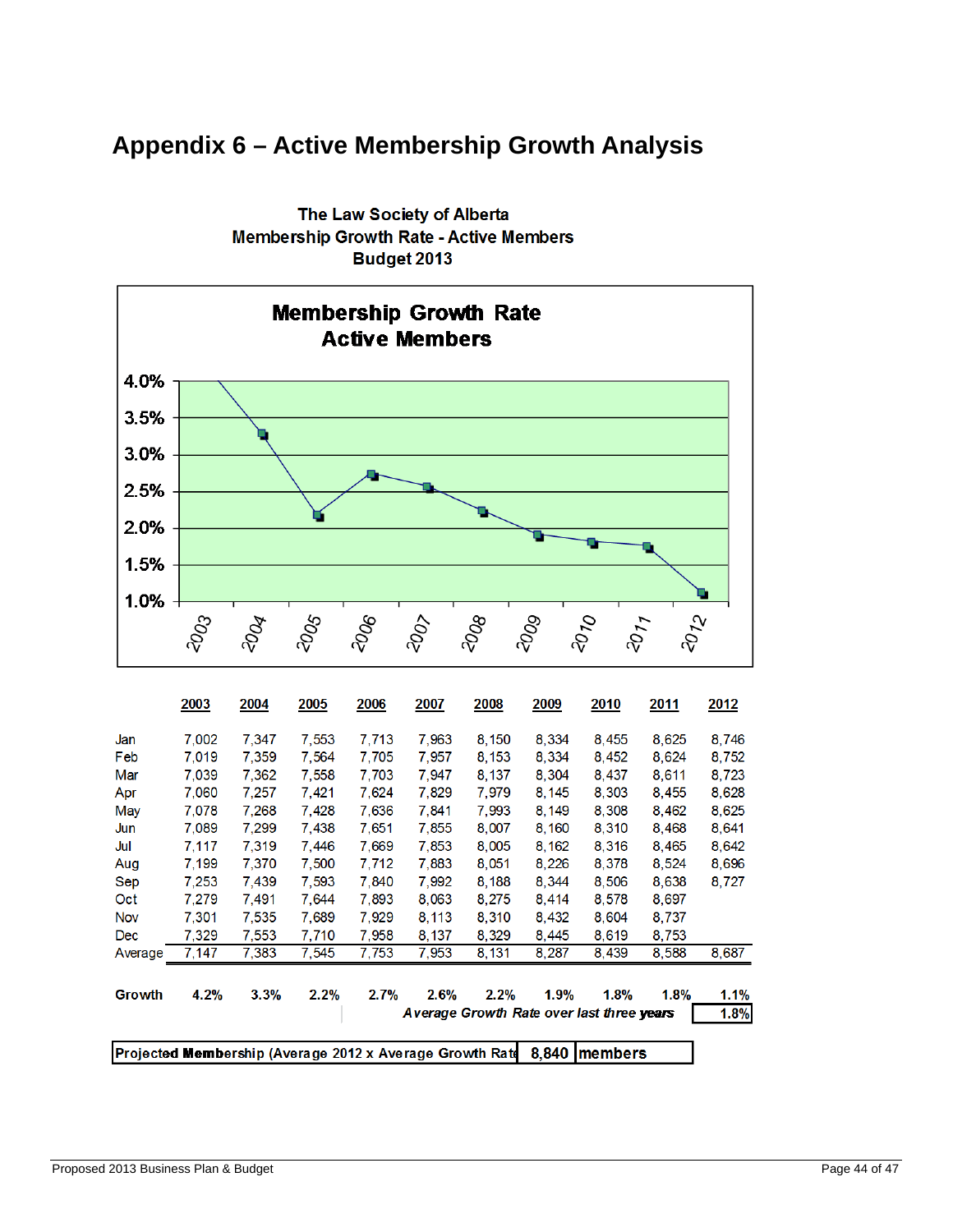## **Appendix 6 – Active Membership Growth Analysis**



The Law Society of Alberta **Membership Growth Rate - Active Members** Budget 2013

|                                                          | 2003  | 2004  | 2005  | 2006  | 2007  | 2008                                      | 2009  | 2010    | 2011  | 2012  |
|----------------------------------------------------------|-------|-------|-------|-------|-------|-------------------------------------------|-------|---------|-------|-------|
| Jan                                                      | 7,002 | 7.347 | 7,553 | 7.713 | 7,963 | 8,150                                     | 8.334 | 8,455   | 8,625 | 8,746 |
| Feb                                                      | 7,019 | 7,359 | 7,564 | 7,705 | 7,957 | 8,153                                     | 8.334 | 8,452   | 8,624 | 8,752 |
| Mar                                                      | 7,039 | 7.362 | 7,558 | 7,703 | 7,947 | 8,137                                     | 8,304 | 8,437   | 8,611 | 8,723 |
| Apr                                                      | 7,060 | 7.257 | 7.421 | 7,624 | 7,829 | 7,979                                     | 8,145 | 8,303   | 8,455 | 8,628 |
| May                                                      | 7,078 | 7.268 | 7,428 | 7,636 | 7,841 | 7,993                                     | 8,149 | 8,308   | 8,462 | 8,625 |
| Jun                                                      | 7,089 | 7,299 | 7,438 | 7,651 | 7,855 | 8,007                                     | 8,160 | 8,310   | 8,468 | 8,641 |
| Jul                                                      | 7,117 | 7,319 | 7,446 | 7,669 | 7,853 | 8,005                                     | 8,162 | 8,316   | 8,465 | 8,642 |
| Aug                                                      | 7,199 | 7,370 | 7,500 | 7,712 | 7,883 | 8,051                                     | 8,226 | 8,378   | 8,524 | 8,696 |
| Sep                                                      | 7,253 | 7,439 | 7,593 | 7,840 | 7,992 | 8,188                                     | 8,344 | 8,506   | 8,638 | 8,727 |
| Oct                                                      | 7,279 | 7,491 | 7,644 | 7,893 | 8,063 | 8,275                                     | 8,414 | 8,578   | 8,697 |       |
| <b>Nov</b>                                               | 7,301 | 7,535 | 7.689 | 7,929 | 8,113 | 8,310                                     | 8.432 | 8.604   | 8,737 |       |
| <b>Dec</b>                                               | 7,329 | 7,553 | 7,710 | 7,958 | 8,137 | 8,329                                     | 8,445 | 8,619   | 8,753 |       |
| Average                                                  | 7,147 | 7,383 | 7,545 | 7,753 | 7,953 | 8,131                                     | 8,287 | 8,439   | 8,588 | 8,687 |
| Growth                                                   | 4.2%  | 3.3%  | 2.2%  | 2.7%  | 2.6%  | 2.2%                                      | 1.9%  | 1.8%    | 1.8%  | 1.1%  |
|                                                          |       |       |       |       |       | Average Growth Rate over last three years |       |         |       | 1.8%  |
| Projected Membership (Average 2012 x Average Growth Rate |       |       |       |       |       |                                           | 8.840 | members |       |       |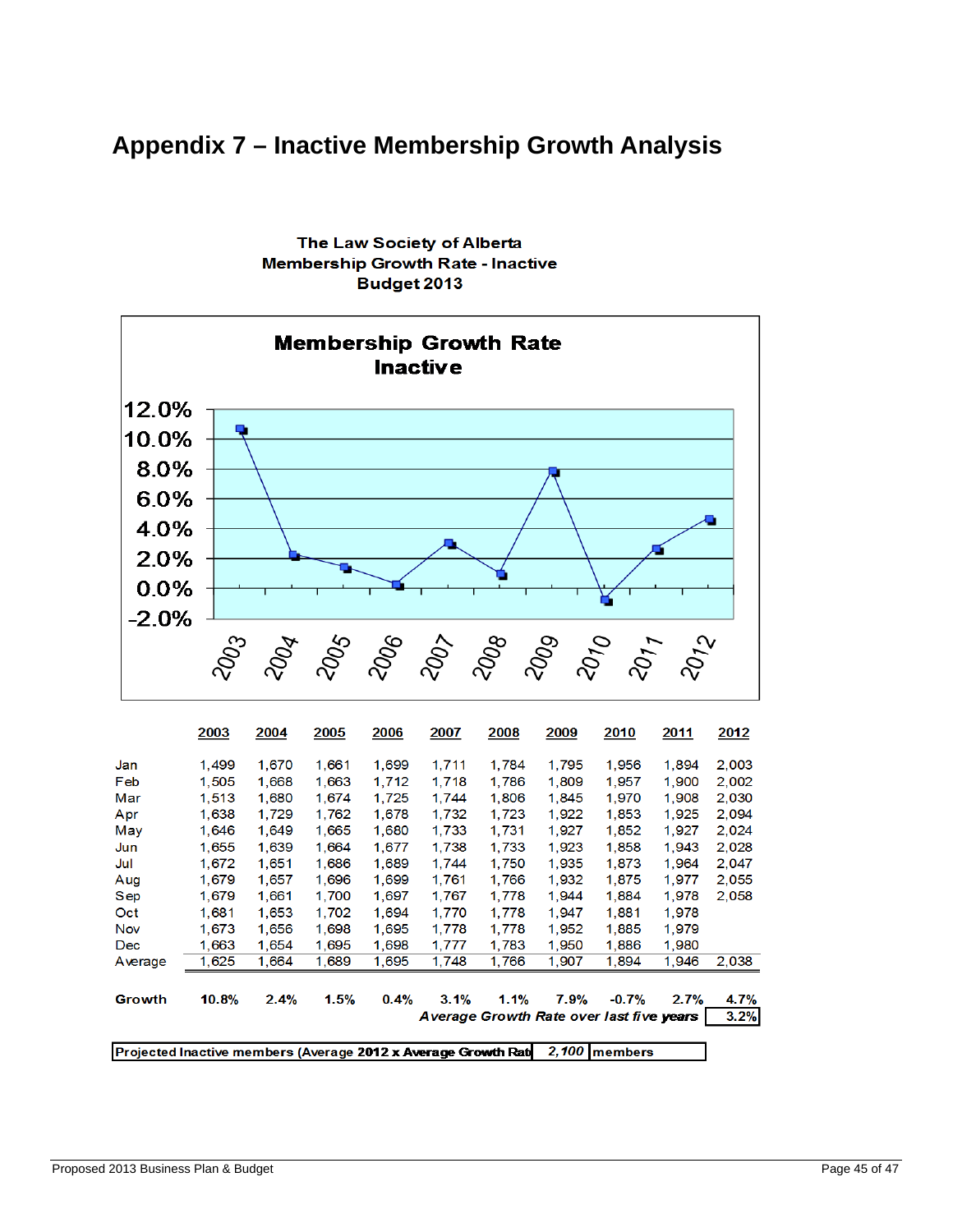## **Appendix 7 – Inactive Membership Growth Analysis**



The Law Society of Alberta **Membership Growth Rate - Inactive Budget 2013** 

|                                                                                   | 2003  | 2004  | <b>2005</b> | 2006  | 2007                                     | 2008  | 2009  | <b>2010</b> | <u>2011</u> | 2012  |  |
|-----------------------------------------------------------------------------------|-------|-------|-------------|-------|------------------------------------------|-------|-------|-------------|-------------|-------|--|
| Jan                                                                               | 1,499 | 1,670 | 1.661       | 1,699 | 1,711                                    | 1,784 | 1,795 | 1,956       | 1,894       | 2,003 |  |
| Feb                                                                               | 1,505 | 1,668 | 1,663       | 1,712 | 1,718                                    | 1,786 | 1,809 | 1,957       | 1,900       | 2,002 |  |
| Mar                                                                               | 1,513 | 1,680 | 1.674       | 1,725 | 1,744                                    | 1,806 | 1,845 | 1,970       | 1,908       | 2.030 |  |
| Apr                                                                               | 1,638 | 1,729 | 1,762       | 1,678 | 1,732                                    | 1,723 | 1,922 | 1,853       | 1,925       | 2.094 |  |
| May                                                                               | 1,646 | 1,649 | 1,665       | 1.680 | 1,733                                    | 1,731 | 1,927 | 1,852       | 1,927       | 2,024 |  |
| Jun                                                                               | 1,655 | 1,639 | 1.664       | 1.677 | 1,738                                    | 1,733 | 1.923 | 1,858       | 1.943       | 2,028 |  |
| Jul                                                                               | 1,672 | 1,651 | 1,686       | 1.689 | 1,744                                    | 1,750 | 1,935 | 1,873       | 1.964       | 2,047 |  |
| Aug                                                                               | 1,679 | 1,657 | 1,696       | 1,699 | 1,761                                    | 1.766 | 1,932 | 1,875       | 1,977       | 2.055 |  |
| Sep                                                                               | 1,679 | 1,661 | 1,700       | 1,697 | 1,767                                    | 1,778 | 1,944 | 1,884       | 1,978       | 2.058 |  |
| Oct                                                                               | 1,681 | 1,653 | 1,702       | 1,694 | 1,770                                    | 1,778 | 1,947 | 1,881       | 1,978       |       |  |
| Nov                                                                               | 1.673 | 1,656 | 1,698       | 1.695 | 1,778                                    | 1,778 | 1.952 | 1,885       | 1.979       |       |  |
| Dec                                                                               | 1.663 | 1,654 | 1.695       | 1.698 | 1,777                                    | 1,783 | 1,950 | 1,886       | 1,980       |       |  |
| Average                                                                           | 1,625 | 1,664 | 1,689       | 1.695 | 1,748                                    | 1,766 | 1,907 | 1,894       | 1,946       | 2,038 |  |
|                                                                                   |       |       |             |       |                                          |       |       |             |             |       |  |
| Growth                                                                            | 10.8% | 2.4%  | 1.5%        | 0.4%  | 3.1%                                     | 1.1%  | 7.9%  | $-0.7%$     | 2.7%        | 4.7%  |  |
|                                                                                   |       |       |             |       | Average Growth Rate over last five years |       |       |             |             | 3.2%  |  |
|                                                                                   |       |       |             |       |                                          |       |       |             |             |       |  |
| 2,100<br>Projected Inactive members (Average 2012 x Average Growth Rat<br>members |       |       |             |       |                                          |       |       |             |             |       |  |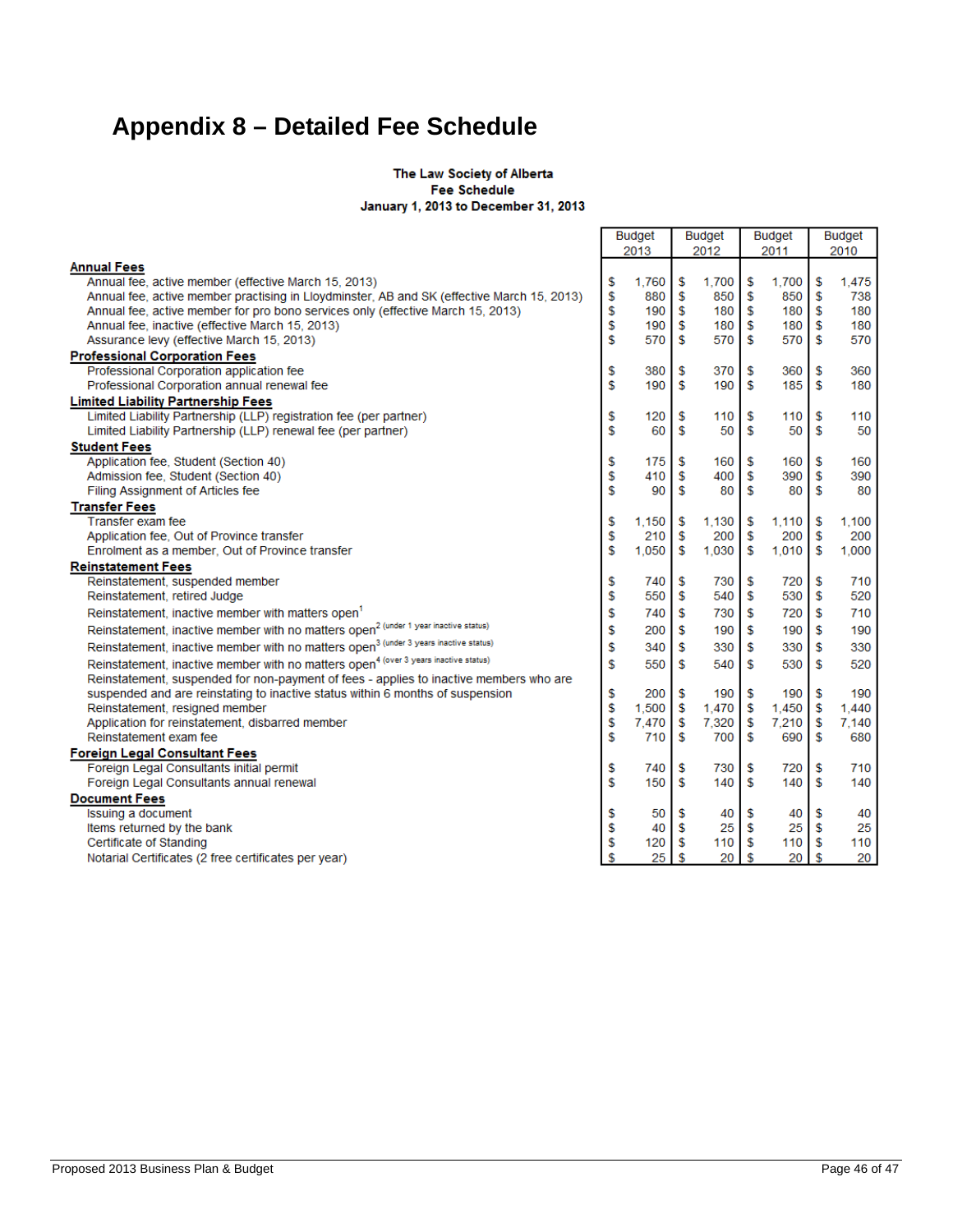## **Appendix 8 – Detailed Fee Schedule**

#### The Law Society of Alberta Fee Schedule January 1, 2013 to December 31, 2013

|                                                                                                  |      |            | <b>Budget</b> |                  | <b>Budget</b> |       | <b>Budget</b> |       |  |
|--------------------------------------------------------------------------------------------------|------|------------|---------------|------------------|---------------|-------|---------------|-------|--|
|                                                                                                  | 2013 |            |               | 2012             |               | 2011  |               | 2010  |  |
| <b>Annual Fees</b><br>Annual fee, active member (effective March 15, 2013)                       | \$   | 1.760      | S             | 1.700            | \$            | 1.700 | \$            | 1,475 |  |
| Annual fee, active member practising in Lloydminster, AB and SK (effective March 15, 2013)       | \$   | 880        | - \$          | 850              | Ŝ             | 850   | \$            | 738   |  |
| Annual fee, active member for pro bono services only (effective March 15, 2013)                  | \$   | 190S       |               | 180 <sup>1</sup> | \$            | 180   | \$            | 180   |  |
| Annual fee, inactive (effective March 15, 2013)                                                  | \$   | 190        | <b>S</b>      | 180              | S             | 180   | \$            | 180   |  |
| Assurance levy (effective March 15, 2013)                                                        |      |            |               | 570              | \$            | 570   | \$            | 570   |  |
| <b>Professional Corporation Fees</b>                                                             |      |            | - \$          |                  |               |       |               |       |  |
| Professional Corporation application fee                                                         | \$   | 380        | \$            | 370              | \$            | 360   | \$            | 360   |  |
| Professional Corporation annual renewal fee                                                      | \$   | 190        | £.            | 190              | £.            | 185   | \$            | 180   |  |
| <b>Limited Liability Partnership Fees</b>                                                        |      |            |               |                  |               |       |               |       |  |
| Limited Liability Partnership (LLP) registration fee (per partner)                               | \$   | 120        | \$            | 110              | \$            | 110   | \$            | 110   |  |
| Limited Liability Partnership (LLP) renewal fee (per partner)                                    | \$   | 60         | \$            | 50               | S             | 50    | S             | 50    |  |
| <b>Student Fees</b>                                                                              |      |            |               |                  |               |       |               |       |  |
| Application fee, Student (Section 40)                                                            | \$   | 175        | \$            | 160              | \$            | 160   | \$            | 160   |  |
| Admission fee, Student (Section 40)                                                              | \$   | 410        | \$            | 400              | \$            | 390   | \$            | 390   |  |
| Filing Assignment of Articles fee                                                                | \$   | 90         | S.            | 80               | S             | 80    | \$            | 80    |  |
| <b>Transfer Fees</b>                                                                             |      |            |               |                  |               |       |               |       |  |
| Transfer exam fee                                                                                | \$   | 1,150      | \$            | 1,130            | \$            | 1,110 | \$            | 1,100 |  |
| Application fee, Out of Province transfer                                                        | \$   | 210        | -\$           | 200              | \$            | 200   | \$            | 200   |  |
| Enrolment as a member, Out of Province transfer                                                  | \$   | 1,050      | s             | 1,030            | S             | 1,010 | s             | 1,000 |  |
| <b>Reinstatement Fees</b>                                                                        |      |            |               |                  |               |       |               |       |  |
| Reinstatement, suspended member                                                                  | \$   | 740        | -S            | 730              | \$            | 720   | s             | 710   |  |
| Reinstatement, retired Judge                                                                     | \$   | 550        | - \$          | 540              | \$            | 530   | \$            | 520   |  |
| Reinstatement, inactive member with matters open                                                 | \$   | 740        | <b>S</b>      | 730              | \$            | 720   | \$            | 710   |  |
| Reinstatement, inactive member with no matters open <sup>2</sup> (under 1 year inactive status)  | \$   | 200        | - \$          | 190              | \$            | 190   | \$            | 190   |  |
| Reinstatement, inactive member with no matters open <sup>3</sup> (under 3 years inactive status) | \$   | 340        | \$            | 330              | \$            | 330   | \$            | 330   |  |
| Reinstatement, inactive member with no matters open <sup>4</sup> (over 3 years inactive status)  | \$   | 550        | S             | 540              | S             | 530   | S             | 520   |  |
| Reinstatement, suspended for non-payment of fees - applies to inactive members who are           |      |            |               |                  |               |       |               |       |  |
| suspended and are reinstating to inactive status within 6 months of suspension                   | \$   | 200        | \$            | 190              | \$            | 190   | \$            | 190   |  |
| Reinstatement, resigned member                                                                   | \$   | $1,500$ \$ |               | 1,470            | -S            | 1,450 | \$            | 1.440 |  |
| Application for reinstatement, disbarred member                                                  | \$   | 7.470      | - \$          | 7,320            | \$            | 7,210 | \$            | 7.140 |  |
| Reinstatement exam fee                                                                           | \$   | 710        | \$            | 700              | S             | 690   | \$            | 680   |  |
| <b>Foreign Legal Consultant Fees</b>                                                             |      |            |               |                  |               |       |               |       |  |
| Foreign Legal Consultants initial permit                                                         | \$   | 740        | S             | 730              | \$            | 720   | \$            | 710   |  |
| Foreign Legal Consultants annual renewal                                                         | \$   | 150        | -S            | 140              | S             | 140   | \$            | 140   |  |
| <b>Document Fees</b>                                                                             |      |            |               |                  |               |       |               |       |  |
| Issuing a document                                                                               | \$   | 50         | s             | 40               | \$            | 40    | \$            | 40    |  |
| Items returned by the bank                                                                       | \$   | 40         | -S            | 25               | \$            | 25    | \$            | 25    |  |
| Certificate of Standing                                                                          | \$   | 120        | S             | 110              | \$            | 110   | \$            | 110   |  |
| Notarial Certificates (2 free certificates per year)                                             | \$   | 25         | s             | 20               | \$            | 20    | s             | 20    |  |